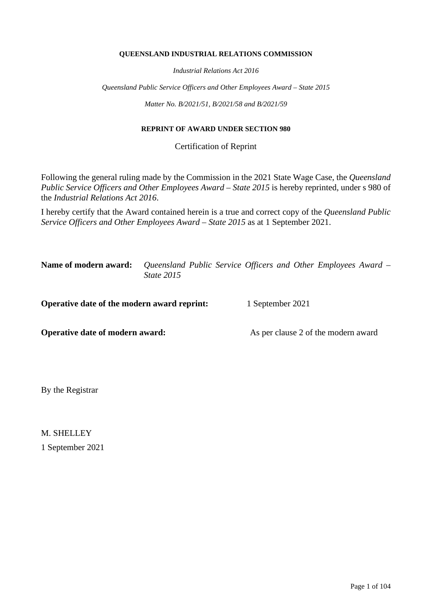#### **QUEENSLAND INDUSTRIAL RELATIONS COMMISSION**

*Industrial Relations Act 2016*

*Queensland Public Service Officers and Other Employees Award – State 2015*

*Matter No. B/2021/51, B/2021/58 and B/2021/59*

#### **REPRINT OF AWARD UNDER SECTION 980**

Certification of Reprint

Following the general ruling made by the Commission in the 2021 State Wage Case, the *Queensland Public Service Officers and Other Employees Award – State 2015* is hereby reprinted, under s 980 of the *Industrial Relations Act 2016*.

I hereby certify that the Award contained herein is a true and correct copy of the *Queensland Public Service Officers and Other Employees Award – State 2015* as at 1 September 2021.

**Name of modern award:** *Queensland Public Service Officers and Other Employees Award – State 2015*

**Operative date of the modern award reprint:** 1 September 2021

**Operative date of modern award:** As per clause 2 of the modern award

By the Registrar

M. SHELLEY 1 September 2021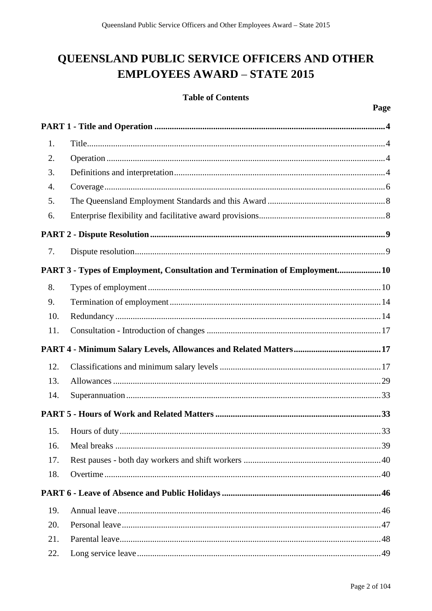# QUEENSLAND PUBLIC SERVICE OFFICERS AND OTHER **EMPLOYEES AWARD - STATE 2015**

## **Table of Contents**

| 1.  |                                                                            |
|-----|----------------------------------------------------------------------------|
| 2.  |                                                                            |
| 3.  |                                                                            |
| 4.  |                                                                            |
| 5.  |                                                                            |
| 6.  |                                                                            |
|     |                                                                            |
| 7.  |                                                                            |
|     | PART 3 - Types of Employment, Consultation and Termination of Employment10 |
| 8.  |                                                                            |
| 9.  |                                                                            |
| 10. |                                                                            |
| 11. |                                                                            |
|     |                                                                            |
| 12. |                                                                            |
| 13. |                                                                            |
| 14. |                                                                            |
|     |                                                                            |
| 15. |                                                                            |
| 16. |                                                                            |
| 17. |                                                                            |
| 18. |                                                                            |
|     |                                                                            |
| 19. |                                                                            |
| 20. |                                                                            |
| 21. |                                                                            |
| 22. |                                                                            |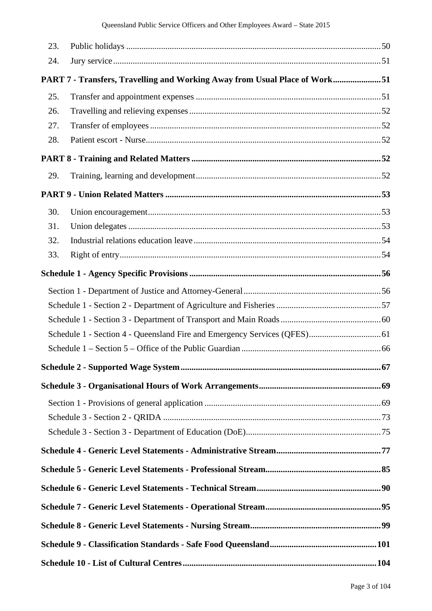| 23. |                                                                            |  |
|-----|----------------------------------------------------------------------------|--|
| 24. |                                                                            |  |
|     | PART 7 - Transfers, Travelling and Working Away from Usual Place of Work51 |  |
| 25. |                                                                            |  |
| 26. |                                                                            |  |
| 27. |                                                                            |  |
| 28. |                                                                            |  |
|     |                                                                            |  |
| 29. |                                                                            |  |
|     |                                                                            |  |
| 30. |                                                                            |  |
| 31. |                                                                            |  |
| 32. |                                                                            |  |
| 33. |                                                                            |  |
|     |                                                                            |  |
|     |                                                                            |  |
|     |                                                                            |  |
|     |                                                                            |  |
|     |                                                                            |  |
|     |                                                                            |  |
|     |                                                                            |  |
|     |                                                                            |  |
|     |                                                                            |  |
|     |                                                                            |  |
|     |                                                                            |  |
|     |                                                                            |  |
|     |                                                                            |  |
|     |                                                                            |  |
|     |                                                                            |  |
|     |                                                                            |  |
|     |                                                                            |  |
|     |                                                                            |  |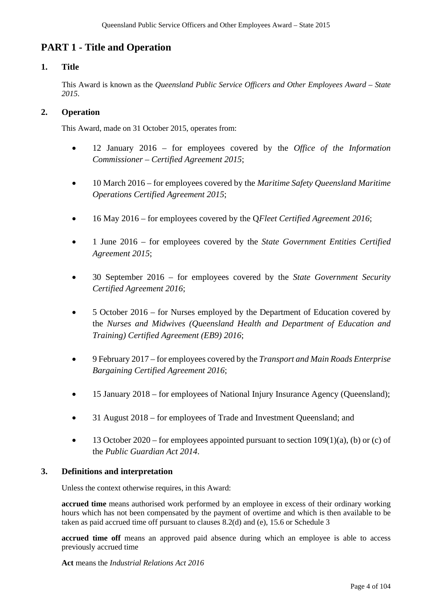## **PART 1 - Title and Operation**

## **1. Title**

This Award is known as the *Queensland Public Service Officers and Other Employees Award* – *State 2015*.

## **2. Operation**

This Award, made on 31 October 2015, operates from:

- 12 January 2016 for employees covered by the *Office of the Information Commissioner – Certified Agreement 2015*;
- 10 March 2016 for employees covered by the *Maritime Safety Queensland Maritime Operations Certified Agreement 2015*;
- 16 May 2016 for employees covered by the Q*Fleet Certified Agreement 2016*;
- 1 June 2016 for employees covered by the *State Government Entities Certified Agreement 2015*;
- 30 September 2016 for employees covered by the *State Government Security Certified Agreement 2016*;
- 5 October 2016 for Nurses employed by the Department of Education covered by the *Nurses and Midwives (Queensland Health and Department of Education and Training) Certified Agreement (EB9) 2016*;
- 9 February 2017 for employees covered by the *Transport and Main Roads Enterprise Bargaining Certified Agreement 2016*;
- 15 January 2018 for employees of National Injury Insurance Agency (Queensland);
- 31 August 2018 for employees of Trade and Investment Oueensland: and
- 13 October 2020 for employees appointed pursuant to section  $109(1)(a)$ , (b) or (c) of the *Public Guardian Act 2014*.

## **3. Definitions and interpretation**

Unless the context otherwise requires, in this Award:

**accrued time** means authorised work performed by an employee in excess of their ordinary working hours which has not been compensated by the payment of overtime and which is then available to be taken as paid accrued time off pursuant to clauses 8.2(d) and (e), 15.6 or Schedule 3

accrued time off means an approved paid absence during which an employee is able to access previously accrued time

**Act** means the *Industrial Relations Act 2016*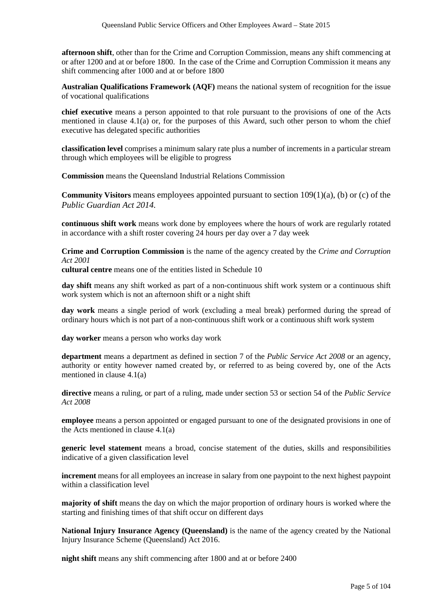**afternoon shift**, other than for the Crime and Corruption Commission, means any shift commencing at or after 1200 and at or before 1800. In the case of the Crime and Corruption Commission it means any shift commencing after 1000 and at or before 1800

**Australian Qualifications Framework (AQF)** means the national system of recognition for the issue of vocational qualifications

**chief executive** means a person appointed to that role pursuant to the provisions of one of the Acts mentioned in clause 4.1(a) or, for the purposes of this Award, such other person to whom the chief executive has delegated specific authorities

**classification level** comprises a minimum salary rate plus a number of increments in a particular stream through which employees will be eligible to progress

**Commission** means the Queensland Industrial Relations Commission

**Community Visitors** means employees appointed pursuant to section 109(1)(a), (b) or (c) of the *Public Guardian Act 2014.*

**continuous shift work** means work done by employees where the hours of work are regularly rotated in accordance with a shift roster covering 24 hours per day over a 7 day week

**Crime and Corruption Commission** is the name of the agency created by the *Crime and Corruption Act 2001*

**cultural centre** means one of the entities listed in Schedule 10

**day shift** means any shift worked as part of a non-continuous shift work system or a continuous shift work system which is not an afternoon shift or a night shift

**day work** means a single period of work (excluding a meal break) performed during the spread of ordinary hours which is not part of a non-continuous shift work or a continuous shift work system

**day worker** means a person who works day work

**department** means a department as defined in section 7 of the *Public Service Act 2008* or an agency, authority or entity however named created by, or referred to as being covered by, one of the Acts mentioned in clause 4.1(a)

**directive** means a ruling, or part of a ruling, made under section 53 or section 54 of the *Public Service Act 2008*

**employee** means a person appointed or engaged pursuant to one of the designated provisions in one of the Acts mentioned in clause 4.1(a)

**generic level statement** means a broad, concise statement of the duties, skills and responsibilities indicative of a given classification level

**increment** means for all employees an increase in salary from one paypoint to the next highest paypoint within a classification level

**majority of shift** means the day on which the major proportion of ordinary hours is worked where the starting and finishing times of that shift occur on different days

**National Injury Insurance Agency (Queensland)** is the name of the agency created by the National Injury Insurance Scheme (Queensland) Act 2016.

**night shift** means any shift commencing after 1800 and at or before 2400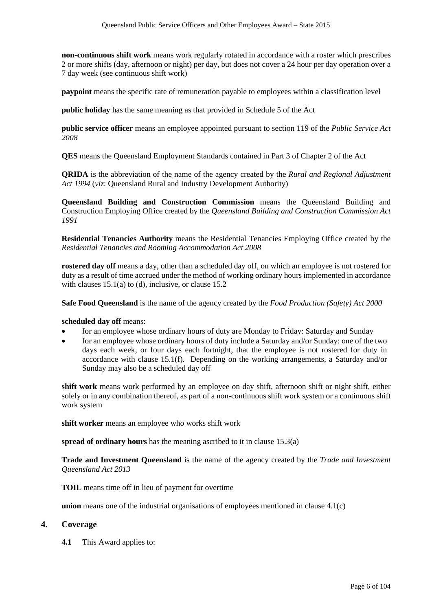**non-continuous shift work** means work regularly rotated in accordance with a roster which prescribes 2 or more shifts (day, afternoon or night) per day, but does not cover a 24 hour per day operation over a 7 day week (see continuous shift work)

**paypoint** means the specific rate of remuneration payable to employees within a classification level

**public holiday** has the same meaning as that provided in Schedule 5 of the Act

**public service officer** means an employee appointed pursuant to section 119 of the *Public Service Act 2008*

**QES** means the Queensland Employment Standards contained in Part 3 of Chapter 2 of the Act

**QRIDA** is the abbreviation of the name of the agency created by the *Rural and Regional Adjustment Act 1994* (*viz*: Queensland Rural and Industry Development Authority)

**Queensland Building and Construction Commission** means the Queensland Building and Construction Employing Office created by the *Queensland Building and Construction Commission Act 1991* 

**Residential Tenancies Authority** means the Residential Tenancies Employing Office created by the *Residential Tenancies and Rooming Accommodation Act 2008*

**rostered day off** means a day, other than a scheduled day off, on which an employee is not rostered for duty as a result of time accrued under the method of working ordinary hours implemented in accordance with clauses  $15.1(a)$  to (d), inclusive, or clause  $15.2$ 

**Safe Food Queensland** is the name of the agency created by the *Food Production (Safety) Act 2000* 

**scheduled day off** means:

- for an employee whose ordinary hours of duty are Monday to Friday: Saturday and Sunday
- for an employee whose ordinary hours of duty include a Saturday and/or Sunday: one of the two days each week, or four days each fortnight, that the employee is not rostered for duty in accordance with clause 15.1(f). Depending on the working arrangements, a Saturday and/or Sunday may also be a scheduled day off

**shift work** means work performed by an employee on day shift, afternoon shift or night shift, either solely or in any combination thereof, as part of a non-continuous shift work system or a continuous shift work system

**shift worker** means an employee who works shift work

**spread of ordinary hours** has the meaning ascribed to it in clause 15.3(a)

**Trade and Investment Queensland** is the name of the agency created by the *Trade and Investment Queensland Act 2013* 

**TOIL** means time off in lieu of payment for overtime

**union** means one of the industrial organisations of employees mentioned in clause 4.1(c)

#### **4. Coverage**

**4.1** This Award applies to: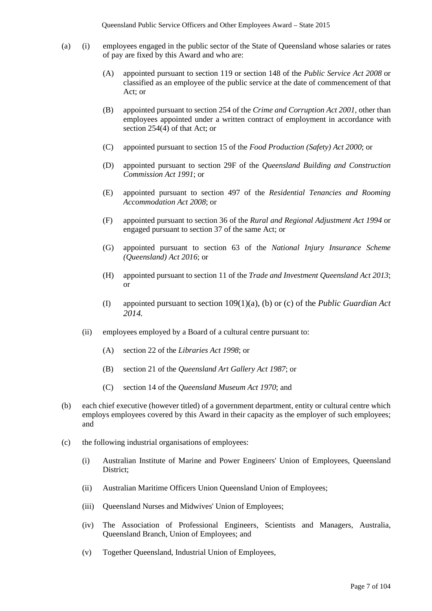- (a) (i) employees engaged in the public sector of the State of Queensland whose salaries or rates of pay are fixed by this Award and who are:
	- (A) appointed pursuant to section 119 or section 148 of the *Public Service Act 2008* or classified as an employee of the public service at the date of commencement of that Act; or
	- (B) appointed pursuant to section 254 of the *Crime and Corruption Act 2001*, other than employees appointed under a written contract of employment in accordance with section 254(4) of that Act; or
	- (C) appointed pursuant to section 15 of the *Food Production (Safety) Act 2000*; or
	- (D) appointed pursuant to section 29F of the *Queensland Building and Construction Commission Act 1991*; or
	- (E) appointed pursuant to section 497 of the *Residential Tenancies and Rooming Accommodation Act 2008*; or
	- (F) appointed pursuant to section 36 of the *Rural and Regional Adjustment Act 1994* or engaged pursuant to section 37 of the same Act; or
	- (G) appointed pursuant to section 63 of the *National Injury Insurance Scheme (Queensland) Act 2016*; or
	- (H) appointed pursuant to section 11 of the *Trade and Investment Queensland Act 2013*; or
	- (I) appointed pursuant to section 109(1)(a), (b) or (c) of the *Public Guardian Act 2014.*
	- (ii) employees employed by a Board of a cultural centre pursuant to:
		- (A) section 22 of the *Libraries Act 1998*; or
		- (B) section 21 of the *Queensland Art Gallery Act 1987*; or
		- (C) section 14 of the *Queensland Museum Act 1970*; and
- (b) each chief executive (however titled) of a government department, entity or cultural centre which employs employees covered by this Award in their capacity as the employer of such employees; and
- (c) the following industrial organisations of employees:
	- (i) Australian Institute of Marine and Power Engineers' Union of Employees, Queensland District;
	- (ii) Australian Maritime Officers Union Queensland Union of Employees;
	- (iii) Queensland Nurses and Midwives' Union of Employees;
	- (iv) The Association of Professional Engineers, Scientists and Managers, Australia, Queensland Branch, Union of Employees; and
	- (v) Together Queensland, Industrial Union of Employees,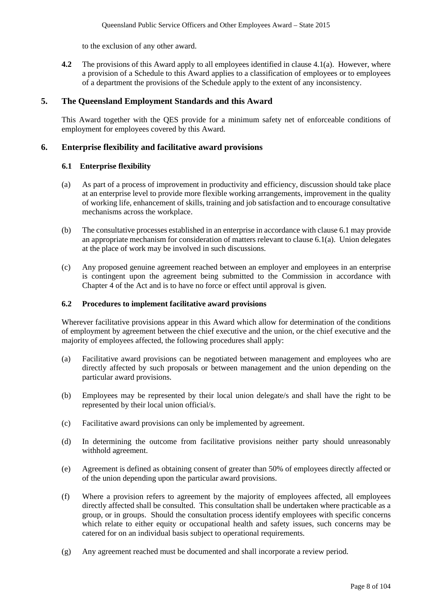to the exclusion of any other award.

**4.2** The provisions of this Award apply to all employees identified in clause 4.1(a). However, where a provision of a Schedule to this Award applies to a classification of employees or to employees of a department the provisions of the Schedule apply to the extent of any inconsistency.

## **5. The Queensland Employment Standards and this Award**

This Award together with the QES provide for a minimum safety net of enforceable conditions of employment for employees covered by this Award.

## **6. Enterprise flexibility and facilitative award provisions**

#### **6.1 Enterprise flexibility**

- (a) As part of a process of improvement in productivity and efficiency, discussion should take place at an enterprise level to provide more flexible working arrangements, improvement in the quality of working life, enhancement of skills, training and job satisfaction and to encourage consultative mechanisms across the workplace.
- (b) The consultative processes established in an enterprise in accordance with clause 6.1 may provide an appropriate mechanism for consideration of matters relevant to clause 6.1(a). Union delegates at the place of work may be involved in such discussions.
- (c) Any proposed genuine agreement reached between an employer and employees in an enterprise is contingent upon the agreement being submitted to the Commission in accordance with Chapter 4 of the Act and is to have no force or effect until approval is given.

#### **6.2 Procedures to implement facilitative award provisions**

Wherever facilitative provisions appear in this Award which allow for determination of the conditions of employment by agreement between the chief executive and the union, or the chief executive and the majority of employees affected, the following procedures shall apply:

- (a) Facilitative award provisions can be negotiated between management and employees who are directly affected by such proposals or between management and the union depending on the particular award provisions.
- (b) Employees may be represented by their local union delegate/s and shall have the right to be represented by their local union official/s.
- (c) Facilitative award provisions can only be implemented by agreement.
- (d) In determining the outcome from facilitative provisions neither party should unreasonably withhold agreement.
- (e) Agreement is defined as obtaining consent of greater than 50% of employees directly affected or of the union depending upon the particular award provisions.
- (f) Where a provision refers to agreement by the majority of employees affected, all employees directly affected shall be consulted. This consultation shall be undertaken where practicable as a group, or in groups. Should the consultation process identify employees with specific concerns which relate to either equity or occupational health and safety issues, such concerns may be catered for on an individual basis subject to operational requirements.
- (g) Any agreement reached must be documented and shall incorporate a review period.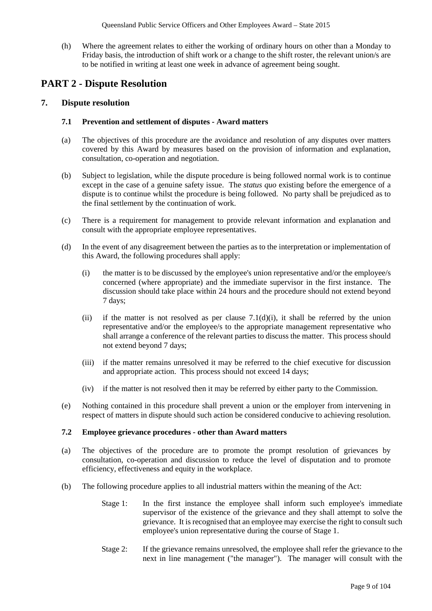(h) Where the agreement relates to either the working of ordinary hours on other than a Monday to Friday basis, the introduction of shift work or a change to the shift roster, the relevant union/s are to be notified in writing at least one week in advance of agreement being sought.

## **PART 2 - Dispute Resolution**

## **7. Dispute resolution**

## **7.1 Prevention and settlement of disputes - Award matters**

- (a) The objectives of this procedure are the avoidance and resolution of any disputes over matters covered by this Award by measures based on the provision of information and explanation, consultation, co-operation and negotiation.
- (b) Subject to legislation, while the dispute procedure is being followed normal work is to continue except in the case of a genuine safety issue. The *status quo* existing before the emergence of a dispute is to continue whilst the procedure is being followed. No party shall be prejudiced as to the final settlement by the continuation of work.
- (c) There is a requirement for management to provide relevant information and explanation and consult with the appropriate employee representatives.
- (d) In the event of any disagreement between the parties as to the interpretation or implementation of this Award, the following procedures shall apply:
	- (i) the matter is to be discussed by the employee's union representative and/or the employee/s concerned (where appropriate) and the immediate supervisor in the first instance. The discussion should take place within 24 hours and the procedure should not extend beyond 7 days;
	- (ii) if the matter is not resolved as per clause  $7.1(d)(i)$ , it shall be referred by the union representative and/or the employee/s to the appropriate management representative who shall arrange a conference of the relevant parties to discuss the matter. This process should not extend beyond 7 days;
	- (iii) if the matter remains unresolved it may be referred to the chief executive for discussion and appropriate action. This process should not exceed 14 days;
	- (iv) if the matter is not resolved then it may be referred by either party to the Commission.
- (e) Nothing contained in this procedure shall prevent a union or the employer from intervening in respect of matters in dispute should such action be considered conducive to achieving resolution.

#### **7.2 Employee grievance procedures - other than Award matters**

- (a) The objectives of the procedure are to promote the prompt resolution of grievances by consultation, co-operation and discussion to reduce the level of disputation and to promote efficiency, effectiveness and equity in the workplace.
- (b) The following procedure applies to all industrial matters within the meaning of the Act:
	- Stage 1: In the first instance the employee shall inform such employee's immediate supervisor of the existence of the grievance and they shall attempt to solve the grievance. It is recognised that an employee may exercise the right to consult such employee's union representative during the course of Stage 1.
	- Stage 2: If the grievance remains unresolved, the employee shall refer the grievance to the next in line management ("the manager"). The manager will consult with the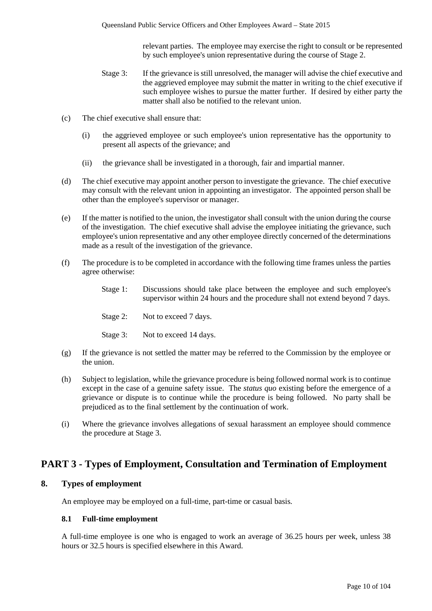relevant parties. The employee may exercise the right to consult or be represented by such employee's union representative during the course of Stage 2.

- Stage 3: If the grievance is still unresolved, the manager will advise the chief executive and the aggrieved employee may submit the matter in writing to the chief executive if such employee wishes to pursue the matter further. If desired by either party the matter shall also be notified to the relevant union.
- (c) The chief executive shall ensure that:
	- (i) the aggrieved employee or such employee's union representative has the opportunity to present all aspects of the grievance; and
	- (ii) the grievance shall be investigated in a thorough, fair and impartial manner.
- (d) The chief executive may appoint another person to investigate the grievance. The chief executive may consult with the relevant union in appointing an investigator. The appointed person shall be other than the employee's supervisor or manager.
- (e) If the matter is notified to the union, the investigator shall consult with the union during the course of the investigation. The chief executive shall advise the employee initiating the grievance, such employee's union representative and any other employee directly concerned of the determinations made as a result of the investigation of the grievance.
- (f) The procedure is to be completed in accordance with the following time frames unless the parties agree otherwise:
	- Stage 1: Discussions should take place between the employee and such employee's supervisor within 24 hours and the procedure shall not extend beyond 7 days.
	- Stage 2: Not to exceed 7 days.
	- Stage 3: Not to exceed 14 days.
- (g) If the grievance is not settled the matter may be referred to the Commission by the employee or the union.
- (h) Subject to legislation, while the grievance procedure is being followed normal work is to continue except in the case of a genuine safety issue. The *status quo* existing before the emergence of a grievance or dispute is to continue while the procedure is being followed. No party shall be prejudiced as to the final settlement by the continuation of work.
- (i) Where the grievance involves allegations of sexual harassment an employee should commence the procedure at Stage 3.

## **PART 3 - Types of Employment, Consultation and Termination of Employment**

#### **8. Types of employment**

An employee may be employed on a full-time, part-time or casual basis.

#### **8.1 Full-time employment**

A full-time employee is one who is engaged to work an average of 36.25 hours per week, unless 38 hours or 32.5 hours is specified elsewhere in this Award.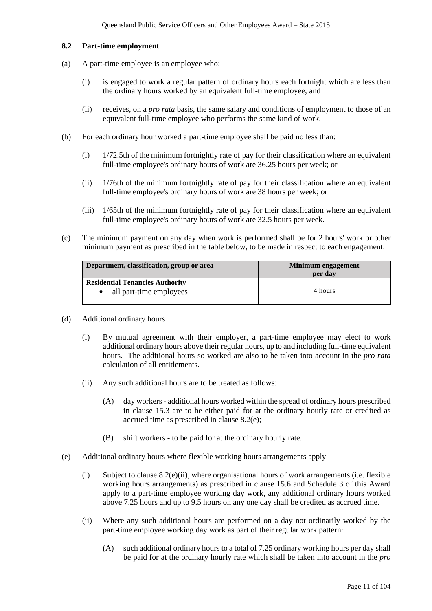#### **8.2 Part-time employment**

- (a) A part-time employee is an employee who:
	- (i) is engaged to work a regular pattern of ordinary hours each fortnight which are less than the ordinary hours worked by an equivalent full-time employee; and
	- (ii) receives, on a *pro rata* basis, the same salary and conditions of employment to those of an equivalent full-time employee who performs the same kind of work.
- (b) For each ordinary hour worked a part-time employee shall be paid no less than:
	- (i) 1/72.5th of the minimum fortnightly rate of pay for their classification where an equivalent full-time employee's ordinary hours of work are 36.25 hours per week; or
	- (ii) 1/76th of the minimum fortnightly rate of pay for their classification where an equivalent full-time employee's ordinary hours of work are 38 hours per week; or
	- (iii) 1/65th of the minimum fortnightly rate of pay for their classification where an equivalent full-time employee's ordinary hours of work are 32.5 hours per week.
- (c) The minimum payment on any day when work is performed shall be for 2 hours' work or other minimum payment as prescribed in the table below, to be made in respect to each engagement:

| Department, classification, group or area | Minimum engagement<br>per day |  |
|-------------------------------------------|-------------------------------|--|
| <b>Residential Tenancies Authority</b>    |                               |  |
| all part-time employees                   | 4 hours                       |  |

- (d) Additional ordinary hours
	- (i) By mutual agreement with their employer, a part-time employee may elect to work additional ordinary hours above their regular hours, up to and including full-time equivalent hours. The additional hours so worked are also to be taken into account in the *pro rata*  calculation of all entitlements.
	- (ii) Any such additional hours are to be treated as follows:
		- (A) day workers additional hours worked within the spread of ordinary hours prescribed in clause 15.3 are to be either paid for at the ordinary hourly rate or credited as accrued time as prescribed in clause 8.2(e);
		- (B) shift workers to be paid for at the ordinary hourly rate.
- (e) Additional ordinary hours where flexible working hours arrangements apply
	- (i) Subject to clause 8.2(e)(ii), where organisational hours of work arrangements (i.e. flexible working hours arrangements) as prescribed in clause 15.6 and Schedule 3 of this Award apply to a part-time employee working day work, any additional ordinary hours worked above 7.25 hours and up to 9.5 hours on any one day shall be credited as accrued time.
	- (ii) Where any such additional hours are performed on a day not ordinarily worked by the part-time employee working day work as part of their regular work pattern:
		- (A) such additional ordinary hours to a total of 7.25 ordinary working hours per day shall be paid for at the ordinary hourly rate which shall be taken into account in the *pro*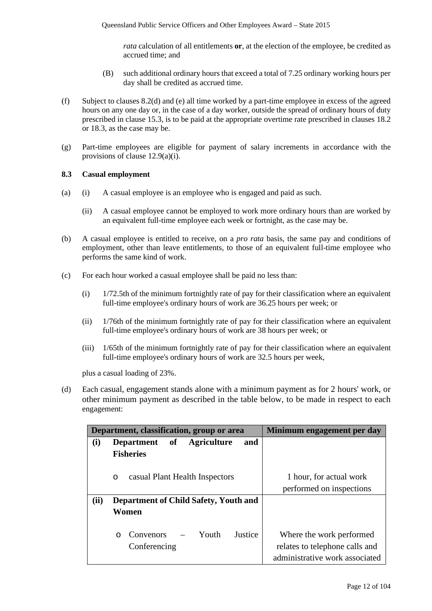*rata* calculation of all entitlements **or**, at the election of the employee, be credited as accrued time; and

- (B) such additional ordinary hours that exceed a total of 7.25 ordinary working hours per day shall be credited as accrued time.
- (f) Subject to clauses 8.2(d) and (e) all time worked by a part-time employee in excess of the agreed hours on any one day or, in the case of a day worker, outside the spread of ordinary hours of duty prescribed in clause 15.3, is to be paid at the appropriate overtime rate prescribed in clauses 18.2 or 18.3, as the case may be.
- (g) Part-time employees are eligible for payment of salary increments in accordance with the provisions of clause 12.9(a)(i).

#### **8.3 Casual employment**

- (a) (i) A casual employee is an employee who is engaged and paid as such.
	- (ii) A casual employee cannot be employed to work more ordinary hours than are worked by an equivalent full-time employee each week or fortnight, as the case may be.
- (b) A casual employee is entitled to receive, on a *pro rata* basis, the same pay and conditions of employment, other than leave entitlements, to those of an equivalent full-time employee who performs the same kind of work.
- (c) For each hour worked a casual employee shall be paid no less than:
	- (i) 1/72.5th of the minimum fortnightly rate of pay for their classification where an equivalent full-time employee's ordinary hours of work are 36.25 hours per week; or
	- (ii) 1/76th of the minimum fortnightly rate of pay for their classification where an equivalent full-time employee's ordinary hours of work are 38 hours per week; or
	- (iii) 1/65th of the minimum fortnightly rate of pay for their classification where an equivalent full-time employee's ordinary hours of work are 32.5 hours per week,

plus a casual loading of 23%.

(d) Each casual, engagement stands alone with a minimum payment as for 2 hours' work, or other minimum payment as described in the table below, to be made in respect to each engagement:

|      | Department, classification, group or area          | Minimum engagement per day     |
|------|----------------------------------------------------|--------------------------------|
| (i)  | Department of Agriculture<br>and                   |                                |
|      | <b>Fisheries</b>                                   |                                |
|      |                                                    |                                |
|      | casual Plant Health Inspectors<br>$\circ$          | 1 hour, for actual work        |
|      |                                                    | performed on inspections       |
| (ii) | Department of Child Safety, Youth and              |                                |
|      | Women                                              |                                |
|      |                                                    |                                |
|      | – Youth<br><b>Convenors</b><br>Justice<br>$\Omega$ | Where the work performed       |
|      | Conferencing                                       | relates to telephone calls and |
|      |                                                    | administrative work associated |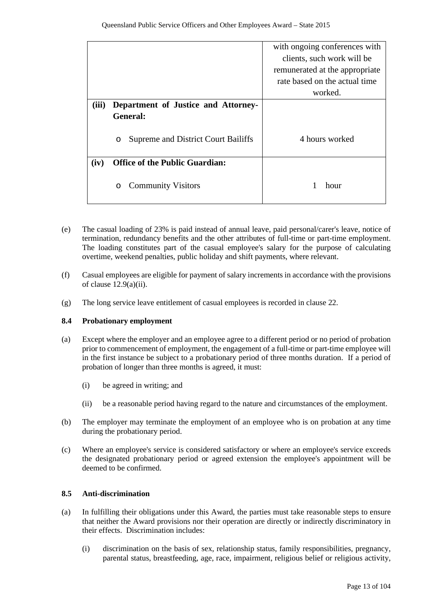|       |                                          | with ongoing conferences with  |
|-------|------------------------------------------|--------------------------------|
|       |                                          | clients, such work will be     |
|       |                                          | remunerated at the appropriate |
|       |                                          | rate based on the actual time  |
|       |                                          | worked.                        |
| (iii) | Department of Justice and Attorney-      |                                |
|       | <b>General:</b>                          |                                |
|       | Supreme and District Court Bailiffs<br>O | 4 hours worked                 |
| (iv)  | <b>Office of the Public Guardian:</b>    |                                |
|       | <b>Community Visitors</b><br>O           | hour                           |

- (e) The casual loading of 23% is paid instead of annual leave, paid personal/carer's leave, notice of termination, redundancy benefits and the other attributes of full-time or part-time employment. The loading constitutes part of the casual employee's salary for the purpose of calculating overtime, weekend penalties, public holiday and shift payments, where relevant.
- (f) Casual employees are eligible for payment of salary increments in accordance with the provisions of clause  $12.9(a)(ii)$ .
- (g) The long service leave entitlement of casual employees is recorded in clause 22.

## **8.4 Probationary employment**

- (a) Except where the employer and an employee agree to a different period or no period of probation prior to commencement of employment, the engagement of a full-time or part-time employee will in the first instance be subject to a probationary period of three months duration. If a period of probation of longer than three months is agreed, it must:
	- (i) be agreed in writing; and
	- (ii) be a reasonable period having regard to the nature and circumstances of the employment.
- (b) The employer may terminate the employment of an employee who is on probation at any time during the probationary period.
- (c) Where an employee's service is considered satisfactory or where an employee's service exceeds the designated probationary period or agreed extension the employee's appointment will be deemed to be confirmed.

## **8.5 Anti-discrimination**

- (a) In fulfilling their obligations under this Award, the parties must take reasonable steps to ensure that neither the Award provisions nor their operation are directly or indirectly discriminatory in their effects. Discrimination includes:
	- (i) discrimination on the basis of sex, relationship status, family responsibilities, pregnancy, parental status, breastfeeding, age, race, impairment, religious belief or religious activity,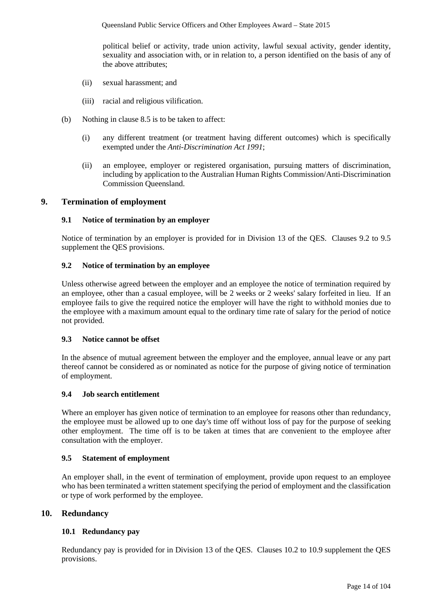political belief or activity, trade union activity, lawful sexual activity, gender identity, sexuality and association with, or in relation to, a person identified on the basis of any of the above attributes;

- (ii) sexual harassment; and
- (iii) racial and religious vilification.
- (b) Nothing in clause 8.5 is to be taken to affect:
	- (i) any different treatment (or treatment having different outcomes) which is specifically exempted under the *Anti-Discrimination Act 1991*;
	- (ii) an employee, employer or registered organisation, pursuing matters of discrimination, including by application to the Australian Human Rights Commission/Anti-Discrimination Commission Queensland.

#### **9. Termination of employment**

#### **9.1 Notice of termination by an employer**

Notice of termination by an employer is provided for in Division 13 of the QES. Clauses 9.2 to 9.5 supplement the QES provisions.

### **9.2 Notice of termination by an employee**

Unless otherwise agreed between the employer and an employee the notice of termination required by an employee, other than a casual employee, will be 2 weeks or 2 weeks' salary forfeited in lieu. If an employee fails to give the required notice the employer will have the right to withhold monies due to the employee with a maximum amount equal to the ordinary time rate of salary for the period of notice not provided.

#### **9.3 Notice cannot be offset**

In the absence of mutual agreement between the employer and the employee, annual leave or any part thereof cannot be considered as or nominated as notice for the purpose of giving notice of termination of employment.

#### **9.4 Job search entitlement**

Where an employer has given notice of termination to an employee for reasons other than redundancy, the employee must be allowed up to one day's time off without loss of pay for the purpose of seeking other employment. The time off is to be taken at times that are convenient to the employee after consultation with the employer.

#### **9.5 Statement of employment**

An employer shall, in the event of termination of employment, provide upon request to an employee who has been terminated a written statement specifying the period of employment and the classification or type of work performed by the employee.

## **10. Redundancy**

#### **10.1 Redundancy pay**

Redundancy pay is provided for in Division 13 of the QES. Clauses 10.2 to 10.9 supplement the QES provisions.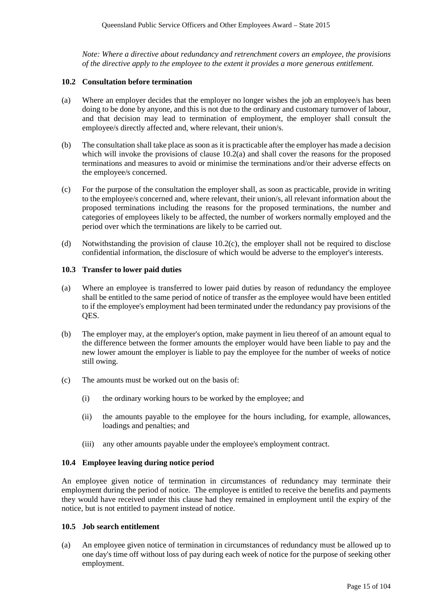*Note: Where a directive about redundancy and retrenchment covers an employee, the provisions of the directive apply to the employee to the extent it provides a more generous entitlement.*

#### **10.2 Consultation before termination**

- (a) Where an employer decides that the employer no longer wishes the job an employee/s has been doing to be done by anyone, and this is not due to the ordinary and customary turnover of labour, and that decision may lead to termination of employment, the employer shall consult the employee/s directly affected and, where relevant, their union/s.
- (b) The consultation shall take place as soon as it is practicable after the employer has made a decision which will invoke the provisions of clause 10.2(a) and shall cover the reasons for the proposed terminations and measures to avoid or minimise the terminations and/or their adverse effects on the employee/s concerned.
- (c) For the purpose of the consultation the employer shall, as soon as practicable, provide in writing to the employee/s concerned and, where relevant, their union/s, all relevant information about the proposed terminations including the reasons for the proposed terminations, the number and categories of employees likely to be affected, the number of workers normally employed and the period over which the terminations are likely to be carried out.
- (d) Notwithstanding the provision of clause 10.2(c), the employer shall not be required to disclose confidential information, the disclosure of which would be adverse to the employer's interests.

#### **10.3 Transfer to lower paid duties**

- (a) Where an employee is transferred to lower paid duties by reason of redundancy the employee shall be entitled to the same period of notice of transfer as the employee would have been entitled to if the employee's employment had been terminated under the redundancy pay provisions of the QES.
- (b) The employer may, at the employer's option, make payment in lieu thereof of an amount equal to the difference between the former amounts the employer would have been liable to pay and the new lower amount the employer is liable to pay the employee for the number of weeks of notice still owing.
- (c) The amounts must be worked out on the basis of:
	- (i) the ordinary working hours to be worked by the employee; and
	- (ii) the amounts payable to the employee for the hours including, for example, allowances, loadings and penalties; and
	- (iii) any other amounts payable under the employee's employment contract.

#### **10.4 Employee leaving during notice period**

An employee given notice of termination in circumstances of redundancy may terminate their employment during the period of notice. The employee is entitled to receive the benefits and payments they would have received under this clause had they remained in employment until the expiry of the notice, but is not entitled to payment instead of notice.

#### **10.5 Job search entitlement**

(a) An employee given notice of termination in circumstances of redundancy must be allowed up to one day's time off without loss of pay during each week of notice for the purpose of seeking other employment.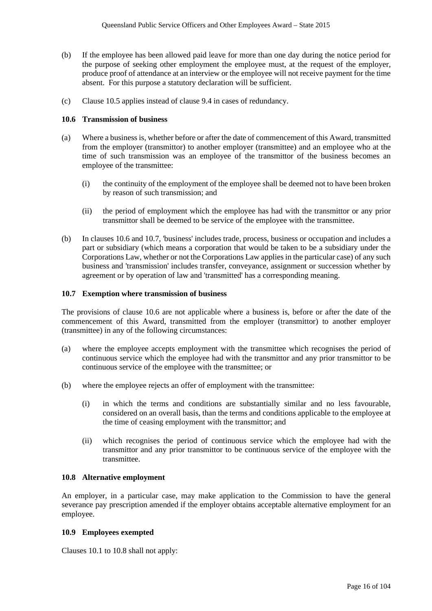- (b) If the employee has been allowed paid leave for more than one day during the notice period for the purpose of seeking other employment the employee must, at the request of the employer, produce proof of attendance at an interview or the employee will not receive payment for the time absent. For this purpose a statutory declaration will be sufficient.
- (c) Clause 10.5 applies instead of clause 9.4 in cases of redundancy.

#### **10.6 Transmission of business**

- (a) Where a business is, whether before or after the date of commencement of this Award, transmitted from the employer (transmittor) to another employer (transmittee) and an employee who at the time of such transmission was an employee of the transmittor of the business becomes an employee of the transmittee:
	- (i) the continuity of the employment of the employee shall be deemed not to have been broken by reason of such transmission; and
	- (ii) the period of employment which the employee has had with the transmittor or any prior transmittor shall be deemed to be service of the employee with the transmittee.
- (b) In clauses 10.6 and 10.7, 'business' includes trade, process, business or occupation and includes a part or subsidiary (which means a corporation that would be taken to be a subsidiary under the Corporations Law, whether or not the Corporations Law applies in the particular case) of any such business and 'transmission' includes transfer, conveyance, assignment or succession whether by agreement or by operation of law and 'transmitted' has a corresponding meaning.

### **10.7 Exemption where transmission of business**

The provisions of clause 10.6 are not applicable where a business is, before or after the date of the commencement of this Award, transmitted from the employer (transmittor) to another employer (transmittee) in any of the following circumstances:

- (a) where the employee accepts employment with the transmittee which recognises the period of continuous service which the employee had with the transmittor and any prior transmittor to be continuous service of the employee with the transmittee; or
- (b) where the employee rejects an offer of employment with the transmittee:
	- (i) in which the terms and conditions are substantially similar and no less favourable, considered on an overall basis, than the terms and conditions applicable to the employee at the time of ceasing employment with the transmittor; and
	- (ii) which recognises the period of continuous service which the employee had with the transmittor and any prior transmittor to be continuous service of the employee with the transmittee.

#### **10.8 Alternative employment**

An employer, in a particular case, may make application to the Commission to have the general severance pay prescription amended if the employer obtains acceptable alternative employment for an employee.

#### **10.9 Employees exempted**

Clauses 10.1 to 10.8 shall not apply: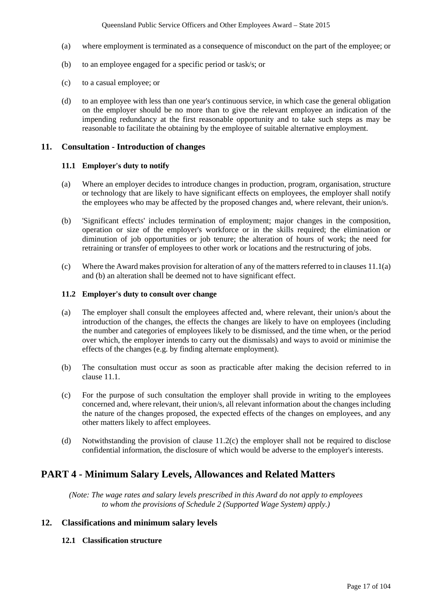- (a) where employment is terminated as a consequence of misconduct on the part of the employee; or
- (b) to an employee engaged for a specific period or task/s; or
- (c) to a casual employee; or
- (d) to an employee with less than one year's continuous service, in which case the general obligation on the employer should be no more than to give the relevant employee an indication of the impending redundancy at the first reasonable opportunity and to take such steps as may be reasonable to facilitate the obtaining by the employee of suitable alternative employment.

#### **11. Consultation - Introduction of changes**

#### **11.1 Employer's duty to notify**

- (a) Where an employer decides to introduce changes in production, program, organisation, structure or technology that are likely to have significant effects on employees, the employer shall notify the employees who may be affected by the proposed changes and, where relevant, their union/s.
- (b) 'Significant effects' includes termination of employment; major changes in the composition, operation or size of the employer's workforce or in the skills required; the elimination or diminution of job opportunities or job tenure; the alteration of hours of work; the need for retraining or transfer of employees to other work or locations and the restructuring of jobs.
- (c) Where the Award makes provision for alteration of any of the matters referred to in clauses 11.1(a) and (b) an alteration shall be deemed not to have significant effect.

## **11.2 Employer's duty to consult over change**

- (a) The employer shall consult the employees affected and, where relevant, their union/s about the introduction of the changes, the effects the changes are likely to have on employees (including the number and categories of employees likely to be dismissed, and the time when, or the period over which, the employer intends to carry out the dismissals) and ways to avoid or minimise the effects of the changes (e.g. by finding alternate employment).
- (b) The consultation must occur as soon as practicable after making the decision referred to in clause 11.1.
- (c) For the purpose of such consultation the employer shall provide in writing to the employees concerned and, where relevant, their union/s, all relevant information about the changes including the nature of the changes proposed, the expected effects of the changes on employees, and any other matters likely to affect employees.
- (d) Notwithstanding the provision of clause 11.2(c) the employer shall not be required to disclose confidential information, the disclosure of which would be adverse to the employer's interests.

## **PART 4 - Minimum Salary Levels, Allowances and Related Matters**

*(Note: The wage rates and salary levels prescribed in this Award do not apply to employees to whom the provisions of Schedule 2 (Supported Wage System) apply.)*

## **12. Classifications and minimum salary levels**

#### **12.1 Classification structure**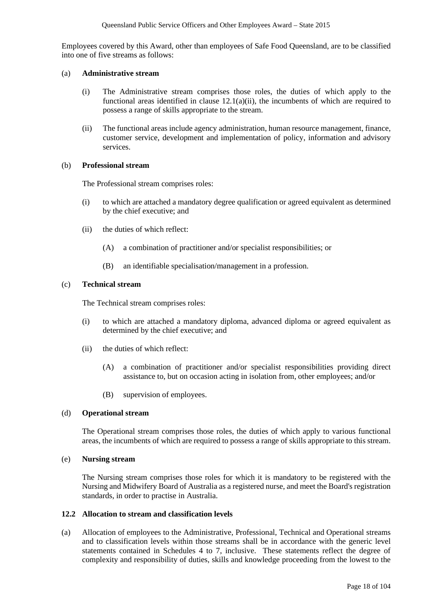Employees covered by this Award, other than employees of Safe Food Queensland, are to be classified into one of five streams as follows:

#### (a) **Administrative stream**

- (i) The Administrative stream comprises those roles, the duties of which apply to the functional areas identified in clause 12.1(a)(ii), the incumbents of which are required to possess a range of skills appropriate to the stream.
- (ii) The functional areas include agency administration, human resource management, finance, customer service, development and implementation of policy, information and advisory services.

#### (b) **Professional stream**

The Professional stream comprises roles:

- (i) to which are attached a mandatory degree qualification or agreed equivalent as determined by the chief executive; and
- (ii) the duties of which reflect:
	- (A) a combination of practitioner and/or specialist responsibilities; or
	- (B) an identifiable specialisation/management in a profession.

#### (c) **Technical stream**

The Technical stream comprises roles:

- (i) to which are attached a mandatory diploma, advanced diploma or agreed equivalent as determined by the chief executive; and
- (ii) the duties of which reflect:
	- (A) a combination of practitioner and/or specialist responsibilities providing direct assistance to, but on occasion acting in isolation from, other employees; and/or
	- (B) supervision of employees.

#### (d) **Operational stream**

The Operational stream comprises those roles, the duties of which apply to various functional areas, the incumbents of which are required to possess a range of skills appropriate to this stream.

#### (e) **Nursing stream**

The Nursing stream comprises those roles for which it is mandatory to be registered with the Nursing and Midwifery Board of Australia as a registered nurse, and meet the Board's registration standards, in order to practise in Australia.

#### **12.2 Allocation to stream and classification levels**

(a) Allocation of employees to the Administrative, Professional, Technical and Operational streams and to classification levels within those streams shall be in accordance with the generic level statements contained in Schedules 4 to 7, inclusive. These statements reflect the degree of complexity and responsibility of duties, skills and knowledge proceeding from the lowest to the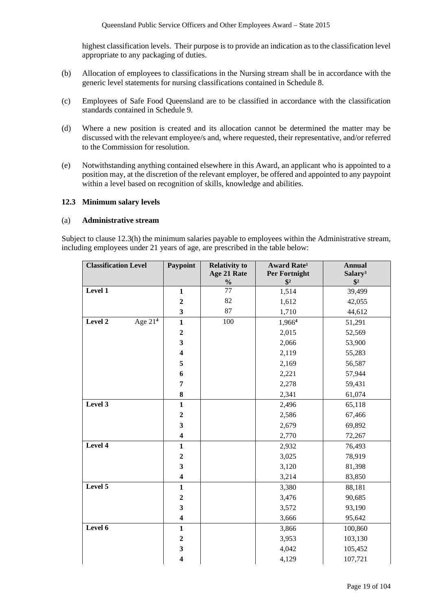highest classification levels. Their purpose is to provide an indication as to the classification level appropriate to any packaging of duties.

- (b) Allocation of employees to classifications in the Nursing stream shall be in accordance with the generic level statements for nursing classifications contained in Schedule 8.
- (c) Employees of Safe Food Queensland are to be classified in accordance with the classification standards contained in Schedule 9.
- (d) Where a new position is created and its allocation cannot be determined the matter may be discussed with the relevant employee/s and, where requested, their representative, and/or referred to the Commission for resolution.
- (e) Notwithstanding anything contained elsewhere in this Award, an applicant who is appointed to a position may, at the discretion of the relevant employer, be offered and appointed to any paypoint within a level based on recognition of skills, knowledge and abilities.

#### **12.3 Minimum salary levels**

#### (a) **Administrative stream**

Subject to clause 12.3(h) the minimum salaries payable to employees within the Administrative stream, including employees under 21 years of age, are prescribed in the table below:

| <b>Classification Level</b> | Paypoint                | <b>Relativity to</b> | Award Rate <sup>1</sup>        | <b>Annual</b>                        |
|-----------------------------|-------------------------|----------------------|--------------------------------|--------------------------------------|
|                             |                         | Age 21 Rate          | Per Fortnight<br>$\frac{1}{2}$ | Salary <sup>3</sup><br>$\frac{1}{2}$ |
| Level 1                     | $\mathbf{1}$            | $\frac{1}{2}$<br>77  | 1,514                          | 39,499                               |
|                             | $\boldsymbol{2}$        | 82                   | 1,612                          | 42,055                               |
|                             | $\mathbf{3}$            | 87                   | 1,710                          | 44,612                               |
| Level 2<br>Age $214$        | $\mathbf{1}$            | $100\,$              | 1,9664                         | 51,291                               |
|                             | $\boldsymbol{2}$        |                      | 2,015                          | 52,569                               |
|                             | $\overline{\mathbf{3}}$ |                      | 2,066                          | 53,900                               |
|                             | $\overline{\mathbf{4}}$ |                      | 2,119                          | 55,283                               |
|                             | 5                       |                      | 2,169                          | 56,587                               |
|                             | 6                       |                      | 2,221                          | 57,944                               |
|                             | $\overline{7}$          |                      | 2,278                          | 59,431                               |
|                             | 8                       |                      | 2,341                          | 61,074                               |
| Level 3                     | $\mathbf{1}$            |                      | 2,496                          | 65,118                               |
|                             | $\boldsymbol{2}$        |                      | 2,586                          | 67,466                               |
|                             | $\overline{\mathbf{3}}$ |                      | 2,679                          | 69,892                               |
|                             | $\overline{\mathbf{4}}$ |                      | 2,770                          | 72,267                               |
| Level 4                     | $\mathbf{1}$            |                      | 2,932                          | 76,493                               |
|                             | $\boldsymbol{2}$        |                      | 3,025                          | 78,919                               |
|                             | $\overline{\mathbf{3}}$ |                      | 3,120                          | 81,398                               |
|                             | $\overline{\mathbf{4}}$ |                      | 3,214                          | 83,850                               |
| Level 5                     | $\mathbf{1}$            |                      | 3,380                          | 88,181                               |
|                             | $\boldsymbol{2}$        |                      | 3,476                          | 90,685                               |
|                             | $\overline{\mathbf{3}}$ |                      | 3,572                          | 93,190                               |
|                             | $\boldsymbol{4}$        |                      | 3,666                          | 95,642                               |
| Level 6                     | $\mathbf{1}$            |                      | 3,866                          | 100,860                              |
|                             | $\boldsymbol{2}$        |                      | 3,953                          | 103,130                              |
|                             | $\mathbf{3}$            |                      | 4,042                          | 105,452                              |
|                             | $\overline{\mathbf{4}}$ |                      | 4,129                          | 107,721                              |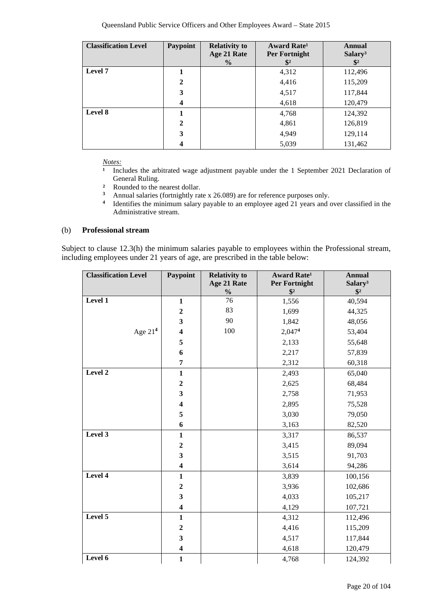| <b>Classification Level</b> | Paypoint         | <b>Relativity to</b> | Award Rate <sup>1</sup> | <b>Annual</b>       |
|-----------------------------|------------------|----------------------|-------------------------|---------------------|
|                             |                  | Age 21 Rate          | Per Fortnight           | Salary <sup>3</sup> |
|                             |                  | $\frac{6}{9}$        |                         | $\mathbb{S}^2$      |
| Level 7                     |                  |                      | 4,312                   | 112,496             |
|                             | $\boldsymbol{2}$ |                      | 4,416                   | 115,209             |
|                             | 3                |                      | 4,517                   | 117,844             |
|                             | $\boldsymbol{4}$ |                      | 4,618                   | 120,479             |
| Level 8                     | 1                |                      | 4,768                   | 124,392             |
|                             | $\mathbf{2}$     |                      | 4,861                   | 126,819             |
|                             | 3                |                      | 4,949                   | 129,114             |
|                             | $\boldsymbol{4}$ |                      | 5,039                   | 131,462             |

*Notes:*<br><sup>1</sup> Inc</sub>

Includes the arbitrated wage adjustment payable under the 1 September 2021 Declaration of General Ruling.

- <sup>2</sup> Rounded to the nearest dollar.<br><sup>3</sup> Annual salaries (fortnightly rat
- **<sup>3</sup>** Annual salaries (fortnightly rate x 26.089) are for reference purposes only.
- <sup>4</sup> Identifies the minimum salary payable to an employee aged 21 years and over classified in the Administrative stream.

#### (b) **Professional stream**

Subject to clause 12.3(h) the minimum salaries payable to employees within the Professional stream, including employees under 21 years of age, are prescribed in the table below:

| <b>Classification Level</b> | Paypoint                | <b>Relativity to</b>         | <b>Award Rate<sup>1</sup></b>         | <b>Annual</b>                        |
|-----------------------------|-------------------------|------------------------------|---------------------------------------|--------------------------------------|
|                             |                         | Age 21 Rate<br>$\frac{0}{0}$ | <b>Per Fortnight</b><br>$\frac{1}{2}$ | Salary <sup>3</sup><br>$\frac{1}{2}$ |
| Level 1                     | $\mathbf{1}$            | 76                           | 1,556                                 | 40,594                               |
|                             | $\boldsymbol{2}$        | 83                           | 1,699                                 | 44,325                               |
|                             |                         | 90                           |                                       |                                      |
|                             | 3                       | 100                          | 1,842                                 | 48,056                               |
| Age $214$                   | $\overline{\mathbf{4}}$ |                              | 2,0474                                | 53,404                               |
|                             | 5                       |                              | 2,133                                 | 55,648                               |
|                             | 6                       |                              | 2,217                                 | 57,839                               |
|                             | 7                       |                              | 2,312                                 | 60,318                               |
| Level 2                     | $\mathbf{1}$            |                              | 2,493                                 | 65,040                               |
|                             | $\boldsymbol{2}$        |                              | 2,625                                 | 68,484                               |
|                             | 3                       |                              | 2,758                                 | 71,953                               |
|                             | $\overline{\mathbf{4}}$ |                              | 2,895                                 | 75,528                               |
|                             | 5                       |                              | 3,030                                 | 79,050                               |
|                             | 6                       |                              | 3,163                                 | 82,520                               |
| Level 3                     | $\mathbf{1}$            |                              | 3,317                                 | 86,537                               |
|                             | $\boldsymbol{2}$        |                              | 3,415                                 | 89,094                               |
|                             | 3                       |                              | 3,515                                 | 91,703                               |
|                             | $\overline{\mathbf{4}}$ |                              | 3,614                                 | 94,286                               |
| Level 4                     | $\mathbf{1}$            |                              | 3,839                                 | 100,156                              |
|                             | $\boldsymbol{2}$        |                              | 3,936                                 | 102,686                              |
|                             | 3                       |                              | 4,033                                 | 105,217                              |
|                             | $\overline{\mathbf{4}}$ |                              | 4,129                                 | 107,721                              |
| Level 5                     | $\mathbf{1}$            |                              | 4,312                                 | 112,496                              |
|                             | $\overline{2}$          |                              | 4,416                                 | 115,209                              |
|                             | 3                       |                              | 4,517                                 | 117,844                              |
|                             | $\overline{\mathbf{4}}$ |                              | 4,618                                 | 120,479                              |
| Level 6                     | $\mathbf{1}$            |                              | 4,768                                 | 124,392                              |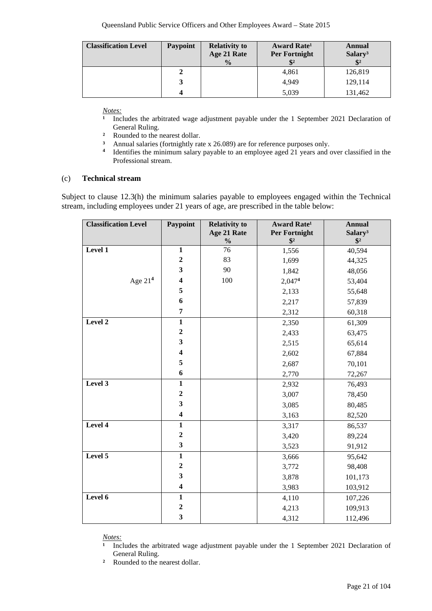| <b>Classification Level</b> | Paypoint | <b>Relativity to</b><br>Age 21 Rate<br>$\frac{0}{0}$ | Award Rate <sup>1</sup><br>Per Fortnight | Annual<br>Salary <sup>3</sup><br>$$^{2}$ |
|-----------------------------|----------|------------------------------------------------------|------------------------------------------|------------------------------------------|
|                             |          |                                                      | 4,861                                    | 126,819                                  |
|                             |          |                                                      | 4,949                                    | 129,114                                  |
|                             |          |                                                      | 5,039                                    | 131,462                                  |

*<u>Notes:</u>*<br><sup>1</sup> *Inc.* 

- Includes the arbitrated wage adjustment payable under the 1 September 2021 Declaration of General Ruling.
- <sup>2</sup> Rounded to the nearest dollar.<br><sup>3</sup> Annual salaries (fortnightly rate
- <sup>3</sup> Annual salaries (fortnightly rate x 26.089) are for reference purposes only.<br><sup>4</sup> Identifies the minimum salary payable to an employee aged 21 years and a
- **<sup>4</sup>** Identifies the minimum salary payable to an employee aged 21 years and over classified in the Professional stream.

#### (c) **Technical stream**

Subject to clause 12.3(h) the minimum salaries payable to employees engaged within the Technical stream, including employees under 21 years of age, are prescribed in the table below:

| <b>Classification Level</b> | Paypoint                | <b>Relativity to</b><br>Age 21 Rate<br>$\frac{0}{0}$ | <b>Award Rate<sup>1</sup></b><br>Per Fortnight<br>$\sqrt[6]{2}$ | <b>Annual</b><br>Salary <sup>3</sup><br>$$^{2}$ |
|-----------------------------|-------------------------|------------------------------------------------------|-----------------------------------------------------------------|-------------------------------------------------|
| Level 1                     | $\mathbf{1}$            | 76                                                   | 1,556                                                           | 40,594                                          |
|                             | $\mathbf 2$             | 83                                                   | 1,699                                                           | 44,325                                          |
|                             | $\mathbf{3}$            | 90                                                   | 1,842                                                           | 48,056                                          |
| Age $214$                   | $\boldsymbol{4}$        | 100                                                  | 2,0474                                                          | 53,404                                          |
|                             | 5                       |                                                      | 2,133                                                           | 55,648                                          |
|                             | 6                       |                                                      | 2,217                                                           | 57,839                                          |
|                             | $\overline{7}$          |                                                      | 2,312                                                           | 60,318                                          |
| Level 2                     | $\mathbf{1}$            |                                                      | 2,350                                                           | 61,309                                          |
|                             | $\mathbf 2$             |                                                      | 2,433                                                           | 63,475                                          |
|                             | $\mathbf{3}$            |                                                      | 2,515                                                           | 65,614                                          |
|                             | $\overline{\mathbf{4}}$ |                                                      | 2,602                                                           | 67,884                                          |
|                             | 5                       |                                                      | 2,687                                                           | 70,101                                          |
|                             | 6                       |                                                      | 2,770                                                           | 72,267                                          |
| Level 3                     | $\overline{\mathbf{1}}$ |                                                      | 2,932                                                           | 76,493                                          |
|                             | $\mathbf 2$             |                                                      | 3,007                                                           | 78,450                                          |
|                             | $\mathbf{3}$            |                                                      | 3,085                                                           | 80,485                                          |
|                             | $\overline{\mathbf{4}}$ |                                                      | 3,163                                                           | 82,520                                          |
| Level 4                     | $\mathbf{1}$            |                                                      | 3,317                                                           | 86,537                                          |
|                             | $\mathbf 2$             |                                                      | 3,420                                                           | 89,224                                          |
|                             | $\overline{\mathbf{3}}$ |                                                      | 3,523                                                           | 91,912                                          |
| Level 5                     | $\mathbf{1}$            |                                                      | 3,666                                                           | 95,642                                          |
|                             | $\mathbf 2$             |                                                      | 3,772                                                           | 98,408                                          |
|                             | $\overline{\mathbf{3}}$ |                                                      | 3,878                                                           | 101,173                                         |
|                             | $\overline{\mathbf{4}}$ |                                                      | 3,983                                                           | 103,912                                         |
| Level 6                     | $\mathbf{1}$            |                                                      | 4,110                                                           | 107,226                                         |
|                             | $\boldsymbol{2}$        |                                                      | 4,213                                                           | 109,913                                         |
|                             | $\overline{\mathbf{3}}$ |                                                      | 4,312                                                           | 112,496                                         |

*Notes:*

**¹** Includes the arbitrated wage adjustment payable under the 1 September 2021 Declaration of General Ruling.

**²** Rounded to the nearest dollar.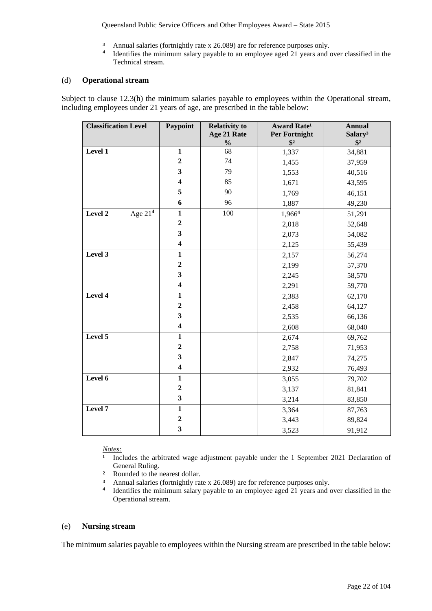Queensland Public Service Officers and Other Employees Award – State 2015

- <sup>3</sup> Annual salaries (fortnightly rate x 26.089) are for reference purposes only.<br><sup>4</sup> Identifies the minimum salary payable to an employee aged 21 years and d
- **<sup>4</sup>** Identifies the minimum salary payable to an employee aged 21 years and over classified in the Technical stream.

#### (d) **Operational stream**

Subject to clause 12.3(h) the minimum salaries payable to employees within the Operational stream, including employees under 21 years of age, are prescribed in the table below:

| <b>Classification Level</b> | Paypoint                | <b>Relativity to</b><br>Age 21 Rate<br>$\frac{1}{2}$ | <b>Award Rate<sup>1</sup></b><br>Per Fortnight<br>$\frac{1}{2}$ | <b>Annual</b><br>Salary <sup>3</sup><br>$$^{2}$ |
|-----------------------------|-------------------------|------------------------------------------------------|-----------------------------------------------------------------|-------------------------------------------------|
| Level 1                     | $\mathbf{1}$            | 68                                                   | 1,337                                                           | 34,881                                          |
|                             | $\mathbf 2$             | 74                                                   | 1,455                                                           | 37,959                                          |
|                             | $\overline{\mathbf{3}}$ | 79                                                   | 1,553                                                           | 40,516                                          |
|                             | $\overline{\mathbf{4}}$ | 85                                                   | 1,671                                                           | 43,595                                          |
|                             | 5                       | 90                                                   | 1,769                                                           | 46,151                                          |
|                             | 6                       | 96                                                   | 1,887                                                           | 49,230                                          |
| Age $21^4$<br>Level 2       | $\mathbf{1}$            | 100                                                  | 1,966 <sup>4</sup>                                              | 51,291                                          |
|                             | $\boldsymbol{2}$        |                                                      | 2,018                                                           | 52,648                                          |
|                             | 3                       |                                                      | 2,073                                                           | 54,082                                          |
|                             | $\overline{\mathbf{4}}$ |                                                      | 2,125                                                           | 55,439                                          |
| Level 3                     | $\mathbf{1}$            |                                                      | 2,157                                                           | 56,274                                          |
|                             | $\overline{2}$          |                                                      | 2,199                                                           | 57,370                                          |
|                             | 3                       |                                                      | 2,245                                                           | 58,570                                          |
|                             | $\overline{\mathbf{4}}$ |                                                      | 2,291                                                           | 59,770                                          |
| Level 4                     | $\mathbf{1}$            |                                                      | 2,383                                                           | 62,170                                          |
|                             | $\boldsymbol{2}$        |                                                      | 2,458                                                           | 64,127                                          |
|                             | $\mathbf{3}$            |                                                      | 2,535                                                           | 66,136                                          |
|                             | $\overline{\mathbf{4}}$ |                                                      | 2,608                                                           | 68,040                                          |
| Level 5                     | $\mathbf{1}$            |                                                      | 2,674                                                           | 69,762                                          |
|                             | $\overline{2}$          |                                                      | 2,758                                                           | 71,953                                          |
|                             | $\overline{\mathbf{3}}$ |                                                      | 2,847                                                           | 74,275                                          |
|                             | $\overline{\mathbf{4}}$ |                                                      | 2,932                                                           | 76,493                                          |
| Level $\overline{6}$        | $\mathbf{1}$            |                                                      | 3,055                                                           | 79,702                                          |
|                             | $\overline{2}$          |                                                      | 3,137                                                           | 81,841                                          |
|                             | $\mathbf{3}$            |                                                      | 3,214                                                           | 83,850                                          |
| Level 7                     | $\overline{\mathbf{1}}$ |                                                      | 3,364                                                           | 87,763                                          |
|                             | $\overline{2}$          |                                                      | 3,443                                                           | 89,824                                          |
|                             | $\overline{\mathbf{3}}$ |                                                      | 3,523                                                           | 91,912                                          |

*Notes:*

- **¹** Includes the arbitrated wage adjustment payable under the 1 September 2021 Declaration of General Ruling.
- **²** Rounded to the nearest dollar.
- **3** Annual salaries (fortnightly rate x 26.089) are for reference purposes only.<br>**4** Identifies the minimum salary payable to an employee aged 21 years and
- **<sup>4</sup>** Identifies the minimum salary payable to an employee aged 21 years and over classified in the Operational stream.

#### (e) **Nursing stream**

The minimum salaries payable to employees within the Nursing stream are prescribed in the table below: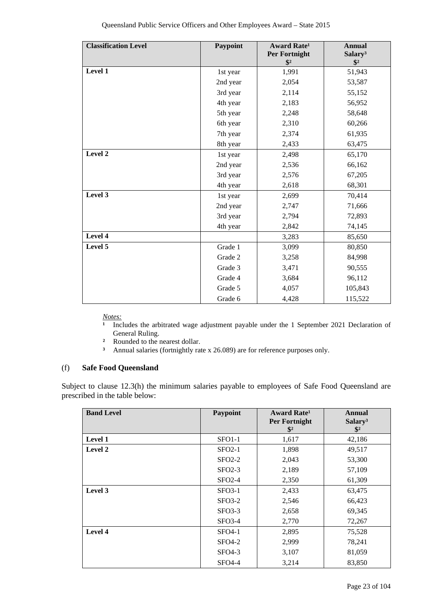| <b>Classification Level</b> | Paypoint | <b>Award Rate<sup>1</sup></b><br>Per Fortnight<br>$\mathbf{\$}^2$ | <b>Annual</b><br>Salary <sup>3</sup><br>$\frac{1}{2}$ |
|-----------------------------|----------|-------------------------------------------------------------------|-------------------------------------------------------|
| Level 1                     | 1st year | 1,991                                                             | 51,943                                                |
|                             | 2nd year | 2,054                                                             | 53,587                                                |
|                             | 3rd year | 2,114                                                             | 55,152                                                |
|                             | 4th year | 2,183                                                             | 56,952                                                |
|                             | 5th year | 2,248                                                             | 58,648                                                |
|                             | 6th year | 2,310                                                             | 60,266                                                |
|                             | 7th year | 2,374                                                             | 61,935                                                |
|                             | 8th year | 2,433                                                             | 63,475                                                |
| Level 2                     | 1st year | 2,498                                                             | 65,170                                                |
|                             | 2nd year | 2,536                                                             | 66,162                                                |
|                             | 3rd year | 2,576                                                             | 67,205                                                |
|                             | 4th year | 2,618                                                             | 68,301                                                |
| Level 3                     | 1st year | 2,699                                                             | 70,414                                                |
|                             | 2nd year | 2,747                                                             | 71,666                                                |
|                             | 3rd year | 2,794                                                             | 72,893                                                |
|                             | 4th year | 2,842                                                             | 74,145                                                |
| Level 4                     |          | 3,283                                                             | 85,650                                                |
| Level 5                     | Grade 1  | 3,099                                                             | 80,850                                                |
|                             | Grade 2  | 3,258                                                             | 84,998                                                |
|                             | Grade 3  | 3,471                                                             | 90,555                                                |
|                             | Grade 4  | 3,684                                                             | 96,112                                                |
|                             | Grade 5  | 4,057                                                             | 105,843                                               |
|                             | Grade 6  | 4,428                                                             | 115,522                                               |

*Notes:*<br><sup>1</sup> Inc</sub>

**¹** Includes the arbitrated wage adjustment payable under the 1 September 2021 Declaration of General Ruling.

- <sup>2</sup> Rounded to the nearest dollar.<br><sup>3</sup> Annual salaries (fortnightly rate
- **³** Annual salaries (fortnightly rate x 26.089) are for reference purposes only.

#### (f) **Safe Food Queensland**

Subject to clause 12.3(h) the minimum salaries payable to employees of Safe Food Queensland are prescribed in the table below:

| <b>Band Level</b> | Paypoint            | Award Rate <sup>1</sup><br><b>Per Fortnight</b><br>$\mathbf{\$}^2$ | Annual<br>Salary <sup>3</sup><br>$\mathbf{\$}^2$ |
|-------------------|---------------------|--------------------------------------------------------------------|--------------------------------------------------|
| <b>Level 1</b>    | SFO <sub>1</sub> -1 | 1,617                                                              | 42,186                                           |
| <b>Level 2</b>    | $SFO2-1$            | 1,898                                                              | 49,517                                           |
|                   | $SFO2-2$            | 2,043                                                              | 53,300                                           |
|                   | $SFO2-3$            | 2,189                                                              | 57,109                                           |
|                   | $SFO2-4$            | 2,350                                                              | 61,309                                           |
| Level 3           | $SFO3-1$            | 2,433                                                              | 63,475                                           |
|                   | $SFO3-2$            | 2,546                                                              | 66,423                                           |
|                   | $SFO3-3$            | 2,658                                                              | 69,345                                           |
|                   | $SFO3-4$            | 2,770                                                              | 72,267                                           |
| Level 4           | SFO4-1              | 2,895                                                              | 75,528                                           |
|                   | $SFO4-2$            | 2,999                                                              | 78,241                                           |
|                   | $SFO4-3$            | 3,107                                                              | 81,059                                           |
|                   | $SFO4-4$            | 3,214                                                              | 83,850                                           |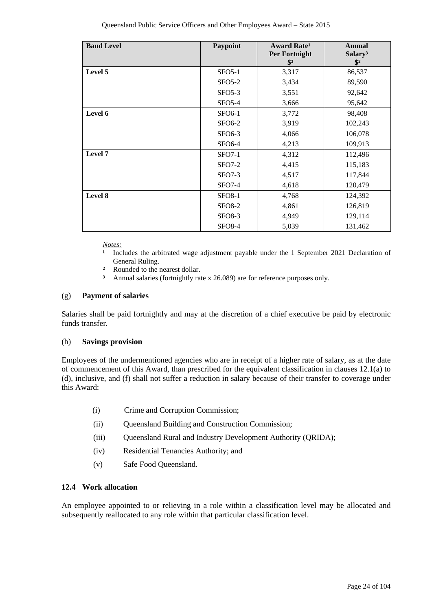| <b>Band Level</b> | Paypoint      | <b>Award Rate<sup>1</sup></b><br><b>Per Fortnight</b><br>$\mathbf{\$}^2$ | <b>Annual</b><br>Salary <sup>3</sup><br>$\mathbf{\$}^2$ |
|-------------------|---------------|--------------------------------------------------------------------------|---------------------------------------------------------|
| Level 5           | $SFO5-1$      | 3,317                                                                    | 86,537                                                  |
|                   | $SFO5-2$      | 3,434                                                                    | 89,590                                                  |
|                   | $SFO5-3$      | 3,551                                                                    | 92,642                                                  |
|                   | $SFO5-4$      | 3,666                                                                    | 95,642                                                  |
| Level 6           | <b>SFO6-1</b> | 3,772                                                                    | 98,408                                                  |
|                   | <b>SFO6-2</b> | 3,919                                                                    | 102,243                                                 |
|                   | <b>SFO6-3</b> | 4,066                                                                    | 106,078                                                 |
|                   | <b>SFO6-4</b> | 4,213                                                                    | 109,913                                                 |
| Level 7           | $SFO7-1$      | 4,312                                                                    | 112,496                                                 |
|                   | <b>SFO7-2</b> | 4,415                                                                    | 115,183                                                 |
|                   | $SFO7-3$      | 4,517                                                                    | 117,844                                                 |
|                   | <b>SFO7-4</b> | 4,618                                                                    | 120,479                                                 |
| Level 8           | <b>SFO8-1</b> | 4,768                                                                    | 124,392                                                 |
|                   | <b>SFO8-2</b> | 4,861                                                                    | 126,819                                                 |
|                   | <b>SFO8-3</b> | 4,949                                                                    | 129,114                                                 |
|                   | <b>SFO8-4</b> | 5,039                                                                    | 131,462                                                 |

*Notes:*

- **¹** Includes the arbitrated wage adjustment payable under the 1 September 2021 Declaration of General Ruling.
- <sup>2</sup> Rounded to the nearest dollar.
	- **³** Annual salaries (fortnightly rate x 26.089) are for reference purposes only.

#### (g) **Payment of salaries**

Salaries shall be paid fortnightly and may at the discretion of a chief executive be paid by electronic funds transfer.

#### (h) **Savings provision**

Employees of the undermentioned agencies who are in receipt of a higher rate of salary, as at the date of commencement of this Award, than prescribed for the equivalent classification in clauses 12.1(a) to (d), inclusive, and (f) shall not suffer a reduction in salary because of their transfer to coverage under this Award:

- (i) Crime and Corruption Commission;
- (ii) Queensland Building and Construction Commission;
- (iii) Queensland Rural and Industry Development Authority (QRIDA);
- (iv) Residential Tenancies Authority; and
- (v) Safe Food Queensland.

#### **12.4 Work allocation**

An employee appointed to or relieving in a role within a classification level may be allocated and subsequently reallocated to any role within that particular classification level.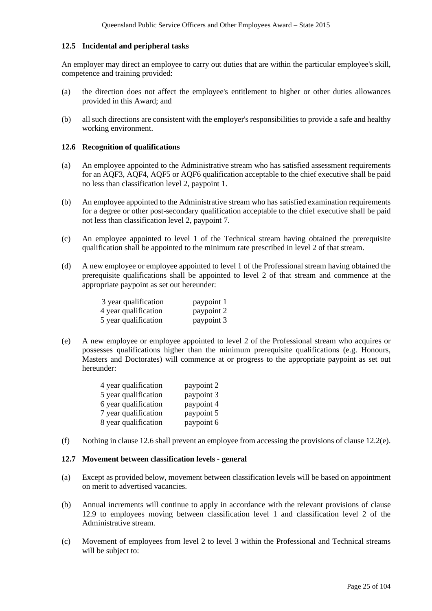#### **12.5 Incidental and peripheral tasks**

An employer may direct an employee to carry out duties that are within the particular employee's skill, competence and training provided:

- (a) the direction does not affect the employee's entitlement to higher or other duties allowances provided in this Award; and
- (b) all such directions are consistent with the employer's responsibilities to provide a safe and healthy working environment.

#### **12.6 Recognition of qualifications**

- (a) An employee appointed to the Administrative stream who has satisfied assessment requirements for an AQF3, AQF4, AQF5 or AQF6 qualification acceptable to the chief executive shall be paid no less than classification level 2, paypoint 1.
- (b) An employee appointed to the Administrative stream who has satisfied examination requirements for a degree or other post-secondary qualification acceptable to the chief executive shall be paid not less than classification level 2, paypoint 7.
- (c) An employee appointed to level 1 of the Technical stream having obtained the prerequisite qualification shall be appointed to the minimum rate prescribed in level 2 of that stream.
- (d) A new employee or employee appointed to level 1 of the Professional stream having obtained the prerequisite qualifications shall be appointed to level 2 of that stream and commence at the appropriate paypoint as set out hereunder:

| 3 year qualification | paypoint 1 |
|----------------------|------------|
| 4 year qualification | paypoint 2 |
| 5 year qualification | paypoint 3 |

(e) A new employee or employee appointed to level 2 of the Professional stream who acquires or possesses qualifications higher than the minimum prerequisite qualifications (e.g. Honours, Masters and Doctorates) will commence at or progress to the appropriate paypoint as set out hereunder:

| 4 year qualification | paypoint 2 |
|----------------------|------------|
| 5 year qualification | paypoint 3 |
| 6 year qualification | paypoint 4 |
| 7 year qualification | paypoint 5 |
| 8 year qualification | paypoint 6 |

(f) Nothing in clause 12.6 shall prevent an employee from accessing the provisions of clause 12.2(e).

#### **12.7 Movement between classification levels - general**

- (a) Except as provided below, movement between classification levels will be based on appointment on merit to advertised vacancies.
- (b) Annual increments will continue to apply in accordance with the relevant provisions of clause 12.9 to employees moving between classification level 1 and classification level 2 of the Administrative stream.
- (c) Movement of employees from level 2 to level 3 within the Professional and Technical streams will be subject to: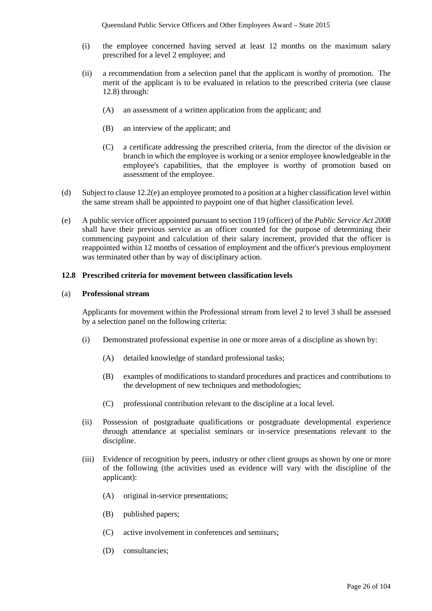- (i) the employee concerned having served at least 12 months on the maximum salary prescribed for a level 2 employee; and
- (ii) a recommendation from a selection panel that the applicant is worthy of promotion. The merit of the applicant is to be evaluated in relation to the prescribed criteria (see clause 12.8) through:
	- (A) an assessment of a written application from the applicant; and
	- (B) an interview of the applicant; and
	- (C) a certificate addressing the prescribed criteria, from the director of the division or branch in which the employee is working or a senior employee knowledgeable in the employee's capabilities, that the employee is worthy of promotion based on assessment of the employee.
- (d) Subject to clause 12.2(e) an employee promoted to a position at a higher classification level within the same stream shall be appointed to paypoint one of that higher classification level.
- (e) A public service officer appointed pursuant to section 119 (officer) of the *Public Service Act 2008* shall have their previous service as an officer counted for the purpose of determining their commencing paypoint and calculation of their salary increment, provided that the officer is reappointed within 12 months of cessation of employment and the officer's previous employment was terminated other than by way of disciplinary action.

#### **12.8 Prescribed criteria for movement between classification levels**

#### (a) **Professional stream**

Applicants for movement within the Professional stream from level 2 to level 3 shall be assessed by a selection panel on the following criteria:

- (i) Demonstrated professional expertise in one or more areas of a discipline as shown by:
	- (A) detailed knowledge of standard professional tasks;
	- (B) examples of modifications to standard procedures and practices and contributions to the development of new techniques and methodologies;
	- (C) professional contribution relevant to the discipline at a local level.
- (ii) Possession of postgraduate qualifications or postgraduate developmental experience through attendance at specialist seminars or in-service presentations relevant to the discipline.
- (iii) Evidence of recognition by peers, industry or other client groups as shown by one or more of the following (the activities used as evidence will vary with the discipline of the applicant):
	- (A) original in-service presentations;
	- (B) published papers;
	- (C) active involvement in conferences and seminars;
	- (D) consultancies;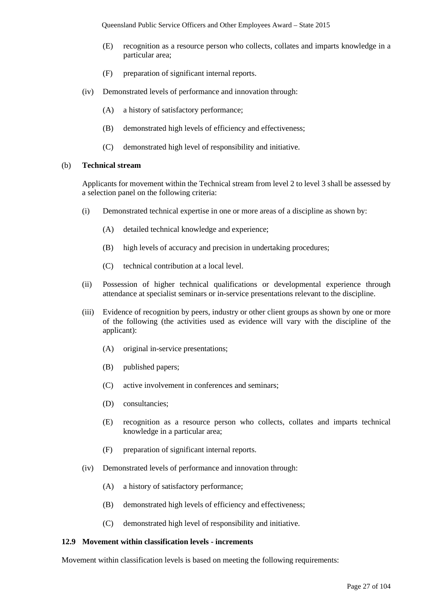- (E) recognition as a resource person who collects, collates and imparts knowledge in a particular area;
- (F) preparation of significant internal reports.
- (iv) Demonstrated levels of performance and innovation through:
	- (A) a history of satisfactory performance;
	- (B) demonstrated high levels of efficiency and effectiveness;
	- (C) demonstrated high level of responsibility and initiative.

#### (b) **Technical stream**

Applicants for movement within the Technical stream from level 2 to level 3 shall be assessed by a selection panel on the following criteria:

- (i) Demonstrated technical expertise in one or more areas of a discipline as shown by:
	- (A) detailed technical knowledge and experience;
	- (B) high levels of accuracy and precision in undertaking procedures;
	- (C) technical contribution at a local level.
- (ii) Possession of higher technical qualifications or developmental experience through attendance at specialist seminars or in-service presentations relevant to the discipline.
- (iii) Evidence of recognition by peers, industry or other client groups as shown by one or more of the following (the activities used as evidence will vary with the discipline of the applicant):
	- (A) original in-service presentations;
	- (B) published papers;
	- (C) active involvement in conferences and seminars;
	- (D) consultancies;
	- (E) recognition as a resource person who collects, collates and imparts technical knowledge in a particular area;
	- (F) preparation of significant internal reports.
- (iv) Demonstrated levels of performance and innovation through:
	- (A) a history of satisfactory performance;
	- (B) demonstrated high levels of efficiency and effectiveness;
	- (C) demonstrated high level of responsibility and initiative.

#### **12.9 Movement within classification levels - increments**

Movement within classification levels is based on meeting the following requirements: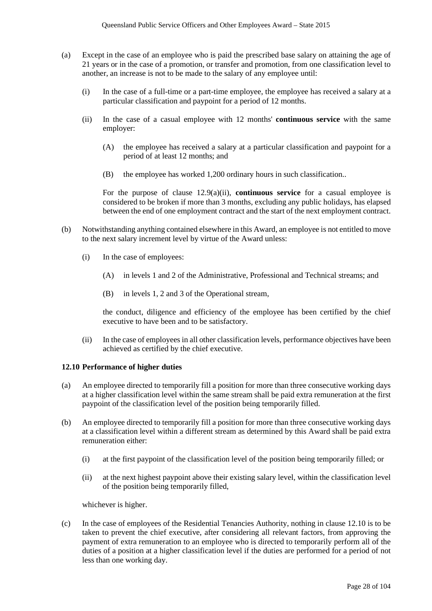- (a) Except in the case of an employee who is paid the prescribed base salary on attaining the age of 21 years or in the case of a promotion, or transfer and promotion, from one classification level to another, an increase is not to be made to the salary of any employee until:
	- (i) In the case of a full-time or a part-time employee, the employee has received a salary at a particular classification and paypoint for a period of 12 months.
	- (ii) In the case of a casual employee with 12 months' **continuous service** with the same employer:
		- (A) the employee has received a salary at a particular classification and paypoint for a period of at least 12 months; and
		- (B) the employee has worked 1,200 ordinary hours in such classification..

For the purpose of clause 12.9(a)(ii), **continuous service** for a casual employee is considered to be broken if more than 3 months, excluding any public holidays, has elapsed between the end of one employment contract and the start of the next employment contract.

- (b) Notwithstanding anything contained elsewhere in this Award, an employee is not entitled to move to the next salary increment level by virtue of the Award unless:
	- (i) In the case of employees:
		- (A) in levels 1 and 2 of the Administrative, Professional and Technical streams; and
		- (B) in levels 1, 2 and 3 of the Operational stream,

the conduct, diligence and efficiency of the employee has been certified by the chief executive to have been and to be satisfactory.

(ii) In the case of employees in all other classification levels, performance objectives have been achieved as certified by the chief executive.

#### **12.10 Performance of higher duties**

- (a) An employee directed to temporarily fill a position for more than three consecutive working days at a higher classification level within the same stream shall be paid extra remuneration at the first paypoint of the classification level of the position being temporarily filled.
- (b) An employee directed to temporarily fill a position for more than three consecutive working days at a classification level within a different stream as determined by this Award shall be paid extra remuneration either:
	- (i) at the first paypoint of the classification level of the position being temporarily filled; or
	- (ii) at the next highest paypoint above their existing salary level, within the classification level of the position being temporarily filled,

whichever is higher.

(c) In the case of employees of the Residential Tenancies Authority, nothing in clause 12.10 is to be taken to prevent the chief executive, after considering all relevant factors, from approving the payment of extra remuneration to an employee who is directed to temporarily perform all of the duties of a position at a higher classification level if the duties are performed for a period of not less than one working day.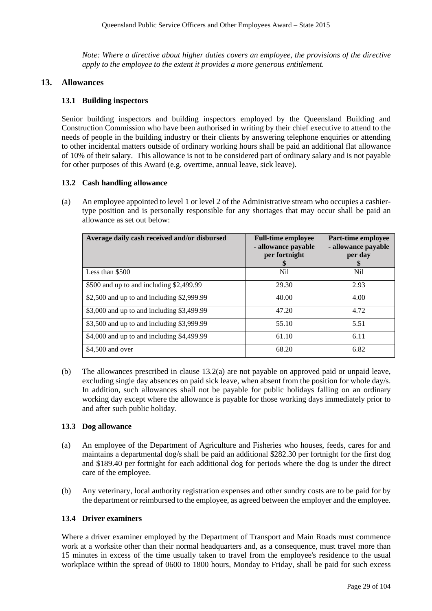*Note: Where a directive about higher duties covers an employee, the provisions of the directive apply to the employee to the extent it provides a more generous entitlement.*

#### **13. Allowances**

#### **13.1 Building inspectors**

Senior building inspectors and building inspectors employed by the Queensland Building and Construction Commission who have been authorised in writing by their chief executive to attend to the needs of people in the building industry or their clients by answering telephone enquiries or attending to other incidental matters outside of ordinary working hours shall be paid an additional flat allowance of 10% of their salary. This allowance is not to be considered part of ordinary salary and is not payable for other purposes of this Award (e.g. overtime, annual leave, sick leave).

#### **13.2 Cash handling allowance**

(a) An employee appointed to level 1 or level 2 of the Administrative stream who occupies a cashiertype position and is personally responsible for any shortages that may occur shall be paid an allowance as set out below:

| Average daily cash received and/or disbursed | <b>Full-time employee</b><br>- allowance payable<br>per fortnight<br>S | Part-time employee<br>- allowance payable<br>per day<br>S |
|----------------------------------------------|------------------------------------------------------------------------|-----------------------------------------------------------|
| Less than \$500                              | N <sub>il</sub>                                                        | Nil                                                       |
| \$500 and up to and including \$2,499.99     | 29.30                                                                  | 2.93                                                      |
| \$2,500 and up to and including \$2,999.99   | 40.00                                                                  | 4.00                                                      |
| \$3,000 and up to and including \$3,499.99   | 47.20                                                                  | 4.72                                                      |
| \$3,500 and up to and including \$3,999.99   | 55.10                                                                  | 5.51                                                      |
| \$4,000 and up to and including \$4,499.99   | 61.10                                                                  | 6.11                                                      |
| \$4,500 and over                             | 68.20                                                                  | 6.82                                                      |

(b) The allowances prescribed in clause 13.2(a) are not payable on approved paid or unpaid leave, excluding single day absences on paid sick leave, when absent from the position for whole day/s. In addition, such allowances shall not be payable for public holidays falling on an ordinary working day except where the allowance is payable for those working days immediately prior to and after such public holiday.

#### **13.3 Dog allowance**

- (a) An employee of the Department of Agriculture and Fisheries who houses, feeds, cares for and maintains a departmental dog/s shall be paid an additional \$282.30 per fortnight for the first dog and \$189.40 per fortnight for each additional dog for periods where the dog is under the direct care of the employee.
- (b) Any veterinary, local authority registration expenses and other sundry costs are to be paid for by the department or reimbursed to the employee, as agreed between the employer and the employee.

#### **13.4 Driver examiners**

Where a driver examiner employed by the Department of Transport and Main Roads must commence work at a worksite other than their normal headquarters and, as a consequence, must travel more than 15 minutes in excess of the time usually taken to travel from the employee's residence to the usual workplace within the spread of 0600 to 1800 hours, Monday to Friday, shall be paid for such excess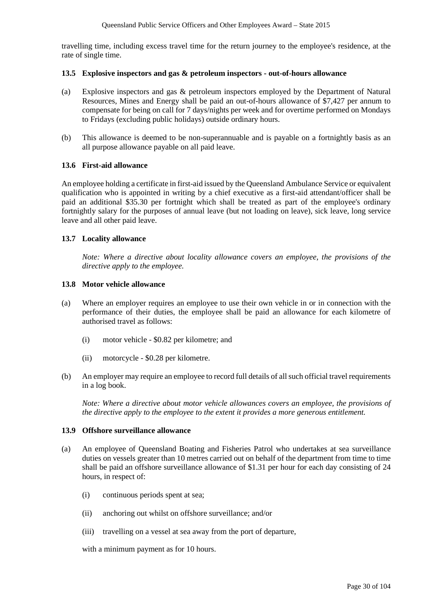travelling time, including excess travel time for the return journey to the employee's residence, at the rate of single time.

#### **13.5 Explosive inspectors and gas & petroleum inspectors - out-of-hours allowance**

- (a) Explosive inspectors and gas & petroleum inspectors employed by the Department of Natural Resources, Mines and Energy shall be paid an out-of-hours allowance of \$7,427 per annum to compensate for being on call for 7 days/nights per week and for overtime performed on Mondays to Fridays (excluding public holidays) outside ordinary hours.
- (b) This allowance is deemed to be non-superannuable and is payable on a fortnightly basis as an all purpose allowance payable on all paid leave.

#### **13.6 First-aid allowance**

An employee holding a certificate in first-aid issued by the Queensland Ambulance Service or equivalent qualification who is appointed in writing by a chief executive as a first-aid attendant/officer shall be paid an additional \$35.30 per fortnight which shall be treated as part of the employee's ordinary fortnightly salary for the purposes of annual leave (but not loading on leave), sick leave, long service leave and all other paid leave.

#### **13.7 Locality allowance**

*Note: Where a directive about locality allowance covers an employee, the provisions of the directive apply to the employee.*

#### **13.8 Motor vehicle allowance**

- (a) Where an employer requires an employee to use their own vehicle in or in connection with the performance of their duties, the employee shall be paid an allowance for each kilometre of authorised travel as follows:
	- (i) motor vehicle \$0.82 per kilometre; and
	- (ii) motorcycle \$0.28 per kilometre.
- (b) An employer may require an employee to record full details of all such official travel requirements in a log book.

*Note: Where a directive about motor vehicle allowances covers an employee, the provisions of the directive apply to the employee to the extent it provides a more generous entitlement.*

#### **13.9 Offshore surveillance allowance**

- (a) An employee of Queensland Boating and Fisheries Patrol who undertakes at sea surveillance duties on vessels greater than 10 metres carried out on behalf of the department from time to time shall be paid an offshore surveillance allowance of \$1.31 per hour for each day consisting of 24 hours, in respect of:
	- (i) continuous periods spent at sea;
	- (ii) anchoring out whilst on offshore surveillance; and/or
	- (iii) travelling on a vessel at sea away from the port of departure,

with a minimum payment as for 10 hours.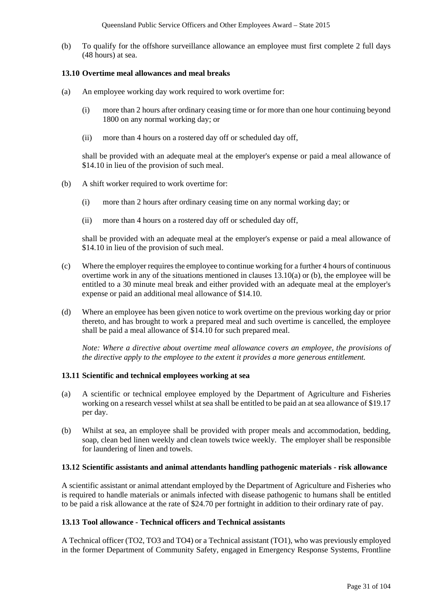(b) To qualify for the offshore surveillance allowance an employee must first complete 2 full days (48 hours) at sea.

#### **13.10 Overtime meal allowances and meal breaks**

- (a) An employee working day work required to work overtime for:
	- (i) more than 2 hours after ordinary ceasing time or for more than one hour continuing beyond 1800 on any normal working day; or
	- (ii) more than 4 hours on a rostered day off or scheduled day off,

shall be provided with an adequate meal at the employer's expense or paid a meal allowance of \$14.10 in lieu of the provision of such meal.

- (b) A shift worker required to work overtime for:
	- (i) more than 2 hours after ordinary ceasing time on any normal working day; or
	- (ii) more than 4 hours on a rostered day off or scheduled day off,

shall be provided with an adequate meal at the employer's expense or paid a meal allowance of \$14.10 in lieu of the provision of such meal.

- (c) Where the employer requires the employee to continue working for a further 4 hours of continuous overtime work in any of the situations mentioned in clauses 13.10(a) or (b), the employee will be entitled to a 30 minute meal break and either provided with an adequate meal at the employer's expense or paid an additional meal allowance of \$14.10.
- (d) Where an employee has been given notice to work overtime on the previous working day or prior thereto, and has brought to work a prepared meal and such overtime is cancelled, the employee shall be paid a meal allowance of \$14.10 for such prepared meal.

*Note: Where a directive about overtime meal allowance covers an employee, the provisions of the directive apply to the employee to the extent it provides a more generous entitlement.* 

#### **13.11 Scientific and technical employees working at sea**

- (a) A scientific or technical employee employed by the Department of Agriculture and Fisheries working on a research vessel whilst at sea shall be entitled to be paid an at sea allowance of \$19.17 per day.
- (b) Whilst at sea, an employee shall be provided with proper meals and accommodation, bedding, soap, clean bed linen weekly and clean towels twice weekly. The employer shall be responsible for laundering of linen and towels.

#### **13.12 Scientific assistants and animal attendants handling pathogenic materials - risk allowance**

A scientific assistant or animal attendant employed by the Department of Agriculture and Fisheries who is required to handle materials or animals infected with disease pathogenic to humans shall be entitled to be paid a risk allowance at the rate of \$24.70 per fortnight in addition to their ordinary rate of pay.

## **13.13 Tool allowance - Technical officers and Technical assistants**

A Technical officer (TO2, TO3 and TO4) or a Technical assistant (TO1), who was previously employed in the former Department of Community Safety, engaged in Emergency Response Systems, Frontline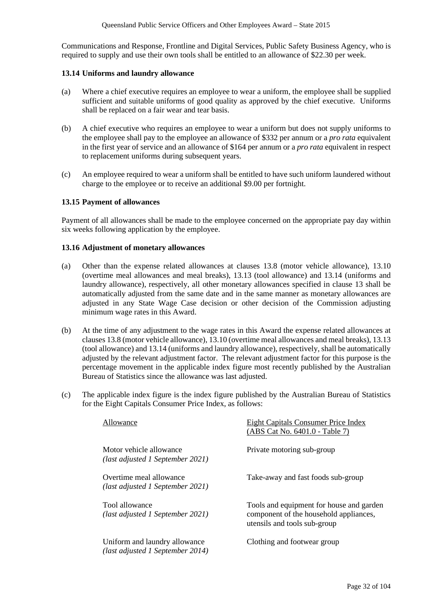Communications and Response, Frontline and Digital Services, Public Safety Business Agency, who is required to supply and use their own tools shall be entitled to an allowance of \$22.30 per week.

#### **13.14 Uniforms and laundry allowance**

- (a) Where a chief executive requires an employee to wear a uniform, the employee shall be supplied sufficient and suitable uniforms of good quality as approved by the chief executive. Uniforms shall be replaced on a fair wear and tear basis.
- (b) A chief executive who requires an employee to wear a uniform but does not supply uniforms to the employee shall pay to the employee an allowance of \$332 per annum or a *pro rata* equivalent in the first year of service and an allowance of \$164 per annum or a *pro rata* equivalent in respect to replacement uniforms during subsequent years.
- (c) An employee required to wear a uniform shall be entitled to have such uniform laundered without charge to the employee or to receive an additional \$9.00 per fortnight.

#### **13.15 Payment of allowances**

Payment of all allowances shall be made to the employee concerned on the appropriate pay day within six weeks following application by the employee.

#### **13.16 Adjustment of monetary allowances**

- (a) Other than the expense related allowances at clauses 13.8 (motor vehicle allowance), 13.10 (overtime meal allowances and meal breaks), 13.13 (tool allowance) and 13.14 (uniforms and laundry allowance), respectively, all other monetary allowances specified in clause 13 shall be automatically adjusted from the same date and in the same manner as monetary allowances are adjusted in any State Wage Case decision or other decision of the Commission adjusting minimum wage rates in this Award.
- (b) At the time of any adjustment to the wage rates in this Award the expense related allowances at clauses 13.8 (motor vehicle allowance), 13.10 (overtime meal allowances and meal breaks), 13.13 (tool allowance) and 13.14 (uniforms and laundry allowance), respectively, shall be automatically adjusted by the relevant adjustment factor. The relevant adjustment factor for this purpose is the percentage movement in the applicable index figure most recently published by the Australian Bureau of Statistics since the allowance was last adjusted.
- (c) The applicable index figure is the index figure published by the Australian Bureau of Statistics for the Eight Capitals Consumer Price Index, as follows:

| Allowance                                                         | Eight Capitals Consumer Price Index<br>(ABS Cat No. 6401.0 - Table 7)                                              |
|-------------------------------------------------------------------|--------------------------------------------------------------------------------------------------------------------|
| Motor vehicle allowance<br>(last adjusted 1 September 2021)       | Private motoring sub-group                                                                                         |
| Overtime meal allowance<br>(last adjusted 1 September 2021)       | Take-away and fast foods sub-group                                                                                 |
| Tool allowance<br>(last adjusted 1 September 2021)                | Tools and equipment for house and garden<br>component of the household appliances,<br>utensils and tools sub-group |
| Uniform and laundry allowance<br>(last adjusted 1 September 2014) | Clothing and footwear group                                                                                        |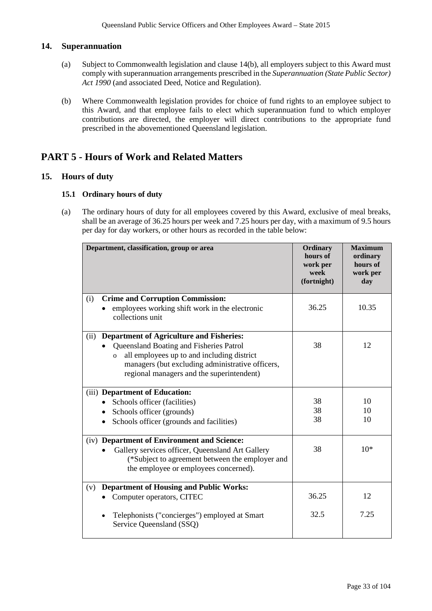## **14. Superannuation**

- (a) Subject to Commonwealth legislation and clause 14(b), all employers subject to this Award must comply with superannuation arrangements prescribed in the *Superannuation (State Public Sector) Act 1990* (and associated Deed, Notice and Regulation).
- (b) Where Commonwealth legislation provides for choice of fund rights to an employee subject to this Award, and that employee fails to elect which superannuation fund to which employer contributions are directed, the employer will direct contributions to the appropriate fund prescribed in the abovementioned Queensland legislation.

## **PART 5 - Hours of Work and Related Matters**

### **15. Hours of duty**

### **15.1 Ordinary hours of duty**

(a) The ordinary hours of duty for all employees covered by this Award, exclusive of meal breaks, shall be an average of 36.25 hours per week and 7.25 hours per day, with a maximum of 9.5 hours per day for day workers, or other hours as recorded in the table below:

| Department, classification, group or area                                                                                                                                                                                                                         | Ordinary<br>hours of<br>work per<br>week<br>(fortnight) | <b>Maximum</b><br>ordinary<br>hours of<br>work per<br>day |
|-------------------------------------------------------------------------------------------------------------------------------------------------------------------------------------------------------------------------------------------------------------------|---------------------------------------------------------|-----------------------------------------------------------|
| <b>Crime and Corruption Commission:</b><br>(i)<br>employees working shift work in the electronic<br>collections unit                                                                                                                                              | 36.25                                                   | 10.35                                                     |
| <b>Department of Agriculture and Fisheries:</b><br>(ii)<br>Queensland Boating and Fisheries Patrol<br>all employees up to and including district<br>$\mathbf{o}$<br>managers (but excluding administrative officers,<br>regional managers and the superintendent) | 38                                                      | 12                                                        |
| (iii) Department of Education:<br>• Schools officer (facilities)<br>Schools officer (grounds)<br>Schools officer (grounds and facilities)<br>$\bullet$                                                                                                            | 38<br>38<br>38                                          | 10<br>10<br>10                                            |
| (iv) Department of Environment and Science:<br>Gallery services officer, Queensland Art Gallery<br>(*Subject to agreement between the employer and<br>the employee or employees concerned).                                                                       | 38                                                      | $10*$                                                     |
| <b>Department of Housing and Public Works:</b><br>(v)<br>Computer operators, CITEC                                                                                                                                                                                | 36.25                                                   | 12                                                        |
| Telephonists ("concierges") employed at Smart<br>Service Queensland (SSQ)                                                                                                                                                                                         | 32.5                                                    | 7.25                                                      |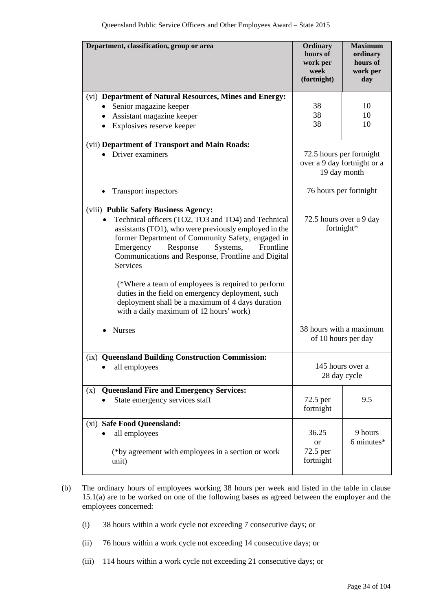| Department, classification, group or area                                                                                                                                                                                                                                                                                             | Ordinary<br>hours of<br>work per<br>week<br>(fortnight)                 | <b>Maximum</b><br>ordinary<br>hours of<br>work per<br>day |
|---------------------------------------------------------------------------------------------------------------------------------------------------------------------------------------------------------------------------------------------------------------------------------------------------------------------------------------|-------------------------------------------------------------------------|-----------------------------------------------------------|
| (vi) Department of Natural Resources, Mines and Energy:                                                                                                                                                                                                                                                                               | 38                                                                      | 10                                                        |
| Senior magazine keeper<br>$\bullet$<br>Assistant magazine keeper<br>$\bullet$                                                                                                                                                                                                                                                         | 38                                                                      | 10                                                        |
| Explosives reserve keeper<br>$\bullet$                                                                                                                                                                                                                                                                                                | 38                                                                      | 10                                                        |
| (vii) Department of Transport and Main Roads:                                                                                                                                                                                                                                                                                         |                                                                         |                                                           |
| Driver examiners                                                                                                                                                                                                                                                                                                                      | 72.5 hours per fortnight<br>over a 9 day fortnight or a<br>19 day month |                                                           |
| <b>Transport inspectors</b>                                                                                                                                                                                                                                                                                                           | 76 hours per fortnight                                                  |                                                           |
| (viii) Public Safety Business Agency:<br>Technical officers (TO2, TO3 and TO4) and Technical<br>assistants (TO1), who were previously employed in the<br>former Department of Community Safety, engaged in<br>Response<br>Frontline<br>Emergency<br>Systems,<br>Communications and Response, Frontline and Digital<br><b>Services</b> | 72.5 hours over a 9 day<br>fortnight*                                   |                                                           |
| (*Where a team of employees is required to perform<br>duties in the field on emergency deployment, such<br>deployment shall be a maximum of 4 days duration<br>with a daily maximum of 12 hours' work)                                                                                                                                |                                                                         |                                                           |
| <b>Nurses</b>                                                                                                                                                                                                                                                                                                                         | 38 hours with a maximum<br>of 10 hours per day                          |                                                           |
| (ix) Queensland Building Construction Commission:                                                                                                                                                                                                                                                                                     |                                                                         |                                                           |
| all employees                                                                                                                                                                                                                                                                                                                         | 28 day cycle                                                            | 145 hours over a                                          |
| <b>Queensland Fire and Emergency Services:</b><br>(x)                                                                                                                                                                                                                                                                                 |                                                                         |                                                           |
| State emergency services staff                                                                                                                                                                                                                                                                                                        | 72.5 per<br>fortnight                                                   | 9.5                                                       |
| (xi) Safe Food Queensland:                                                                                                                                                                                                                                                                                                            |                                                                         |                                                           |
| all employees                                                                                                                                                                                                                                                                                                                         | 36.25                                                                   | 9 hours                                                   |
| (*by agreement with employees in a section or work<br>unit)                                                                                                                                                                                                                                                                           | <sub>or</sub><br>72.5 per<br>fortnight                                  | 6 minutes*                                                |

- (b) The ordinary hours of employees working 38 hours per week and listed in the table in clause 15.1(a) are to be worked on one of the following bases as agreed between the employer and the employees concerned:
	- (i) 38 hours within a work cycle not exceeding 7 consecutive days; or
	- (ii) 76 hours within a work cycle not exceeding 14 consecutive days; or
	- (iii) 114 hours within a work cycle not exceeding 21 consecutive days; or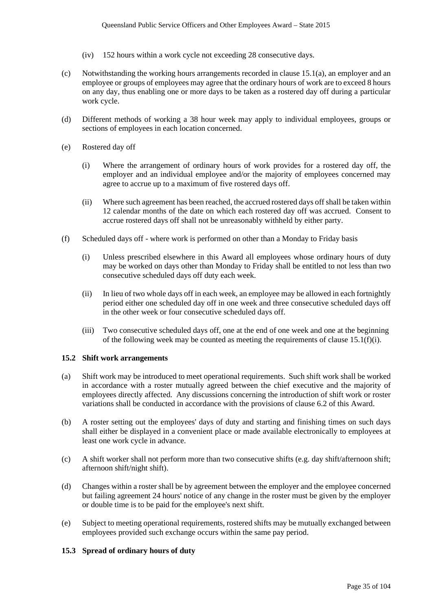- (iv) 152 hours within a work cycle not exceeding 28 consecutive days.
- (c) Notwithstanding the working hours arrangements recorded in clause 15.1(a), an employer and an employee or groups of employees may agree that the ordinary hours of work are to exceed 8 hours on any day, thus enabling one or more days to be taken as a rostered day off during a particular work cycle.
- (d) Different methods of working a 38 hour week may apply to individual employees, groups or sections of employees in each location concerned.
- (e) Rostered day off
	- (i) Where the arrangement of ordinary hours of work provides for a rostered day off, the employer and an individual employee and/or the majority of employees concerned may agree to accrue up to a maximum of five rostered days off.
	- (ii) Where such agreement has been reached, the accrued rostered days off shall be taken within 12 calendar months of the date on which each rostered day off was accrued. Consent to accrue rostered days off shall not be unreasonably withheld by either party.
- (f) Scheduled days off where work is performed on other than a Monday to Friday basis
	- (i) Unless prescribed elsewhere in this Award all employees whose ordinary hours of duty may be worked on days other than Monday to Friday shall be entitled to not less than two consecutive scheduled days off duty each week.
	- (ii) In lieu of two whole days off in each week, an employee may be allowed in each fortnightly period either one scheduled day off in one week and three consecutive scheduled days off in the other week or four consecutive scheduled days off.
	- (iii) Two consecutive scheduled days off, one at the end of one week and one at the beginning of the following week may be counted as meeting the requirements of clause  $15.1(f)(i)$ .

#### **15.2 Shift work arrangements**

- (a) Shift work may be introduced to meet operational requirements. Such shift work shall be worked in accordance with a roster mutually agreed between the chief executive and the majority of employees directly affected. Any discussions concerning the introduction of shift work or roster variations shall be conducted in accordance with the provisions of clause 6.2 of this Award.
- (b) A roster setting out the employees' days of duty and starting and finishing times on such days shall either be displayed in a convenient place or made available electronically to employees at least one work cycle in advance.
- (c) A shift worker shall not perform more than two consecutive shifts (e.g. day shift/afternoon shift; afternoon shift/night shift).
- (d) Changes within a roster shall be by agreement between the employer and the employee concerned but failing agreement 24 hours' notice of any change in the roster must be given by the employer or double time is to be paid for the employee's next shift.
- (e) Subject to meeting operational requirements, rostered shifts may be mutually exchanged between employees provided such exchange occurs within the same pay period.

#### **15.3 Spread of ordinary hours of duty**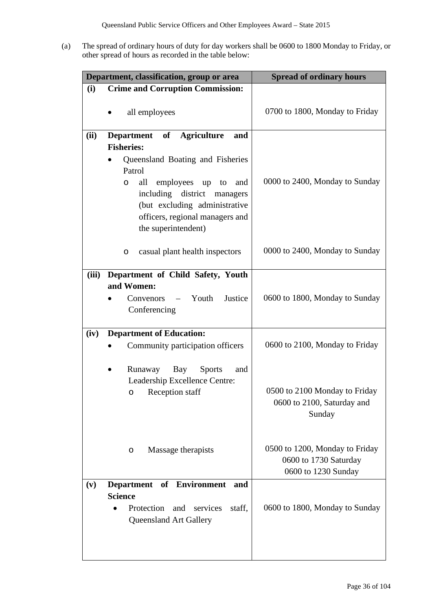(a) The spread of ordinary hours of duty for day workers shall be 0600 to 1800 Monday to Friday, or other spread of hours as recorded in the table below:

| Department, classification, group or area |                                                                                                                                                                                                                                                                           | <b>Spread of ordinary hours</b>                                                |
|-------------------------------------------|---------------------------------------------------------------------------------------------------------------------------------------------------------------------------------------------------------------------------------------------------------------------------|--------------------------------------------------------------------------------|
| (i)                                       | <b>Crime and Corruption Commission:</b>                                                                                                                                                                                                                                   |                                                                                |
|                                           | all employees                                                                                                                                                                                                                                                             | 0700 to 1800, Monday to Friday                                                 |
| (ii)                                      | Department of Agriculture<br>and<br><b>Fisheries:</b><br>Queensland Boating and Fisheries<br>Patrol<br>all<br>employees up<br>to<br>and<br>O<br>including district<br>managers<br>(but excluding administrative<br>officers, regional managers and<br>the superintendent) | 0000 to 2400, Monday to Sunday                                                 |
|                                           | casual plant health inspectors<br>O                                                                                                                                                                                                                                       | 0000 to 2400, Monday to Sunday                                                 |
| (iii)                                     | Department of Child Safety, Youth<br>and Women:<br>Convenors – Youth<br>Justice<br>Conferencing                                                                                                                                                                           | 0600 to 1800, Monday to Sunday                                                 |
| (iv)                                      | <b>Department of Education:</b><br>Community participation officers                                                                                                                                                                                                       | 0600 to 2100, Monday to Friday                                                 |
|                                           | Runaway Bay<br><b>Sports</b><br>and<br>$\bullet$<br>Leadership Excellence Centre:<br>Reception staff<br>$\circ$                                                                                                                                                           | 0500 to 2100 Monday to Friday<br>0600 to 2100, Saturday and<br>Sunday          |
|                                           | Massage therapists<br>O                                                                                                                                                                                                                                                   | 0500 to 1200, Monday to Friday<br>0600 to 1730 Saturday<br>0600 to 1230 Sunday |
| (v)                                       | <b>Department</b><br>of Environment<br>and<br><b>Science</b><br>Protection<br>and<br>services<br>staff,<br><b>Queensland Art Gallery</b>                                                                                                                                  | 0600 to 1800, Monday to Sunday                                                 |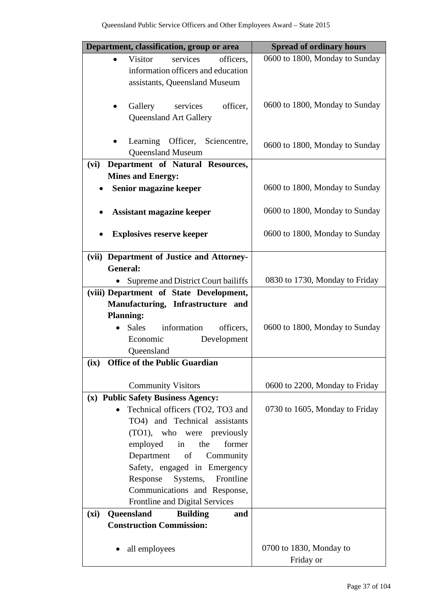| Department, classification, group or area                                      | <b>Spread of ordinary hours</b> |
|--------------------------------------------------------------------------------|---------------------------------|
| <b>Visitor</b><br>services<br>officers,<br>$\bullet$                           | 0600 to 1800, Monday to Sunday  |
| information officers and education<br>assistants, Queensland Museum            |                                 |
|                                                                                |                                 |
| Gallery<br>services<br>officer,                                                | 0600 to 1800, Monday to Sunday  |
| <b>Queensland Art Gallery</b>                                                  |                                 |
| Learning Officer, Sciencentre,                                                 |                                 |
| <b>Queensland Museum</b>                                                       | 0600 to 1800, Monday to Sunday  |
| Department of Natural Resources,<br>(vi)                                       |                                 |
| <b>Mines and Energy:</b>                                                       |                                 |
| Senior magazine keeper                                                         | 0600 to 1800, Monday to Sunday  |
| <b>Assistant magazine keeper</b>                                               | 0600 to 1800, Monday to Sunday  |
| <b>Explosives reserve keeper</b>                                               | 0600 to 1800, Monday to Sunday  |
| (vii) Department of Justice and Attorney-                                      |                                 |
| <b>General:</b>                                                                |                                 |
| Supreme and District Court bailiffs<br>(viii) Department of State Development, | 0830 to 1730, Monday to Friday  |
| Manufacturing, Infrastructure and                                              |                                 |
| <b>Planning:</b>                                                               |                                 |
| Sales information<br>officers,                                                 | 0600 to 1800, Monday to Sunday  |
| Development<br>Economic                                                        |                                 |
| Queensland<br><b>Office of the Public Guardian</b>                             |                                 |
| (ix)                                                                           |                                 |
| <b>Community Visitors</b>                                                      | 0600 to 2200, Monday to Friday  |
| (x) Public Safety Business Agency:                                             |                                 |
| Technical officers (TO2, TO3 and                                               | 0730 to 1605, Monday to Friday  |
| TO4) and Technical assistants<br>(TO1), who were previously                    |                                 |
| employed<br>the<br>in<br>former                                                |                                 |
| Department of Community                                                        |                                 |
| Safety, engaged in Emergency                                                   |                                 |
| Systems, Frontline<br>Response                                                 |                                 |
| Communications and Response,                                                   |                                 |
| Frontline and Digital Services<br>Queensland<br>(xi)<br><b>Building</b><br>and |                                 |
| <b>Construction Commission:</b>                                                |                                 |
|                                                                                |                                 |
| all employees                                                                  | 0700 to 1830, Monday to         |
|                                                                                | Friday or                       |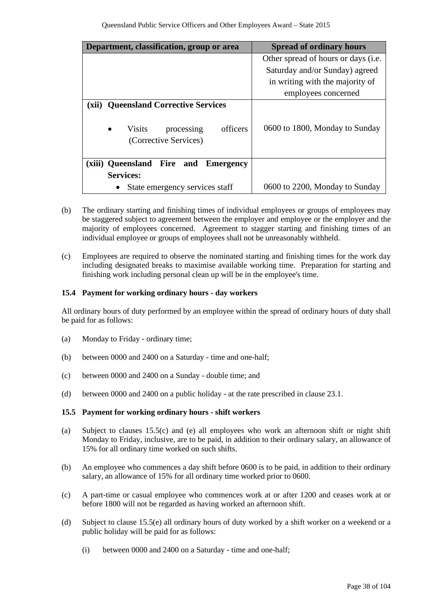| Department, classification, group or area                                                                                       | <b>Spread of ordinary hours</b>               |
|---------------------------------------------------------------------------------------------------------------------------------|-----------------------------------------------|
|                                                                                                                                 | Other spread of hours or days ( <i>i.e.</i> ) |
|                                                                                                                                 | Saturday and/or Sunday) agreed                |
|                                                                                                                                 | in writing with the majority of               |
|                                                                                                                                 | employees concerned                           |
| <b>Queensland Corrective Services</b><br>(xii)<br>officers<br><b>Visits</b><br>$\bullet$<br>processing<br>(Corrective Services) | 0600 to 1800, Monday to Sunday                |
| (xiii) Queensland Fire<br>and<br><b>Emergency</b>                                                                               |                                               |
| <b>Services:</b>                                                                                                                |                                               |
| State emergency services staff                                                                                                  | 0600 to 2200, Monday to Sunday                |

- (b) The ordinary starting and finishing times of individual employees or groups of employees may be staggered subject to agreement between the employer and employee or the employer and the majority of employees concerned. Agreement to stagger starting and finishing times of an individual employee or groups of employees shall not be unreasonably withheld.
- (c) Employees are required to observe the nominated starting and finishing times for the work day including designated breaks to maximise available working time. Preparation for starting and finishing work including personal clean up will be in the employee's time.

# **15.4 Payment for working ordinary hours - day workers**

All ordinary hours of duty performed by an employee within the spread of ordinary hours of duty shall be paid for as follows:

- (a) Monday to Friday ordinary time;
- (b) between 0000 and 2400 on a Saturday time and one-half;
- (c) between 0000 and 2400 on a Sunday double time; and
- (d) between 0000 and 2400 on a public holiday at the rate prescribed in clause 23.1.

# **15.5 Payment for working ordinary hours - shift workers**

- (a) Subject to clauses 15.5(c) and (e) all employees who work an afternoon shift or night shift Monday to Friday, inclusive, are to be paid, in addition to their ordinary salary, an allowance of 15% for all ordinary time worked on such shifts.
- (b) An employee who commences a day shift before 0600 is to be paid, in addition to their ordinary salary, an allowance of 15% for all ordinary time worked prior to 0600.
- (c) A part-time or casual employee who commences work at or after 1200 and ceases work at or before 1800 will not be regarded as having worked an afternoon shift.
- (d) Subject to clause 15.5(e) all ordinary hours of duty worked by a shift worker on a weekend or a public holiday will be paid for as follows:
	- (i) between 0000 and 2400 on a Saturday time and one-half;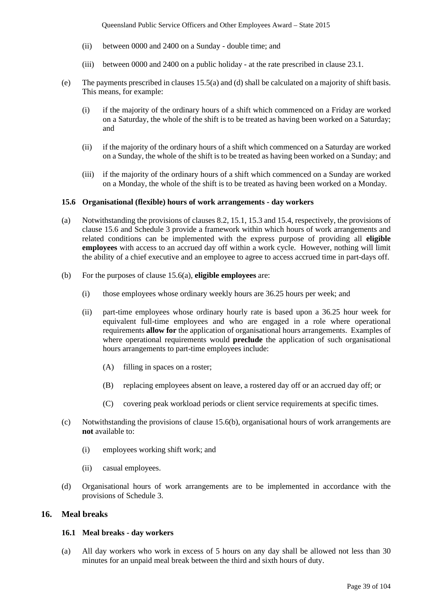- (ii) between 0000 and 2400 on a Sunday double time; and
- (iii) between 0000 and 2400 on a public holiday at the rate prescribed in clause 23.1.
- (e) The payments prescribed in clauses 15.5(a) and (d) shall be calculated on a majority of shift basis. This means, for example:
	- (i) if the majority of the ordinary hours of a shift which commenced on a Friday are worked on a Saturday, the whole of the shift is to be treated as having been worked on a Saturday; and
	- (ii) if the majority of the ordinary hours of a shift which commenced on a Saturday are worked on a Sunday, the whole of the shift is to be treated as having been worked on a Sunday; and
	- (iii) if the majority of the ordinary hours of a shift which commenced on a Sunday are worked on a Monday, the whole of the shift is to be treated as having been worked on a Monday.

#### **15.6 Organisational (flexible) hours of work arrangements - day workers**

- (a) Notwithstanding the provisions of clauses 8.2, 15.1, 15.3 and 15.4, respectively, the provisions of clause 15.6 and Schedule 3 provide a framework within which hours of work arrangements and related conditions can be implemented with the express purpose of providing all **eligible employees** with access to an accrued day off within a work cycle. However, nothing will limit the ability of a chief executive and an employee to agree to access accrued time in part-days off.
- (b) For the purposes of clause 15.6(a), **eligible employees** are:
	- (i) those employees whose ordinary weekly hours are 36.25 hours per week; and
	- (ii) part-time employees whose ordinary hourly rate is based upon a 36.25 hour week for equivalent full-time employees and who are engaged in a role where operational requirements **allow for** the application of organisational hours arrangements. Examples of where operational requirements would **preclude** the application of such organisational hours arrangements to part-time employees include:
		- (A) filling in spaces on a roster;
		- (B) replacing employees absent on leave, a rostered day off or an accrued day off; or
		- (C) covering peak workload periods or client service requirements at specific times.
- (c) Notwithstanding the provisions of clause 15.6(b), organisational hours of work arrangements are **not** available to:
	- (i) employees working shift work; and
	- (ii) casual employees.
- (d) Organisational hours of work arrangements are to be implemented in accordance with the provisions of Schedule 3.

# **16. Meal breaks**

#### **16.1 Meal breaks - day workers**

(a) All day workers who work in excess of 5 hours on any day shall be allowed not less than 30 minutes for an unpaid meal break between the third and sixth hours of duty.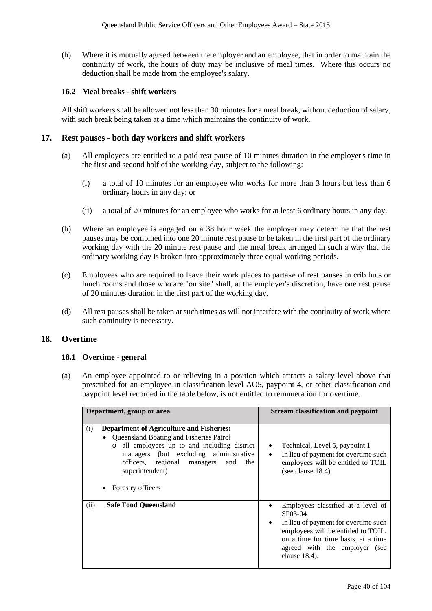(b) Where it is mutually agreed between the employer and an employee, that in order to maintain the continuity of work, the hours of duty may be inclusive of meal times. Where this occurs no deduction shall be made from the employee's salary.

# **16.2 Meal breaks - shift workers**

All shift workers shall be allowed not less than 30 minutes for a meal break, without deduction of salary, with such break being taken at a time which maintains the continuity of work.

# **17. Rest pauses - both day workers and shift workers**

- (a) All employees are entitled to a paid rest pause of 10 minutes duration in the employer's time in the first and second half of the working day, subject to the following:
	- (i) a total of 10 minutes for an employee who works for more than 3 hours but less than 6 ordinary hours in any day; or
	- (ii) a total of 20 minutes for an employee who works for at least 6 ordinary hours in any day.
- (b) Where an employee is engaged on a 38 hour week the employer may determine that the rest pauses may be combined into one 20 minute rest pause to be taken in the first part of the ordinary working day with the 20 minute rest pause and the meal break arranged in such a way that the ordinary working day is broken into approximately three equal working periods.
- (c) Employees who are required to leave their work places to partake of rest pauses in crib huts or lunch rooms and those who are "on site" shall, at the employer's discretion, have one rest pause of 20 minutes duration in the first part of the working day.
- (d) All rest pauses shall be taken at such times as will not interfere with the continuity of work where such continuity is necessary.

# **18. Overtime**

# **18.1 Overtime - general**

(a) An employee appointed to or relieving in a position which attracts a salary level above that prescribed for an employee in classification level AO5, paypoint 4, or other classification and paypoint level recorded in the table below, is not entitled to remuneration for overtime.

| Department, group or area                                                                                                                                                                                                                                                                                       | <b>Stream classification and paypoint</b>                                                                                                                                                                                             |
|-----------------------------------------------------------------------------------------------------------------------------------------------------------------------------------------------------------------------------------------------------------------------------------------------------------------|---------------------------------------------------------------------------------------------------------------------------------------------------------------------------------------------------------------------------------------|
| <b>Department of Agriculture and Fisheries:</b><br>(i)<br>• Queensland Boating and Fisheries Patrol<br>all employees up to and including district<br>$\circ$<br>managers (but excluding administrative<br>officers, regional managers<br>and<br>the<br>superintendent)<br><b>Forestry officers</b><br>$\bullet$ | Technical, Level 5, paypoint 1<br>٠<br>In lieu of payment for overtime such<br>$\bullet$<br>employees will be entitled to TOIL<br>(see clause $18.4$ )                                                                                |
| <b>Safe Food Queensland</b><br>(ii)                                                                                                                                                                                                                                                                             | Employees classified at a level of<br>SF03-04<br>In lieu of payment for overtime such<br>$\bullet$<br>employees will be entitled to TOIL,<br>on a time for time basis, at a time<br>agreed with the employer (see<br>clause $18.4$ ). |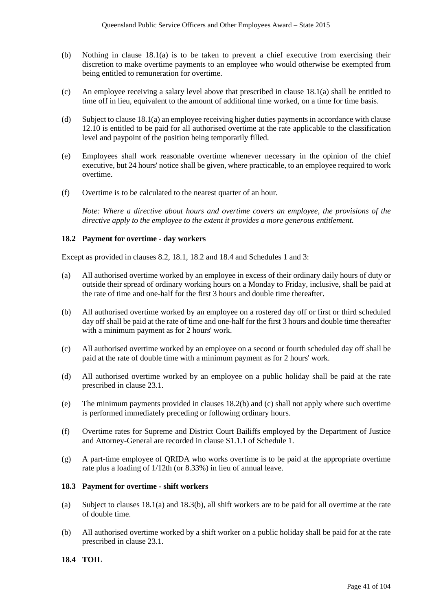- (b) Nothing in clause 18.1(a) is to be taken to prevent a chief executive from exercising their discretion to make overtime payments to an employee who would otherwise be exempted from being entitled to remuneration for overtime.
- (c) An employee receiving a salary level above that prescribed in clause 18.1(a) shall be entitled to time off in lieu, equivalent to the amount of additional time worked, on a time for time basis.
- (d) Subject to clause 18.1(a) an employee receiving higher duties payments in accordance with clause 12.10 is entitled to be paid for all authorised overtime at the rate applicable to the classification level and paypoint of the position being temporarily filled.
- (e) Employees shall work reasonable overtime whenever necessary in the opinion of the chief executive, but 24 hours' notice shall be given, where practicable, to an employee required to work overtime.
- (f) Overtime is to be calculated to the nearest quarter of an hour.

*Note: Where a directive about hours and overtime covers an employee, the provisions of the directive apply to the employee to the extent it provides a more generous entitlement.*

# **18.2 Payment for overtime - day workers**

Except as provided in clauses 8.2, 18.1, 18.2 and 18.4 and Schedules 1 and 3:

- (a) All authorised overtime worked by an employee in excess of their ordinary daily hours of duty or outside their spread of ordinary working hours on a Monday to Friday, inclusive, shall be paid at the rate of time and one-half for the first 3 hours and double time thereafter.
- (b) All authorised overtime worked by an employee on a rostered day off or first or third scheduled day off shall be paid at the rate of time and one-half for the first 3 hours and double time thereafter with a minimum payment as for 2 hours' work.
- (c) All authorised overtime worked by an employee on a second or fourth scheduled day off shall be paid at the rate of double time with a minimum payment as for 2 hours' work.
- (d) All authorised overtime worked by an employee on a public holiday shall be paid at the rate prescribed in clause 23.1.
- (e) The minimum payments provided in clauses 18.2(b) and (c) shall not apply where such overtime is performed immediately preceding or following ordinary hours.
- (f) Overtime rates for Supreme and District Court Bailiffs employed by the Department of Justice and Attorney-General are recorded in clause S1.1.1 of Schedule 1.
- (g) A part-time employee of QRIDA who works overtime is to be paid at the appropriate overtime rate plus a loading of 1/12th (or 8.33%) in lieu of annual leave.

# **18.3 Payment for overtime - shift workers**

- (a) Subject to clauses 18.1(a) and 18.3(b), all shift workers are to be paid for all overtime at the rate of double time.
- (b) All authorised overtime worked by a shift worker on a public holiday shall be paid for at the rate prescribed in clause 23.1.

# **18.4 TOIL**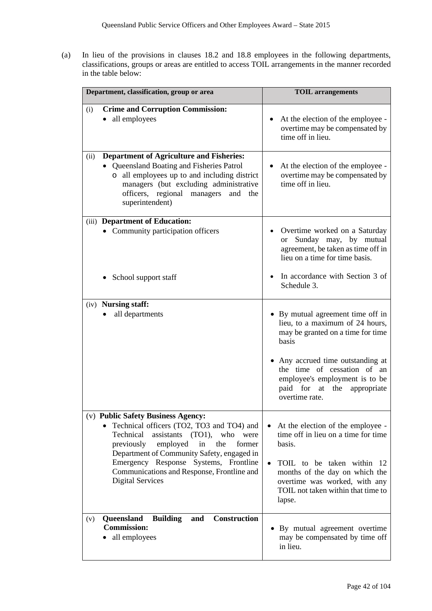(a) In lieu of the provisions in clauses 18.2 and 18.8 employees in the following departments, classifications, groups or areas are entitled to access TOIL arrangements in the manner recorded in the table below:

| Department, classification, group or area                                                                                                                                                                                                                                                                                                            | <b>TOIL</b> arrangements                                                                                                                                                                                                                                                |
|------------------------------------------------------------------------------------------------------------------------------------------------------------------------------------------------------------------------------------------------------------------------------------------------------------------------------------------------------|-------------------------------------------------------------------------------------------------------------------------------------------------------------------------------------------------------------------------------------------------------------------------|
| <b>Crime and Corruption Commission:</b><br>(i)<br>• all employees                                                                                                                                                                                                                                                                                    | At the election of the employee -<br>$\bullet$<br>overtime may be compensated by<br>time off in lieu.                                                                                                                                                                   |
| <b>Department of Agriculture and Fisheries:</b><br>(ii)<br>Queensland Boating and Fisheries Patrol<br>all employees up to and including district<br>$\circ$<br>managers (but excluding administrative<br>officers, regional managers<br>and the<br>superintendent)                                                                                   | At the election of the employee -<br>$\bullet$<br>overtime may be compensated by<br>time off in lieu.                                                                                                                                                                   |
| (iii) Department of Education:<br>• Community participation officers<br>School support staff<br>٠                                                                                                                                                                                                                                                    | Overtime worked on a Saturday<br>Sunday may, by mutual<br><sub>or</sub><br>agreement, be taken as time off in<br>lieu on a time for time basis.<br>In accordance with Section 3 of<br>Schedule 3.                                                                       |
| (iv) <b>Nursing staff:</b><br>all departments                                                                                                                                                                                                                                                                                                        | • By mutual agreement time off in<br>lieu, to a maximum of 24 hours,<br>may be granted on a time for time<br>basis<br>Any accrued time outstanding at<br>the time of cessation of an<br>employee's employment is to be<br>paid for at the appropriate<br>overtime rate. |
| (v) Public Safety Business Agency:<br>Technical officers (TO2, TO3 and TO4) and<br>Technical<br>assistants<br>(TO1),<br>who<br>were<br>previously<br>employed<br>in<br>the<br>former<br>Department of Community Safety, engaged in<br>Emergency Response Systems, Frontline<br>Communications and Response, Frontline and<br><b>Digital Services</b> | At the election of the employee -<br>time off in lieu on a time for time<br>basis.<br>TOIL to be taken within 12<br>$\bullet$<br>months of the day on which the<br>overtime was worked, with any<br>TOIL not taken within that time to<br>lapse.                        |
| Queensland<br><b>Construction</b><br><b>Building</b><br>and<br>(v)<br><b>Commission:</b><br>all employees                                                                                                                                                                                                                                            | By mutual agreement overtime<br>may be compensated by time off<br>in lieu.                                                                                                                                                                                              |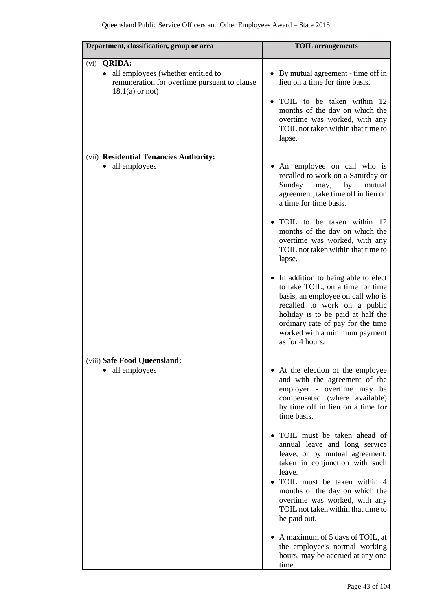| Department, classification, group or area                                                                                       | <b>TOIL</b> arrangements                                                                                                                                                                                                                                                                                                                                                                                                                                                                                                                                                                                         |
|---------------------------------------------------------------------------------------------------------------------------------|------------------------------------------------------------------------------------------------------------------------------------------------------------------------------------------------------------------------------------------------------------------------------------------------------------------------------------------------------------------------------------------------------------------------------------------------------------------------------------------------------------------------------------------------------------------------------------------------------------------|
| (vi) <b>QRIDA:</b><br>• all employees (whether entitled to<br>remuneration for overtime pursuant to clause<br>$18.1(a)$ or not) | • By mutual agreement - time off in<br>lieu on a time for time basis.<br>TOIL to be taken within 12<br>months of the day on which the<br>overtime was worked, with any<br>TOIL not taken within that time to<br>lapse.                                                                                                                                                                                                                                                                                                                                                                                           |
| (vii) Residential Tenancies Authority:<br>• all employees                                                                       | • An employee on call who is<br>recalled to work on a Saturday or<br>Sunday<br>by<br>mutual<br>may,<br>agreement, take time off in lieu on<br>a time for time basis.<br>TOIL to be taken within 12<br>months of the day on which the<br>overtime was worked, with any<br>TOIL not taken within that time to<br>lapse.<br>• In addition to being able to elect<br>to take TOIL, on a time for time<br>basis, an employee on call who is<br>recalled to work on a public<br>holiday is to be paid at half the<br>ordinary rate of pay for the time<br>worked with a minimum payment<br>as for 4 hours.             |
| (viii) Safe Food Queensland:<br>all employees                                                                                   | • At the election of the employee<br>and with the agreement of the<br>employer - overtime may be<br>compensated (where available)<br>by time off in lieu on a time for<br>time basis.<br>TOIL must be taken ahead of<br>annual leave and long service<br>leave, or by mutual agreement,<br>taken in conjunction with such<br>leave.<br>• TOIL must be taken within 4<br>months of the day on which the<br>overtime was worked, with any<br>TOIL not taken within that time to<br>be paid out.<br>• A maximum of 5 days of TOIL, at<br>the employee's normal working<br>hours, may be accrued at any one<br>time. |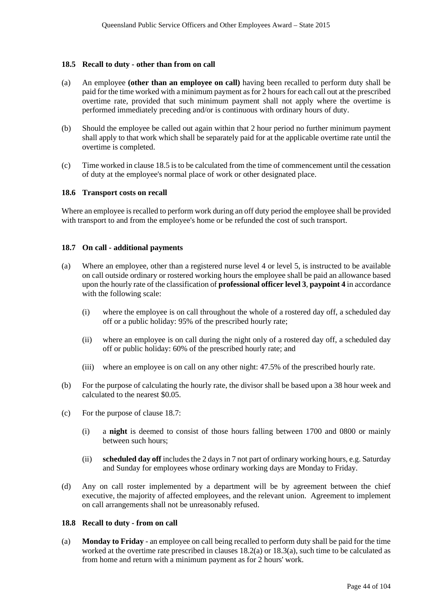### **18.5 Recall to duty - other than from on call**

- (a) An employee **(other than an employee on call)** having been recalled to perform duty shall be paid for the time worked with a minimum payment as for 2 hours for each call out at the prescribed overtime rate, provided that such minimum payment shall not apply where the overtime is performed immediately preceding and/or is continuous with ordinary hours of duty.
- (b) Should the employee be called out again within that 2 hour period no further minimum payment shall apply to that work which shall be separately paid for at the applicable overtime rate until the overtime is completed.
- (c) Time worked in clause 18.5 is to be calculated from the time of commencement until the cessation of duty at the employee's normal place of work or other designated place.

#### **18.6 Transport costs on recall**

Where an employee is recalled to perform work during an off duty period the employee shall be provided with transport to and from the employee's home or be refunded the cost of such transport.

#### **18.7 On call - additional payments**

- (a) Where an employee, other than a registered nurse level 4 or level 5, is instructed to be available on call outside ordinary or rostered working hours the employee shall be paid an allowance based upon the hourly rate of the classification of **professional officer level 3**, **paypoint 4** in accordance with the following scale:
	- (i) where the employee is on call throughout the whole of a rostered day off, a scheduled day off or a public holiday: 95% of the prescribed hourly rate;
	- (ii) where an employee is on call during the night only of a rostered day off, a scheduled day off or public holiday: 60% of the prescribed hourly rate; and
	- (iii) where an employee is on call on any other night: 47.5% of the prescribed hourly rate.
- (b) For the purpose of calculating the hourly rate, the divisor shall be based upon a 38 hour week and calculated to the nearest \$0.05.
- (c) For the purpose of clause 18.7:
	- (i) a **night** is deemed to consist of those hours falling between 1700 and 0800 or mainly between such hours;
	- (ii) **scheduled day off** includes the 2 days in 7 not part of ordinary working hours, e.g. Saturday and Sunday for employees whose ordinary working days are Monday to Friday.
- (d) Any on call roster implemented by a department will be by agreement between the chief executive, the majority of affected employees, and the relevant union. Agreement to implement on call arrangements shall not be unreasonably refused.

#### **18.8 Recall to duty - from on call**

(a) **Monday to Friday** - an employee on call being recalled to perform duty shall be paid for the time worked at the overtime rate prescribed in clauses 18.2(a) or 18.3(a), such time to be calculated as from home and return with a minimum payment as for 2 hours' work.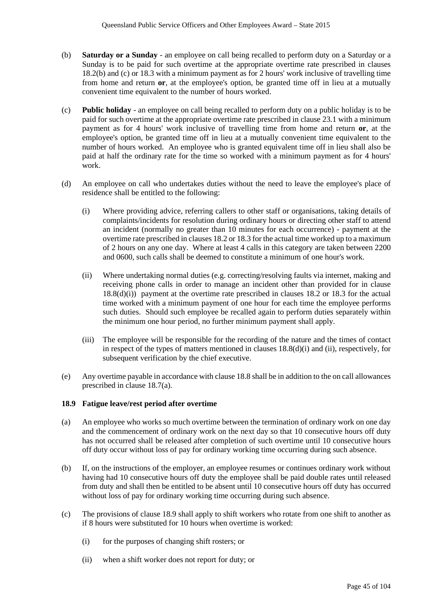- (b) **Saturday or a Sunday**  an employee on call being recalled to perform duty on a Saturday or a Sunday is to be paid for such overtime at the appropriate overtime rate prescribed in clauses 18.2(b) and (c) or 18.3 with a minimum payment as for 2 hours' work inclusive of travelling time from home and return **or**, at the employee's option, be granted time off in lieu at a mutually convenient time equivalent to the number of hours worked.
- (c) **Public holiday** an employee on call being recalled to perform duty on a public holiday is to be paid for such overtime at the appropriate overtime rate prescribed in clause 23.1 with a minimum payment as for 4 hours' work inclusive of travelling time from home and return **or**, at the employee's option, be granted time off in lieu at a mutually convenient time equivalent to the number of hours worked. An employee who is granted equivalent time off in lieu shall also be paid at half the ordinary rate for the time so worked with a minimum payment as for 4 hours' work.
- (d) An employee on call who undertakes duties without the need to leave the employee's place of residence shall be entitled to the following:
	- (i) Where providing advice, referring callers to other staff or organisations, taking details of complaints/incidents for resolution during ordinary hours or directing other staff to attend an incident (normally no greater than 10 minutes for each occurrence) - payment at the overtime rate prescribed in clauses 18.2 or 18.3 for the actual time worked up to a maximum of 2 hours on any one day. Where at least 4 calls in this category are taken between 2200 and 0600, such calls shall be deemed to constitute a minimum of one hour's work.
	- (ii) Where undertaking normal duties (e.g. correcting/resolving faults via internet, making and receiving phone calls in order to manage an incident other than provided for in clause 18.8(d)(i)) payment at the overtime rate prescribed in clauses 18.2 or 18.3 for the actual time worked with a minimum payment of one hour for each time the employee performs such duties. Should such employee be recalled again to perform duties separately within the minimum one hour period, no further minimum payment shall apply.
	- (iii) The employee will be responsible for the recording of the nature and the times of contact in respect of the types of matters mentioned in clauses 18.8(d)(i) and (ii), respectively, for subsequent verification by the chief executive.
- (e) Any overtime payable in accordance with clause 18.8 shall be in addition to the on call allowances prescribed in clause 18.7(a).

# **18.9 Fatigue leave/rest period after overtime**

- (a) An employee who works so much overtime between the termination of ordinary work on one day and the commencement of ordinary work on the next day so that 10 consecutive hours off duty has not occurred shall be released after completion of such overtime until 10 consecutive hours off duty occur without loss of pay for ordinary working time occurring during such absence.
- (b) If, on the instructions of the employer, an employee resumes or continues ordinary work without having had 10 consecutive hours off duty the employee shall be paid double rates until released from duty and shall then be entitled to be absent until 10 consecutive hours off duty has occurred without loss of pay for ordinary working time occurring during such absence.
- (c) The provisions of clause 18.9 shall apply to shift workers who rotate from one shift to another as if 8 hours were substituted for 10 hours when overtime is worked:
	- (i) for the purposes of changing shift rosters; or
	- (ii) when a shift worker does not report for duty; or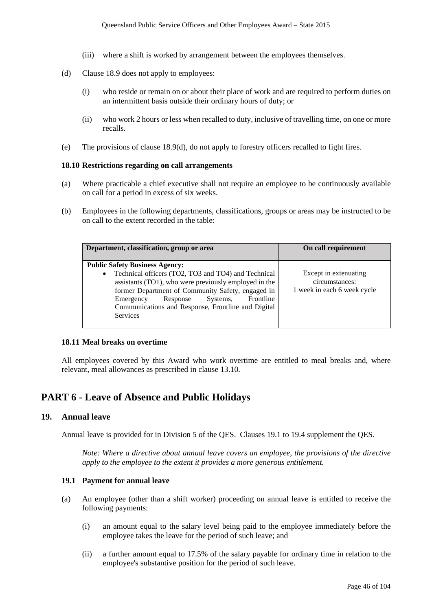- (iii) where a shift is worked by arrangement between the employees themselves.
- (d) Clause 18.9 does not apply to employees:
	- (i) who reside or remain on or about their place of work and are required to perform duties on an intermittent basis outside their ordinary hours of duty; or
	- (ii) who work 2 hours or less when recalled to duty, inclusive of travelling time, on one or more recalls.
- (e) The provisions of clause 18.9(d), do not apply to forestry officers recalled to fight fires.

## **18.10 Restrictions regarding on call arrangements**

- (a) Where practicable a chief executive shall not require an employee to be continuously available on call for a period in excess of six weeks.
- (b) Employees in the following departments, classifications, groups or areas may be instructed to be on call to the extent recorded in the table:

| Department, classification, group or area                                                                                                                                                                                                                                                                 | On call requirement                                                    |
|-----------------------------------------------------------------------------------------------------------------------------------------------------------------------------------------------------------------------------------------------------------------------------------------------------------|------------------------------------------------------------------------|
|                                                                                                                                                                                                                                                                                                           |                                                                        |
| <b>Public Safety Business Agency:</b>                                                                                                                                                                                                                                                                     |                                                                        |
| Technical officers (TO2, TO3 and TO4) and Technical<br>$\bullet$<br>assistants (TO1), who were previously employed in the<br>former Department of Community Safety, engaged in<br>Frontline<br>Systems,<br>Response<br>Emergency<br>Communications and Response, Frontline and Digital<br><b>Services</b> | Except in extenuating<br>circumstances:<br>1 week in each 6 week cycle |

#### **18.11 Meal breaks on overtime**

All employees covered by this Award who work overtime are entitled to meal breaks and, where relevant, meal allowances as prescribed in clause 13.10.

# **PART 6 - Leave of Absence and Public Holidays**

# **19. Annual leave**

Annual leave is provided for in Division 5 of the QES. Clauses 19.1 to 19.4 supplement the QES.

*Note: Where a directive about annual leave covers an employee, the provisions of the directive apply to the employee to the extent it provides a more generous entitlement.*

## **19.1 Payment for annual leave**

- (a) An employee (other than a shift worker) proceeding on annual leave is entitled to receive the following payments:
	- (i) an amount equal to the salary level being paid to the employee immediately before the employee takes the leave for the period of such leave; and
	- (ii) a further amount equal to 17.5% of the salary payable for ordinary time in relation to the employee's substantive position for the period of such leave.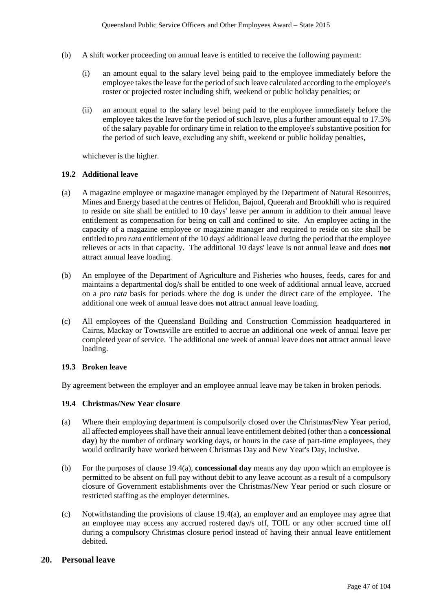- (b) A shift worker proceeding on annual leave is entitled to receive the following payment:
	- (i) an amount equal to the salary level being paid to the employee immediately before the employee takes the leave for the period of such leave calculated according to the employee's roster or projected roster including shift, weekend or public holiday penalties; or
	- (ii) an amount equal to the salary level being paid to the employee immediately before the employee takes the leave for the period of such leave, plus a further amount equal to 17.5% of the salary payable for ordinary time in relation to the employee's substantive position for the period of such leave, excluding any shift, weekend or public holiday penalties,

whichever is the higher.

# **19.2 Additional leave**

- (a) A magazine employee or magazine manager employed by the Department of Natural Resources, Mines and Energy based at the centres of Helidon, Bajool, Queerah and Brookhill who is required to reside on site shall be entitled to 10 days' leave per annum in addition to their annual leave entitlement as compensation for being on call and confined to site. An employee acting in the capacity of a magazine employee or magazine manager and required to reside on site shall be entitled to *pro rata* entitlement of the 10 days' additional leave during the period that the employee relieves or acts in that capacity. The additional 10 days' leave is not annual leave and does **not** attract annual leave loading.
- (b) An employee of the Department of Agriculture and Fisheries who houses, feeds, cares for and maintains a departmental dog/s shall be entitled to one week of additional annual leave, accrued on a *pro rata* basis for periods where the dog is under the direct care of the employee. The additional one week of annual leave does **not** attract annual leave loading.
- (c) All employees of the Queensland Building and Construction Commission headquartered in Cairns, Mackay or Townsville are entitled to accrue an additional one week of annual leave per completed year of service. The additional one week of annual leave does **not** attract annual leave loading.

# **19.3 Broken leave**

By agreement between the employer and an employee annual leave may be taken in broken periods.

# **19.4 Christmas/New Year closure**

- (a) Where their employing department is compulsorily closed over the Christmas/New Year period, all affected employees shall have their annual leave entitlement debited (other than a **concessional**  day) by the number of ordinary working days, or hours in the case of part-time employees, they would ordinarily have worked between Christmas Day and New Year's Day, inclusive.
- (b) For the purposes of clause 19.4(a), **concessional day** means any day upon which an employee is permitted to be absent on full pay without debit to any leave account as a result of a compulsory closure of Government establishments over the Christmas/New Year period or such closure or restricted staffing as the employer determines.
- (c) Notwithstanding the provisions of clause 19.4(a), an employer and an employee may agree that an employee may access any accrued rostered day/s off, TOIL or any other accrued time off during a compulsory Christmas closure period instead of having their annual leave entitlement debited.

# **20. Personal leave**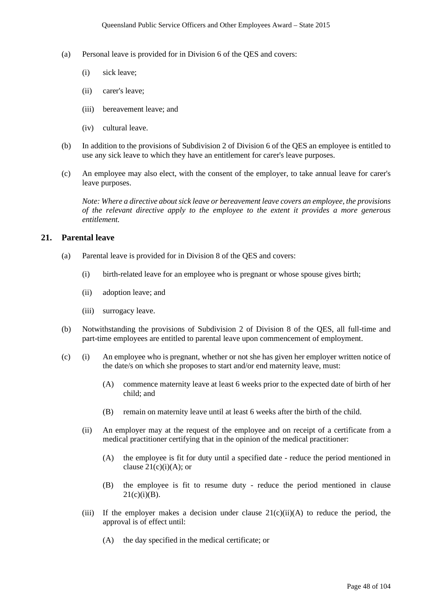- (a) Personal leave is provided for in Division 6 of the QES and covers:
	- (i) sick leave;
	- (ii) carer's leave;
	- (iii) bereavement leave; and
	- (iv) cultural leave.
- (b) In addition to the provisions of Subdivision 2 of Division 6 of the QES an employee is entitled to use any sick leave to which they have an entitlement for carer's leave purposes.
- (c) An employee may also elect, with the consent of the employer, to take annual leave for carer's leave purposes.

*Note: Where a directive about sick leave or bereavement leave covers an employee, the provisions of the relevant directive apply to the employee to the extent it provides a more generous entitlement.*

# **21. Parental leave**

- (a) Parental leave is provided for in Division 8 of the QES and covers:
	- (i) birth-related leave for an employee who is pregnant or whose spouse gives birth;
	- (ii) adoption leave; and
	- (iii) surrogacy leave.
- (b) Notwithstanding the provisions of Subdivision 2 of Division 8 of the QES, all full-time and part-time employees are entitled to parental leave upon commencement of employment.
- (c) (i) An employee who is pregnant, whether or not she has given her employer written notice of the date/s on which she proposes to start and/or end maternity leave, must:
	- (A) commence maternity leave at least 6 weeks prior to the expected date of birth of her child; and
	- (B) remain on maternity leave until at least 6 weeks after the birth of the child.
	- (ii) An employer may at the request of the employee and on receipt of a certificate from a medical practitioner certifying that in the opinion of the medical practitioner:
		- (A) the employee is fit for duty until a specified date reduce the period mentioned in clause  $21(c)(i)(A)$ ; or
		- (B) the employee is fit to resume duty reduce the period mentioned in clause  $21(c)(i)(B)$ .
	- (iii) If the employer makes a decision under clause  $21(c)(ii)(A)$  to reduce the period, the approval is of effect until:
		- (A) the day specified in the medical certificate; or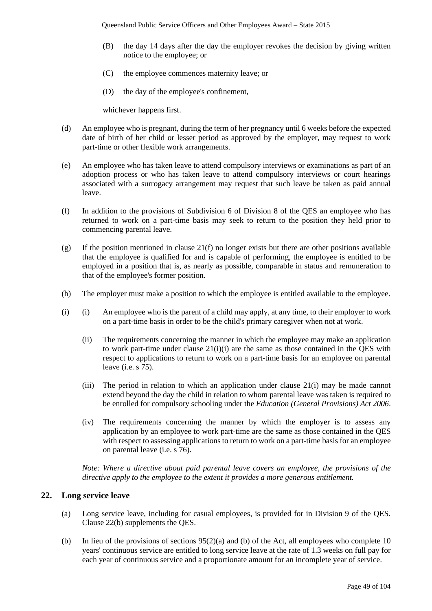- (B) the day 14 days after the day the employer revokes the decision by giving written notice to the employee; or
- (C) the employee commences maternity leave; or
- (D) the day of the employee's confinement,

whichever happens first.

- (d) An employee who is pregnant, during the term of her pregnancy until 6 weeks before the expected date of birth of her child or lesser period as approved by the employer, may request to work part-time or other flexible work arrangements.
- (e) An employee who has taken leave to attend compulsory interviews or examinations as part of an adoption process or who has taken leave to attend compulsory interviews or court hearings associated with a surrogacy arrangement may request that such leave be taken as paid annual leave.
- (f) In addition to the provisions of Subdivision 6 of Division 8 of the QES an employee who has returned to work on a part-time basis may seek to return to the position they held prior to commencing parental leave.
- (g) If the position mentioned in clause  $21(f)$  no longer exists but there are other positions available that the employee is qualified for and is capable of performing, the employee is entitled to be employed in a position that is, as nearly as possible, comparable in status and remuneration to that of the employee's former position.
- (h) The employer must make a position to which the employee is entitled available to the employee.
- (i) (i) An employee who is the parent of a child may apply, at any time, to their employer to work on a part-time basis in order to be the child's primary caregiver when not at work.
	- (ii) The requirements concerning the manner in which the employee may make an application to work part-time under clause 21(i)(i) are the same as those contained in the QES with respect to applications to return to work on a part-time basis for an employee on parental leave (i.e. s 75).
	- (iii) The period in relation to which an application under clause 21(i) may be made cannot extend beyond the day the child in relation to whom parental leave was taken is required to be enrolled for compulsory schooling under the *Education (General Provisions) Act 2006*.
	- (iv) The requirements concerning the manner by which the employer is to assess any application by an employee to work part-time are the same as those contained in the QES with respect to assessing applications to return to work on a part-time basis for an employee on parental leave (i.e. s 76).

*Note: Where a directive about paid parental leave covers an employee, the provisions of the directive apply to the employee to the extent it provides a more generous entitlement.*

# **22. Long service leave**

- (a) Long service leave, including for casual employees, is provided for in Division 9 of the QES. Clause 22(b) supplements the QES.
- (b) In lieu of the provisions of sections  $95(2)(a)$  and (b) of the Act, all employees who complete 10 years' continuous service are entitled to long service leave at the rate of 1.3 weeks on full pay for each year of continuous service and a proportionate amount for an incomplete year of service.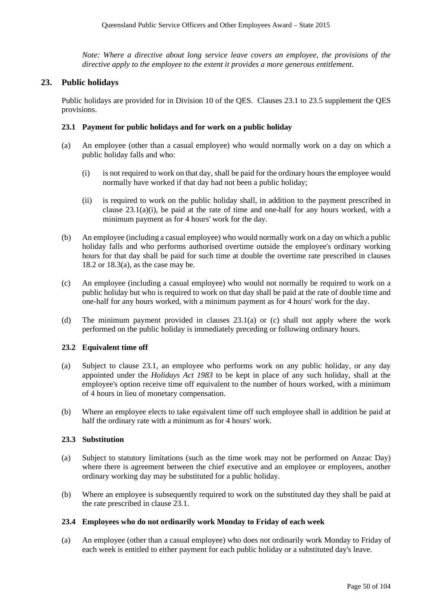*Note: Where a directive about long service leave covers an employee, the provisions of the directive apply to the employee to the extent it provides a more generous entitlement.* 

# **23. Public holidays**

Public holidays are provided for in Division 10 of the QES. Clauses 23.1 to 23.5 supplement the QES provisions.

### **23.1 Payment for public holidays and for work on a public holiday**

- (a) An employee (other than a casual employee) who would normally work on a day on which a public holiday falls and who:
	- (i) is not required to work on that day, shall be paid for the ordinary hours the employee would normally have worked if that day had not been a public holiday;
	- (ii) is required to work on the public holiday shall, in addition to the payment prescribed in clause 23.1(a)(i), be paid at the rate of time and one-half for any hours worked, with a minimum payment as for 4 hours' work for the day.
- (b) An employee (including a casual employee) who would normally work on a day on which a public holiday falls and who performs authorised overtime outside the employee's ordinary working hours for that day shall be paid for such time at double the overtime rate prescribed in clauses 18.2 or  $18.3(a)$ , as the case may be.
- (c) An employee (including a casual employee) who would not normally be required to work on a public holiday but who is required to work on that day shall be paid at the rate of double time and one-half for any hours worked, with a minimum payment as for 4 hours' work for the day.
- (d) The minimum payment provided in clauses 23.1(a) or (c) shall not apply where the work performed on the public holiday is immediately preceding or following ordinary hours.

#### **23.2 Equivalent time off**

- (a) Subject to clause 23.1, an employee who performs work on any public holiday, or any day appointed under the *Holidays Act 1983* to be kept in place of any such holiday, shall at the employee's option receive time off equivalent to the number of hours worked, with a minimum of 4 hours in lieu of monetary compensation.
- (b) Where an employee elects to take equivalent time off such employee shall in addition be paid at half the ordinary rate with a minimum as for 4 hours' work.

#### **23.3 Substitution**

- (a) Subject to statutory limitations (such as the time work may not be performed on Anzac Day) where there is agreement between the chief executive and an employee or employees, another ordinary working day may be substituted for a public holiday.
- (b) Where an employee is subsequently required to work on the substituted day they shall be paid at the rate prescribed in clause 23.1.

#### **23.4 Employees who do not ordinarily work Monday to Friday of each week**

(a) An employee (other than a casual employee) who does not ordinarily work Monday to Friday of each week is entitled to either payment for each public holiday or a substituted day's leave.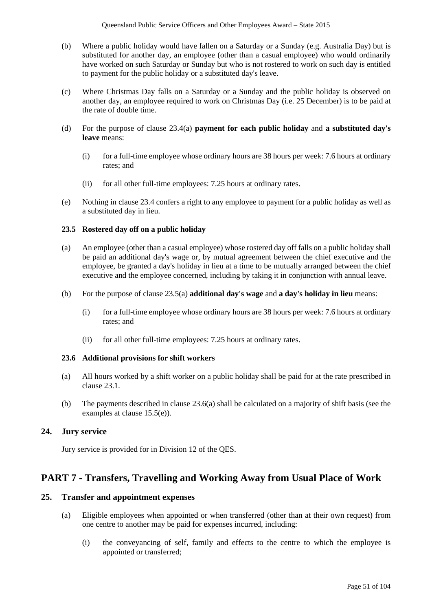- (b) Where a public holiday would have fallen on a Saturday or a Sunday (e.g. Australia Day) but is substituted for another day, an employee (other than a casual employee) who would ordinarily have worked on such Saturday or Sunday but who is not rostered to work on such day is entitled to payment for the public holiday or a substituted day's leave.
- (c) Where Christmas Day falls on a Saturday or a Sunday and the public holiday is observed on another day, an employee required to work on Christmas Day (i.e. 25 December) is to be paid at the rate of double time.
- (d) For the purpose of clause 23.4(a) **payment for each public holiday** and **a substituted day's leave** means:
	- (i) for a full-time employee whose ordinary hours are 38 hours per week: 7.6 hours at ordinary rates; and
	- (ii) for all other full-time employees: 7.25 hours at ordinary rates.
- (e) Nothing in clause 23.4 confers a right to any employee to payment for a public holiday as well as a substituted day in lieu.

# **23.5 Rostered day off on a public holiday**

- (a) An employee (other than a casual employee) whose rostered day off falls on a public holiday shall be paid an additional day's wage or, by mutual agreement between the chief executive and the employee, be granted a day's holiday in lieu at a time to be mutually arranged between the chief executive and the employee concerned, including by taking it in conjunction with annual leave.
- (b) For the purpose of clause 23.5(a) **additional day's wage** and **a day's holiday in lieu** means:
	- (i) for a full-time employee whose ordinary hours are 38 hours per week: 7.6 hours at ordinary rates; and
	- (ii) for all other full-time employees: 7.25 hours at ordinary rates.

# **23.6 Additional provisions for shift workers**

- (a) All hours worked by a shift worker on a public holiday shall be paid for at the rate prescribed in clause 23.1.
- (b) The payments described in clause 23.6(a) shall be calculated on a majority of shift basis (see the examples at clause 15.5(e)).

# **24. Jury service**

Jury service is provided for in Division 12 of the QES.

# **PART 7 - Transfers, Travelling and Working Away from Usual Place of Work**

# **25. Transfer and appointment expenses**

- (a) Eligible employees when appointed or when transferred (other than at their own request) from one centre to another may be paid for expenses incurred, including:
	- (i) the conveyancing of self, family and effects to the centre to which the employee is appointed or transferred;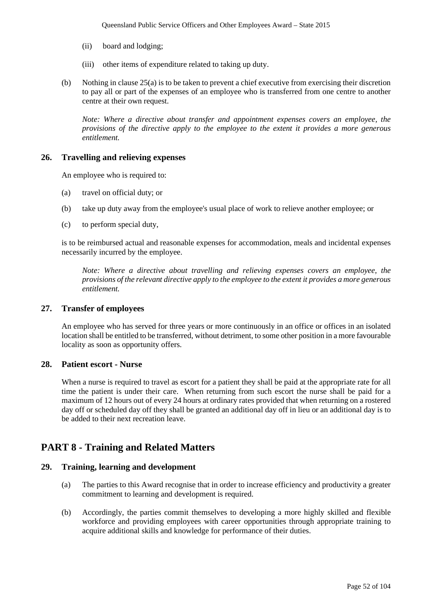- (ii) board and lodging;
- (iii) other items of expenditure related to taking up duty.
- (b) Nothing in clause 25(a) is to be taken to prevent a chief executive from exercising their discretion to pay all or part of the expenses of an employee who is transferred from one centre to another centre at their own request.

*Note: Where a directive about transfer and appointment expenses covers an employee, the provisions of the directive apply to the employee to the extent it provides a more generous entitlement.* 

### **26. Travelling and relieving expenses**

An employee who is required to:

- (a) travel on official duty; or
- (b) take up duty away from the employee's usual place of work to relieve another employee; or
- (c) to perform special duty,

is to be reimbursed actual and reasonable expenses for accommodation, meals and incidental expenses necessarily incurred by the employee.

*Note: Where a directive about travelling and relieving expenses covers an employee, the provisions of the relevant directive apply to the employee to the extent it provides a more generous entitlement.*

## **27. Transfer of employees**

An employee who has served for three years or more continuously in an office or offices in an isolated location shall be entitled to be transferred, without detriment, to some other position in a more favourable locality as soon as opportunity offers.

# **28. Patient escort - Nurse**

When a nurse is required to travel as escort for a patient they shall be paid at the appropriate rate for all time the patient is under their care. When returning from such escort the nurse shall be paid for a maximum of 12 hours out of every 24 hours at ordinary rates provided that when returning on a rostered day off or scheduled day off they shall be granted an additional day off in lieu or an additional day is to be added to their next recreation leave.

# **PART 8 - Training and Related Matters**

# **29. Training, learning and development**

- (a) The parties to this Award recognise that in order to increase efficiency and productivity a greater commitment to learning and development is required.
- (b) Accordingly, the parties commit themselves to developing a more highly skilled and flexible workforce and providing employees with career opportunities through appropriate training to acquire additional skills and knowledge for performance of their duties.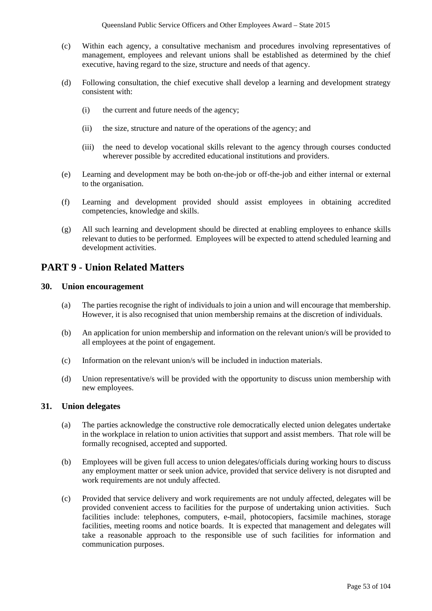- (c) Within each agency, a consultative mechanism and procedures involving representatives of management, employees and relevant unions shall be established as determined by the chief executive, having regard to the size, structure and needs of that agency.
- (d) Following consultation, the chief executive shall develop a learning and development strategy consistent with:
	- (i) the current and future needs of the agency;
	- (ii) the size, structure and nature of the operations of the agency; and
	- (iii) the need to develop vocational skills relevant to the agency through courses conducted wherever possible by accredited educational institutions and providers.
- (e) Learning and development may be both on-the-job or off-the-job and either internal or external to the organisation.
- (f) Learning and development provided should assist employees in obtaining accredited competencies, knowledge and skills.
- (g) All such learning and development should be directed at enabling employees to enhance skills relevant to duties to be performed. Employees will be expected to attend scheduled learning and development activities.

# **PART 9 - Union Related Matters**

# **30. Union encouragement**

- (a) The parties recognise the right of individuals to join a union and will encourage that membership. However, it is also recognised that union membership remains at the discretion of individuals.
- (b) An application for union membership and information on the relevant union/s will be provided to all employees at the point of engagement.
- (c) Information on the relevant union/s will be included in induction materials.
- (d) Union representative/s will be provided with the opportunity to discuss union membership with new employees.

# **31. Union delegates**

- (a) The parties acknowledge the constructive role democratically elected union delegates undertake in the workplace in relation to union activities that support and assist members. That role will be formally recognised, accepted and supported.
- (b) Employees will be given full access to union delegates/officials during working hours to discuss any employment matter or seek union advice, provided that service delivery is not disrupted and work requirements are not unduly affected.
- (c) Provided that service delivery and work requirements are not unduly affected, delegates will be provided convenient access to facilities for the purpose of undertaking union activities. Such facilities include: telephones, computers, e-mail, photocopiers, facsimile machines, storage facilities, meeting rooms and notice boards. It is expected that management and delegates will take a reasonable approach to the responsible use of such facilities for information and communication purposes.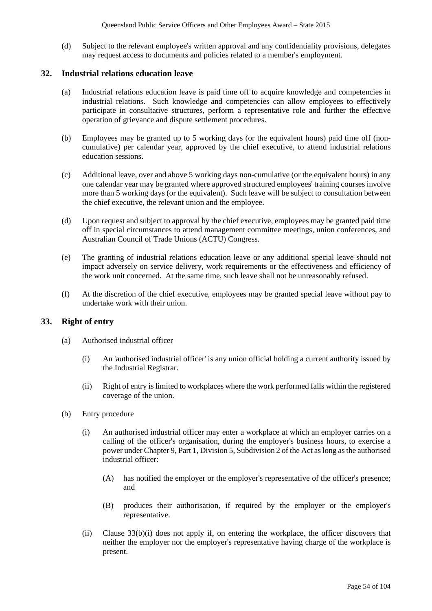(d) Subject to the relevant employee's written approval and any confidentiality provisions, delegates may request access to documents and policies related to a member's employment.

# **32. Industrial relations education leave**

- (a) Industrial relations education leave is paid time off to acquire knowledge and competencies in industrial relations. Such knowledge and competencies can allow employees to effectively participate in consultative structures, perform a representative role and further the effective operation of grievance and dispute settlement procedures.
- (b) Employees may be granted up to 5 working days (or the equivalent hours) paid time off (noncumulative) per calendar year, approved by the chief executive, to attend industrial relations education sessions.
- (c) Additional leave, over and above 5 working days non-cumulative (or the equivalent hours) in any one calendar year may be granted where approved structured employees' training courses involve more than 5 working days (or the equivalent). Such leave will be subject to consultation between the chief executive, the relevant union and the employee.
- (d) Upon request and subject to approval by the chief executive, employees may be granted paid time off in special circumstances to attend management committee meetings, union conferences, and Australian Council of Trade Unions (ACTU) Congress.
- (e) The granting of industrial relations education leave or any additional special leave should not impact adversely on service delivery, work requirements or the effectiveness and efficiency of the work unit concerned. At the same time, such leave shall not be unreasonably refused.
- (f) At the discretion of the chief executive, employees may be granted special leave without pay to undertake work with their union.

# **33. Right of entry**

- (a) Authorised industrial officer
	- (i) An 'authorised industrial officer' is any union official holding a current authority issued by the Industrial Registrar.
	- (ii) Right of entry is limited to workplaces where the work performed falls within the registered coverage of the union.
- (b) Entry procedure
	- (i) An authorised industrial officer may enter a workplace at which an employer carries on a calling of the officer's organisation, during the employer's business hours, to exercise a power under Chapter 9, Part 1, Division 5, Subdivision 2 of the Act as long as the authorised industrial officer:
		- (A) has notified the employer or the employer's representative of the officer's presence; and
		- (B) produces their authorisation, if required by the employer or the employer's representative.
	- (ii) Clause 33(b)(i) does not apply if, on entering the workplace, the officer discovers that neither the employer nor the employer's representative having charge of the workplace is present.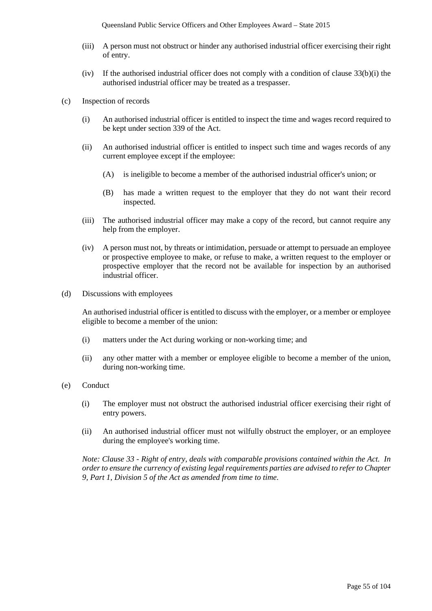Queensland Public Service Officers and Other Employees Award – State 2015

- (iii) A person must not obstruct or hinder any authorised industrial officer exercising their right of entry.
- (iv) If the authorised industrial officer does not comply with a condition of clause 33(b)(i) the authorised industrial officer may be treated as a trespasser.
- (c) Inspection of records
	- (i) An authorised industrial officer is entitled to inspect the time and wages record required to be kept under section 339 of the Act.
	- (ii) An authorised industrial officer is entitled to inspect such time and wages records of any current employee except if the employee:
		- (A) is ineligible to become a member of the authorised industrial officer's union; or
		- (B) has made a written request to the employer that they do not want their record inspected.
	- (iii) The authorised industrial officer may make a copy of the record, but cannot require any help from the employer.
	- (iv) A person must not, by threats or intimidation, persuade or attempt to persuade an employee or prospective employee to make, or refuse to make, a written request to the employer or prospective employer that the record not be available for inspection by an authorised industrial officer.
- (d) Discussions with employees

An authorised industrial officer is entitled to discuss with the employer, or a member or employee eligible to become a member of the union:

- (i) matters under the Act during working or non-working time; and
- (ii) any other matter with a member or employee eligible to become a member of the union, during non-working time.
- (e) Conduct
	- (i) The employer must not obstruct the authorised industrial officer exercising their right of entry powers.
	- (ii) An authorised industrial officer must not wilfully obstruct the employer, or an employee during the employee's working time.

*Note: Clause 33 - Right of entry, deals with comparable provisions contained within the Act. In order to ensure the currency of existing legal requirements parties are advised to refer to Chapter 9, Part 1, Division 5 of the Act as amended from time to time.*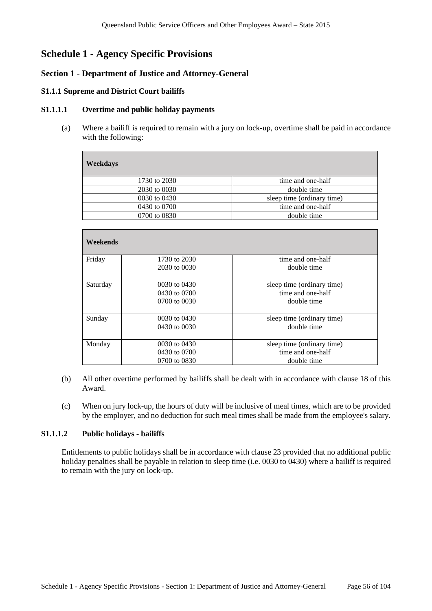# **Schedule 1 - Agency Specific Provisions**

# **Section 1 - Department of Justice and Attorney-General**

## **S1.1.1 Supreme and District Court bailiffs**

### **S1.1.1.1 Overtime and public holiday payments**

(a) Where a bailiff is required to remain with a jury on lock-up, overtime shall be paid in accordance with the following:

| Weekdays     |                            |
|--------------|----------------------------|
| 1730 to 2030 | time and one-half          |
| 2030 to 0030 | double time                |
| 0030 to 0430 | sleep time (ordinary time) |
| 0430 to 0700 | time and one-half          |
| 0700 to 0830 | double time                |
|              |                            |

| Weekends |                  |                            |
|----------|------------------|----------------------------|
| Friday   | 1730 to 2030     | time and one-half          |
|          | 2030 to 0030     | double time                |
| Saturday | 0030 to 0430     | sleep time (ordinary time) |
|          | 0430 to 0700     | time and one-half          |
|          | $0700$ to $0030$ | double time                |
| Sunday   | $0030$ to $0430$ | sleep time (ordinary time) |
|          | 0430 to 0030     | double time                |
| Monday   | 0030 to 0430     | sleep time (ordinary time) |
|          | 0430 to 0700     | time and one-half          |
|          | 0700 to 0830     | double time                |

- (b) All other overtime performed by bailiffs shall be dealt with in accordance with clause 18 of this Award.
- (c) When on jury lock-up, the hours of duty will be inclusive of meal times, which are to be provided by the employer, and no deduction for such meal times shall be made from the employee's salary.

# **S1.1.1.2 Public holidays - bailiffs**

Entitlements to public holidays shall be in accordance with clause 23 provided that no additional public holiday penalties shall be payable in relation to sleep time (i.e. 0030 to 0430) where a bailiff is required to remain with the jury on lock-up.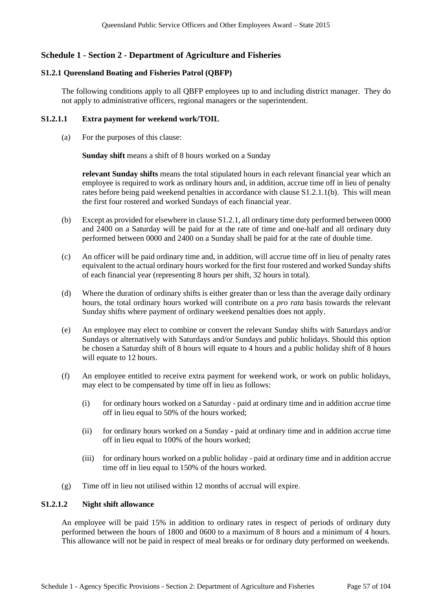# **Schedule 1 - Section 2 - Department of Agriculture and Fisheries**

# **S1.2.1 Queensland Boating and Fisheries Patrol (QBFP)**

The following conditions apply to all QBFP employees up to and including district manager. They do not apply to administrative officers, regional managers or the superintendent.

## **S1.2.1.1 Extra payment for weekend work/TOIL**

(a) For the purposes of this clause:

**Sunday shift** means a shift of 8 hours worked on a Sunday

**relevant Sunday shifts** means the total stipulated hours in each relevant financial year which an employee is required to work as ordinary hours and, in addition, accrue time off in lieu of penalty rates before being paid weekend penalties in accordance with clause S1.2.1.1(b). This will mean the first four rostered and worked Sundays of each financial year.

- (b) Except as provided for elsewhere in clause S1.2.1, all ordinary time duty performed between 0000 and 2400 on a Saturday will be paid for at the rate of time and one-half and all ordinary duty performed between 0000 and 2400 on a Sunday shall be paid for at the rate of double time.
- (c) An officer will be paid ordinary time and, in addition, will accrue time off in lieu of penalty rates equivalent to the actual ordinary hours worked for the first four rostered and worked Sunday shifts of each financial year (representing 8 hours per shift, 32 hours in total).
- (d) Where the duration of ordinary shifts is either greater than or less than the average daily ordinary hours, the total ordinary hours worked will contribute on a *pro rata* basis towards the relevant Sunday shifts where payment of ordinary weekend penalties does not apply.
- (e) An employee may elect to combine or convert the relevant Sunday shifts with Saturdays and/or Sundays or alternatively with Saturdays and/or Sundays and public holidays. Should this option be chosen a Saturday shift of 8 hours will equate to 4 hours and a public holiday shift of 8 hours will equate to 12 hours.
- (f) An employee entitled to receive extra payment for weekend work, or work on public holidays, may elect to be compensated by time off in lieu as follows:
	- (i) for ordinary hours worked on a Saturday paid at ordinary time and in addition accrue time off in lieu equal to 50% of the hours worked;
	- (ii) for ordinary hours worked on a Sunday paid at ordinary time and in addition accrue time off in lieu equal to 100% of the hours worked;
	- (iii) for ordinary hours worked on a public holiday paid at ordinary time and in addition accrue time off in lieu equal to 150% of the hours worked.
- (g) Time off in lieu not utilised within 12 months of accrual will expire.

# **S1.2.1.2 Night shift allowance**

An employee will be paid 15% in addition to ordinary rates in respect of periods of ordinary duty performed between the hours of 1800 and 0600 to a maximum of 8 hours and a minimum of 4 hours. This allowance will not be paid in respect of meal breaks or for ordinary duty performed on weekends.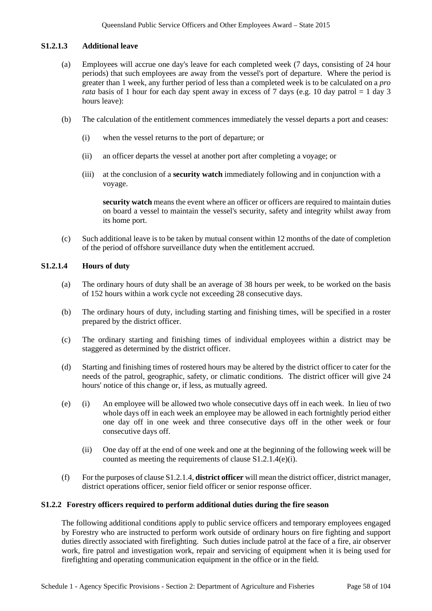# **S1.2.1.3 Additional leave**

- (a) Employees will accrue one day's leave for each completed week (7 days, consisting of 24 hour periods) that such employees are away from the vessel's port of departure. Where the period is greater than 1 week, any further period of less than a completed week is to be calculated on a *pro rata* basis of 1 hour for each day spent away in excess of 7 days (e.g. 10 day patrol  $= 1$  day 3 hours leave):
- (b) The calculation of the entitlement commences immediately the vessel departs a port and ceases:
	- (i) when the vessel returns to the port of departure; or
	- (ii) an officer departs the vessel at another port after completing a voyage; or
	- (iii) at the conclusion of a **security watch** immediately following and in conjunction with a voyage.

**security watch** means the event where an officer or officers are required to maintain duties on board a vessel to maintain the vessel's security, safety and integrity whilst away from its home port.

(c) Such additional leave is to be taken by mutual consent within 12 months of the date of completion of the period of offshore surveillance duty when the entitlement accrued.

# **S1.2.1.4 Hours of duty**

- (a) The ordinary hours of duty shall be an average of 38 hours per week, to be worked on the basis of 152 hours within a work cycle not exceeding 28 consecutive days.
- (b) The ordinary hours of duty, including starting and finishing times, will be specified in a roster prepared by the district officer.
- (c) The ordinary starting and finishing times of individual employees within a district may be staggered as determined by the district officer.
- (d) Starting and finishing times of rostered hours may be altered by the district officer to cater for the needs of the patrol, geographic, safety, or climatic conditions. The district officer will give 24 hours' notice of this change or, if less, as mutually agreed.
- (e) (i) An employee will be allowed two whole consecutive days off in each week. In lieu of two whole days off in each week an employee may be allowed in each fortnightly period either one day off in one week and three consecutive days off in the other week or four consecutive days off.
	- (ii) One day off at the end of one week and one at the beginning of the following week will be counted as meeting the requirements of clause S1.2.1.4(e)(i).
- (f) For the purposes of clause S1.2.1.4, **district officer** will mean the district officer, district manager, district operations officer, senior field officer or senior response officer.

# **S1.2.2 Forestry officers required to perform additional duties during the fire season**

The following additional conditions apply to public service officers and temporary employees engaged by Forestry who are instructed to perform work outside of ordinary hours on fire fighting and support duties directly associated with firefighting. Such duties include patrol at the face of a fire, air observer work, fire patrol and investigation work, repair and servicing of equipment when it is being used for firefighting and operating communication equipment in the office or in the field.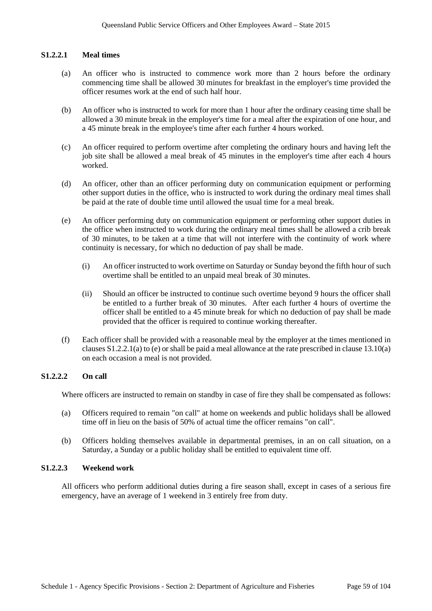## **S1.2.2.1 Meal times**

- (a) An officer who is instructed to commence work more than 2 hours before the ordinary commencing time shall be allowed 30 minutes for breakfast in the employer's time provided the officer resumes work at the end of such half hour.
- (b) An officer who is instructed to work for more than 1 hour after the ordinary ceasing time shall be allowed a 30 minute break in the employer's time for a meal after the expiration of one hour, and a 45 minute break in the employee's time after each further 4 hours worked.
- (c) An officer required to perform overtime after completing the ordinary hours and having left the job site shall be allowed a meal break of 45 minutes in the employer's time after each 4 hours worked.
- (d) An officer, other than an officer performing duty on communication equipment or performing other support duties in the office, who is instructed to work during the ordinary meal times shall be paid at the rate of double time until allowed the usual time for a meal break.
- (e) An officer performing duty on communication equipment or performing other support duties in the office when instructed to work during the ordinary meal times shall be allowed a crib break of 30 minutes, to be taken at a time that will not interfere with the continuity of work where continuity is necessary, for which no deduction of pay shall be made.
	- (i) An officer instructed to work overtime on Saturday or Sunday beyond the fifth hour of such overtime shall be entitled to an unpaid meal break of 30 minutes.
	- (ii) Should an officer be instructed to continue such overtime beyond 9 hours the officer shall be entitled to a further break of 30 minutes. After each further 4 hours of overtime the officer shall be entitled to a 45 minute break for which no deduction of pay shall be made provided that the officer is required to continue working thereafter.
- (f) Each officer shall be provided with a reasonable meal by the employer at the times mentioned in clauses S1.2.2.1(a) to (e) orshall be paid a meal allowance at the rate prescribed in clause 13.10(a) on each occasion a meal is not provided.

# **S1.2.2.2 On call**

Where officers are instructed to remain on standby in case of fire they shall be compensated as follows:

- (a) Officers required to remain "on call" at home on weekends and public holidays shall be allowed time off in lieu on the basis of 50% of actual time the officer remains "on call".
- (b) Officers holding themselves available in departmental premises, in an on call situation, on a Saturday, a Sunday or a public holiday shall be entitled to equivalent time off.

#### **S1.2.2.3 Weekend work**

All officers who perform additional duties during a fire season shall, except in cases of a serious fire emergency, have an average of 1 weekend in 3 entirely free from duty.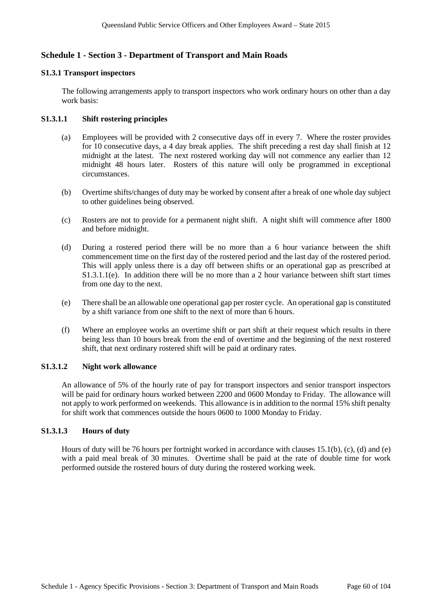# **Schedule 1 - Section 3 - Department of Transport and Main Roads**

### **S1.3.1 Transport inspectors**

The following arrangements apply to transport inspectors who work ordinary hours on other than a day work basis:

# **S1.3.1.1 Shift rostering principles**

- (a) Employees will be provided with 2 consecutive days off in every 7. Where the roster provides for 10 consecutive days, a 4 day break applies. The shift preceding a rest day shall finish at 12 midnight at the latest. The next rostered working day will not commence any earlier than 12 midnight 48 hours later. Rosters of this nature will only be programmed in exceptional circumstances.
- (b) Overtime shifts/changes of duty may be worked by consent after a break of one whole day subject to other guidelines being observed.
- (c) Rosters are not to provide for a permanent night shift. A night shift will commence after 1800 and before midnight.
- (d) During a rostered period there will be no more than a 6 hour variance between the shift commencement time on the first day of the rostered period and the last day of the rostered period. This will apply unless there is a day off between shifts or an operational gap as prescribed at S1.3.1.1(e). In addition there will be no more than a 2 hour variance between shift start times from one day to the next.
- (e) There shall be an allowable one operational gap per roster cycle. An operational gap is constituted by a shift variance from one shift to the next of more than 6 hours.
- (f) Where an employee works an overtime shift or part shift at their request which results in there being less than 10 hours break from the end of overtime and the beginning of the next rostered shift, that next ordinary rostered shift will be paid at ordinary rates.

# **S1.3.1.2 Night work allowance**

An allowance of 5% of the hourly rate of pay for transport inspectors and senior transport inspectors will be paid for ordinary hours worked between 2200 and 0600 Monday to Friday. The allowance will not apply to work performed on weekends. This allowance is in addition to the normal 15% shift penalty for shift work that commences outside the hours 0600 to 1000 Monday to Friday.

# **S1.3.1.3 Hours of duty**

Hours of duty will be 76 hours per fortnight worked in accordance with clauses 15.1(b), (c), (d) and (e) with a paid meal break of 30 minutes. Overtime shall be paid at the rate of double time for work performed outside the rostered hours of duty during the rostered working week.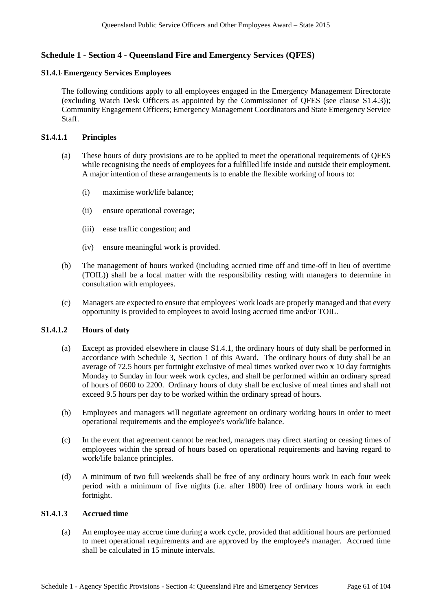# **Schedule 1 - Section 4 - Queensland Fire and Emergency Services (QFES)**

### **S1.4.1 Emergency Services Employees**

The following conditions apply to all employees engaged in the Emergency Management Directorate (excluding Watch Desk Officers as appointed by the Commissioner of QFES (see clause S1.4.3)); Community Engagement Officers; Emergency Management Coordinators and State Emergency Service Staff.

### **S1.4.1.1 Principles**

- (a) These hours of duty provisions are to be applied to meet the operational requirements of QFES while recognising the needs of employees for a fulfilled life inside and outside their employment. A major intention of these arrangements is to enable the flexible working of hours to:
	- (i) maximise work/life balance;
	- (ii) ensure operational coverage;
	- (iii) ease traffic congestion; and
	- (iv) ensure meaningful work is provided.
- (b) The management of hours worked (including accrued time off and time-off in lieu of overtime (TOIL)) shall be a local matter with the responsibility resting with managers to determine in consultation with employees.
- (c) Managers are expected to ensure that employees' work loads are properly managed and that every opportunity is provided to employees to avoid losing accrued time and/or TOIL.

# **S1.4.1.2 Hours of duty**

- (a) Except as provided elsewhere in clause S1.4.1, the ordinary hours of duty shall be performed in accordance with Schedule 3, Section 1 of this Award. The ordinary hours of duty shall be an average of 72.5 hours per fortnight exclusive of meal times worked over two x 10 day fortnights Monday to Sunday in four week work cycles, and shall be performed within an ordinary spread of hours of 0600 to 2200. Ordinary hours of duty shall be exclusive of meal times and shall not exceed 9.5 hours per day to be worked within the ordinary spread of hours.
- (b) Employees and managers will negotiate agreement on ordinary working hours in order to meet operational requirements and the employee's work/life balance.
- (c) In the event that agreement cannot be reached, managers may direct starting or ceasing times of employees within the spread of hours based on operational requirements and having regard to work/life balance principles.
- (d) A minimum of two full weekends shall be free of any ordinary hours work in each four week period with a minimum of five nights (i.e. after 1800) free of ordinary hours work in each fortnight.

### **S1.4.1.3 Accrued time**

(a) An employee may accrue time during a work cycle, provided that additional hours are performed to meet operational requirements and are approved by the employee's manager. Accrued time shall be calculated in 15 minute intervals.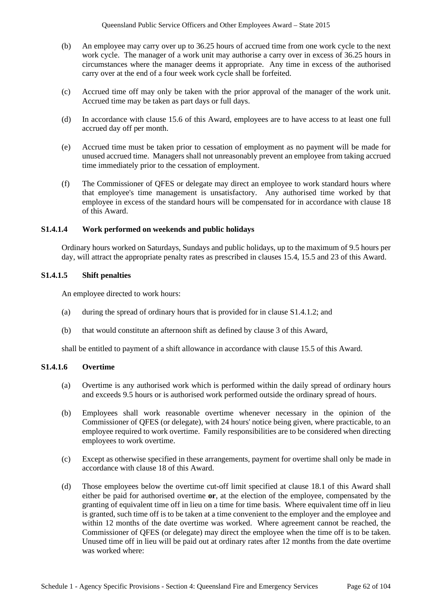- (b) An employee may carry over up to 36.25 hours of accrued time from one work cycle to the next work cycle. The manager of a work unit may authorise a carry over in excess of 36.25 hours in circumstances where the manager deems it appropriate. Any time in excess of the authorised carry over at the end of a four week work cycle shall be forfeited.
- (c) Accrued time off may only be taken with the prior approval of the manager of the work unit. Accrued time may be taken as part days or full days.
- (d) In accordance with clause 15.6 of this Award, employees are to have access to at least one full accrued day off per month.
- (e) Accrued time must be taken prior to cessation of employment as no payment will be made for unused accrued time. Managers shall not unreasonably prevent an employee from taking accrued time immediately prior to the cessation of employment.
- (f) The Commissioner of QFES or delegate may direct an employee to work standard hours where that employee's time management is unsatisfactory. Any authorised time worked by that employee in excess of the standard hours will be compensated for in accordance with clause 18 of this Award.

### **S1.4.1.4 Work performed on weekends and public holidays**

Ordinary hours worked on Saturdays, Sundays and public holidays, up to the maximum of 9.5 hours per day, will attract the appropriate penalty rates as prescribed in clauses 15.4, 15.5 and 23 of this Award.

### **S1.4.1.5 Shift penalties**

An employee directed to work hours:

- (a) during the spread of ordinary hours that is provided for in clause S1.4.1.2; and
- (b) that would constitute an afternoon shift as defined by clause 3 of this Award,

shall be entitled to payment of a shift allowance in accordance with clause 15.5 of this Award.

#### **S1.4.1.6 Overtime**

- (a) Overtime is any authorised work which is performed within the daily spread of ordinary hours and exceeds 9.5 hours or is authorised work performed outside the ordinary spread of hours.
- (b) Employees shall work reasonable overtime whenever necessary in the opinion of the Commissioner of QFES (or delegate), with 24 hours' notice being given, where practicable, to an employee required to work overtime. Family responsibilities are to be considered when directing employees to work overtime.
- (c) Except as otherwise specified in these arrangements, payment for overtime shall only be made in accordance with clause 18 of this Award.
- (d) Those employees below the overtime cut-off limit specified at clause 18.1 of this Award shall either be paid for authorised overtime **or**, at the election of the employee, compensated by the granting of equivalent time off in lieu on a time for time basis. Where equivalent time off in lieu is granted, such time off is to be taken at a time convenient to the employer and the employee and within 12 months of the date overtime was worked. Where agreement cannot be reached, the Commissioner of QFES (or delegate) may direct the employee when the time off is to be taken. Unused time off in lieu will be paid out at ordinary rates after 12 months from the date overtime was worked where: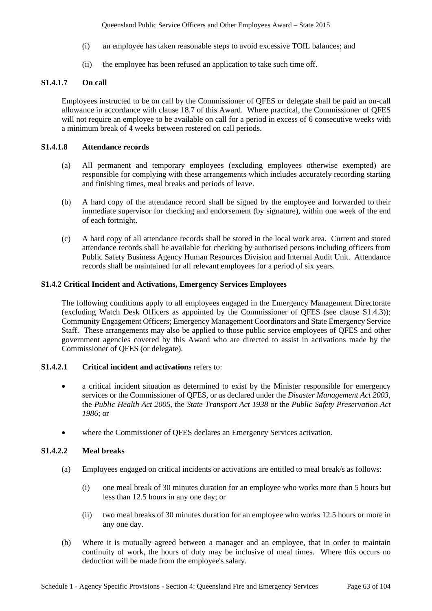Queensland Public Service Officers and Other Employees Award – State 2015

- (i) an employee has taken reasonable steps to avoid excessive TOIL balances; and
- (ii) the employee has been refused an application to take such time off.

# **S1.4.1.7 On call**

Employees instructed to be on call by the Commissioner of QFES or delegate shall be paid an on-call allowance in accordance with clause 18.7 of this Award. Where practical, the Commissioner of QFES will not require an employee to be available on call for a period in excess of 6 consecutive weeks with a minimum break of 4 weeks between rostered on call periods.

# **S1.4.1.8 Attendance records**

- (a) All permanent and temporary employees (excluding employees otherwise exempted) are responsible for complying with these arrangements which includes accurately recording starting and finishing times, meal breaks and periods of leave.
- (b) A hard copy of the attendance record shall be signed by the employee and forwarded to their immediate supervisor for checking and endorsement (by signature), within one week of the end of each fortnight.
- (c) A hard copy of all attendance records shall be stored in the local work area. Current and stored attendance records shall be available for checking by authorised persons including officers from Public Safety Business Agency Human Resources Division and Internal Audit Unit. Attendance records shall be maintained for all relevant employees for a period of six years.

# **S1.4.2 Critical Incident and Activations, Emergency Services Employees**

The following conditions apply to all employees engaged in the Emergency Management Directorate (excluding Watch Desk Officers as appointed by the Commissioner of QFES (see clause S1.4.3)); Community Engagement Officers; Emergency Management Coordinators and State Emergency Service Staff. These arrangements may also be applied to those public service employees of QFES and other government agencies covered by this Award who are directed to assist in activations made by the Commissioner of QFES (or delegate).

# **S1.4.2.1 Critical incident and activations** refers to:

- a critical incident situation as determined to exist by the Minister responsible for emergency services or the Commissioner of QFES, or as declared under the *Disaster Management Act 2003*, the *Public Health Act 2005*, the *State Transport Act 1938* or the *Public Safety Preservation Act 1986*; or
- where the Commissioner of QFES declares an Emergency Services activation.

# **S1.4.2.2 Meal breaks**

- (a) Employees engaged on critical incidents or activations are entitled to meal break/s as follows:
	- (i) one meal break of 30 minutes duration for an employee who works more than 5 hours but less than 12.5 hours in any one day; or
	- (ii) two meal breaks of 30 minutes duration for an employee who works 12.5 hours or more in any one day.
- (b) Where it is mutually agreed between a manager and an employee, that in order to maintain continuity of work, the hours of duty may be inclusive of meal times. Where this occurs no deduction will be made from the employee's salary.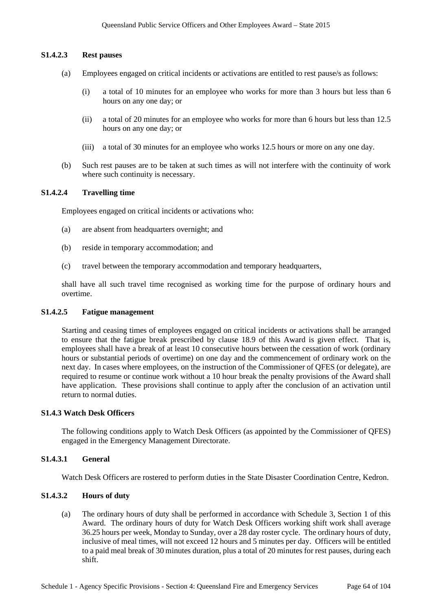### **S1.4.2.3 Rest pauses**

- (a) Employees engaged on critical incidents or activations are entitled to rest pause/s as follows:
	- (i) a total of 10 minutes for an employee who works for more than 3 hours but less than 6 hours on any one day; or
	- (ii) a total of 20 minutes for an employee who works for more than 6 hours but less than 12.5 hours on any one day; or
	- (iii) a total of 30 minutes for an employee who works 12.5 hours or more on any one day.
- (b) Such rest pauses are to be taken at such times as will not interfere with the continuity of work where such continuity is necessary.

## **S1.4.2.4 Travelling time**

Employees engaged on critical incidents or activations who:

- (a) are absent from headquarters overnight; and
- (b) reside in temporary accommodation; and
- (c) travel between the temporary accommodation and temporary headquarters,

shall have all such travel time recognised as working time for the purpose of ordinary hours and overtime.

#### **S1.4.2.5 Fatigue management**

Starting and ceasing times of employees engaged on critical incidents or activations shall be arranged to ensure that the fatigue break prescribed by clause 18.9 of this Award is given effect. That is, employees shall have a break of at least 10 consecutive hours between the cessation of work (ordinary hours or substantial periods of overtime) on one day and the commencement of ordinary work on the next day. In cases where employees, on the instruction of the Commissioner of QFES (or delegate), are required to resume or continue work without a 10 hour break the penalty provisions of the Award shall have application. These provisions shall continue to apply after the conclusion of an activation until return to normal duties.

#### **S1.4.3 Watch Desk Officers**

The following conditions apply to Watch Desk Officers (as appointed by the Commissioner of QFES) engaged in the Emergency Management Directorate.

# **S1.4.3.1 General**

Watch Desk Officers are rostered to perform duties in the State Disaster Coordination Centre, Kedron.

# **S1.4.3.2 Hours of duty**

(a) The ordinary hours of duty shall be performed in accordance with Schedule 3, Section 1 of this Award. The ordinary hours of duty for Watch Desk Officers working shift work shall average 36.25 hours per week, Monday to Sunday, over a 28 day roster cycle. The ordinary hours of duty, inclusive of meal times, will not exceed 12 hours and 5 minutes per day. Officers will be entitled to a paid meal break of 30 minutes duration, plus a total of 20 minutes for rest pauses, during each shift.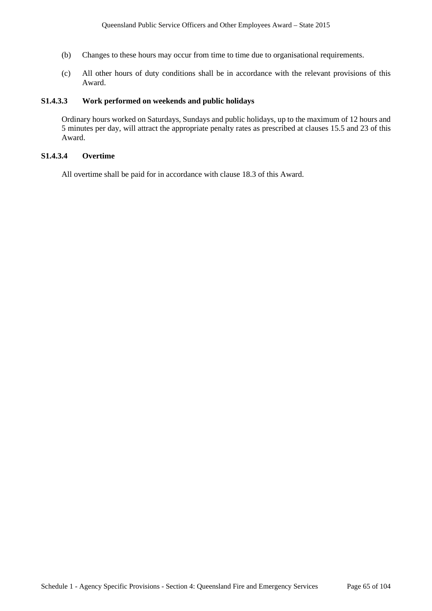- (b) Changes to these hours may occur from time to time due to organisational requirements.
- (c) All other hours of duty conditions shall be in accordance with the relevant provisions of this Award.

# **S1.4.3.3 Work performed on weekends and public holidays**

Ordinary hours worked on Saturdays, Sundays and public holidays, up to the maximum of 12 hours and 5 minutes per day, will attract the appropriate penalty rates as prescribed at clauses 15.5 and 23 of this Award.

# **S1.4.3.4 Overtime**

All overtime shall be paid for in accordance with clause 18.3 of this Award.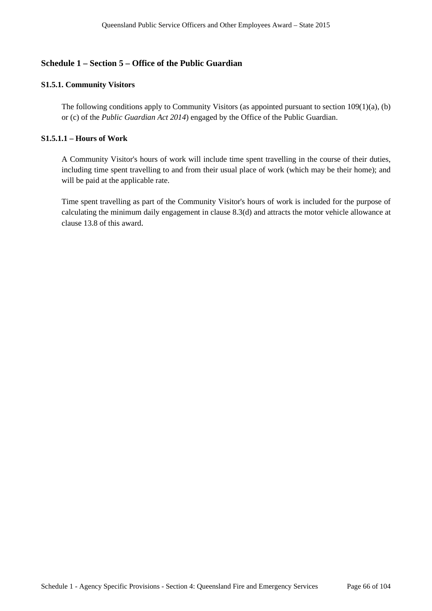# **Schedule 1 – Section 5 – Office of the Public Guardian**

# **S1.5.1. Community Visitors**

The following conditions apply to Community Visitors (as appointed pursuant to section 109(1)(a), (b) or (c) of the *Public Guardian Act 2014*) engaged by the Office of the Public Guardian.

# **S1.5.1.1 – Hours of Work**

A Community Visitor's hours of work will include time spent travelling in the course of their duties, including time spent travelling to and from their usual place of work (which may be their home); and will be paid at the applicable rate.

Time spent travelling as part of the Community Visitor's hours of work is included for the purpose of calculating the minimum daily engagement in clause 8.3(d) and attracts the motor vehicle allowance at clause 13.8 of this award.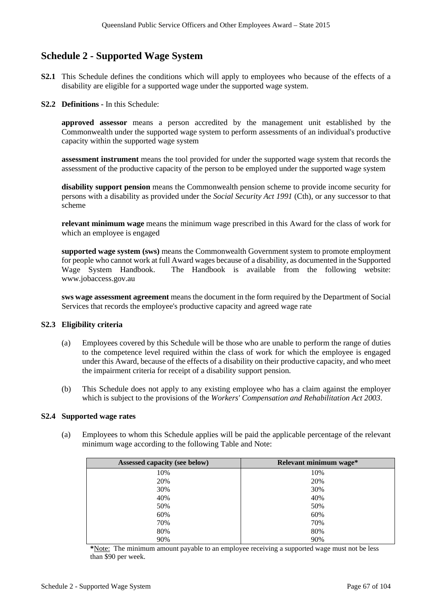# **Schedule 2 - Supported Wage System**

- **S2.1** This Schedule defines the conditions which will apply to employees who because of the effects of a disability are eligible for a supported wage under the supported wage system.
- **S2.2 Definitions -** In this Schedule:

**approved assessor** means a person accredited by the management unit established by the Commonwealth under the supported wage system to perform assessments of an individual's productive capacity within the supported wage system

**assessment instrument** means the tool provided for under the supported wage system that records the assessment of the productive capacity of the person to be employed under the supported wage system

**disability support pension** means the Commonwealth pension scheme to provide income security for persons with a disability as provided under the *Social Security Act 1991* (Cth), or any successor to that scheme

**relevant minimum wage** means the minimum wage prescribed in this Award for the class of work for which an employee is engaged

**supported wage system (sws)** means the Commonwealth Government system to promote employment for people who cannot work at full Award wages because of a disability, as documented in the Supported Wage System Handbook. The Handbook is available from the following website: www.jobaccess.gov.au

**sws wage assessment agreement** means the document in the form required by the Department of Social Services that records the employee's productive capacity and agreed wage rate

# **S2.3 Eligibility criteria**

- (a) Employees covered by this Schedule will be those who are unable to perform the range of duties to the competence level required within the class of work for which the employee is engaged under this Award, because of the effects of a disability on their productive capacity, and who meet the impairment criteria for receipt of a disability support pension.
- (b) This Schedule does not apply to any existing employee who has a claim against the employer which is subject to the provisions of the *Workers' Compensation and Rehabilitation Act 2003*.

## **S2.4 Supported wage rates**

(a) Employees to whom this Schedule applies will be paid the applicable percentage of the relevant minimum wage according to the following Table and Note:

| Assessed capacity (see below) | Relevant minimum wage* |
|-------------------------------|------------------------|
| 10%                           | 10%                    |
| 20%                           | 20%                    |
| 30%                           | 30%                    |
| 40%                           | 40%                    |
| 50%                           | 50%                    |
| 60%                           | 60%                    |
| 70%                           | 70%                    |
| 80%                           | 80%                    |
| 90%                           | 90%                    |

**\***Note: The minimum amount payable to an employee receiving a supported wage must not be less than \$90 per week.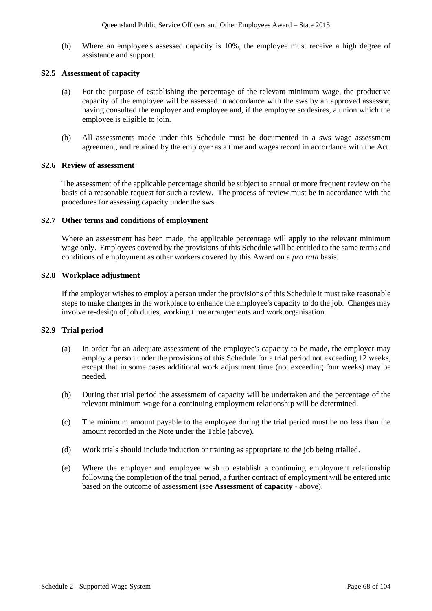(b) Where an employee's assessed capacity is 10%, the employee must receive a high degree of assistance and support.

#### **S2.5 Assessment of capacity**

- (a) For the purpose of establishing the percentage of the relevant minimum wage, the productive capacity of the employee will be assessed in accordance with the sws by an approved assessor, having consulted the employer and employee and, if the employee so desires, a union which the employee is eligible to join.
- (b) All assessments made under this Schedule must be documented in a sws wage assessment agreement, and retained by the employer as a time and wages record in accordance with the Act.

#### **S2.6 Review of assessment**

The assessment of the applicable percentage should be subject to annual or more frequent review on the basis of a reasonable request for such a review. The process of review must be in accordance with the procedures for assessing capacity under the sws.

#### **S2.7 Other terms and conditions of employment**

Where an assessment has been made, the applicable percentage will apply to the relevant minimum wage only. Employees covered by the provisions of this Schedule will be entitled to the same terms and conditions of employment as other workers covered by this Award on a *pro rata* basis.

## **S2.8 Workplace adjustment**

If the employer wishes to employ a person under the provisions of this Schedule it must take reasonable steps to make changes in the workplace to enhance the employee's capacity to do the job. Changes may involve re-design of job duties, working time arrangements and work organisation.

## **S2.9 Trial period**

- (a) In order for an adequate assessment of the employee's capacity to be made, the employer may employ a person under the provisions of this Schedule for a trial period not exceeding 12 weeks, except that in some cases additional work adjustment time (not exceeding four weeks) may be needed.
- (b) During that trial period the assessment of capacity will be undertaken and the percentage of the relevant minimum wage for a continuing employment relationship will be determined.
- (c) The minimum amount payable to the employee during the trial period must be no less than the amount recorded in the Note under the Table (above).
- (d) Work trials should include induction or training as appropriate to the job being trialled.
- (e) Where the employer and employee wish to establish a continuing employment relationship following the completion of the trial period, a further contract of employment will be entered into based on the outcome of assessment (see **Assessment of capacity** - above).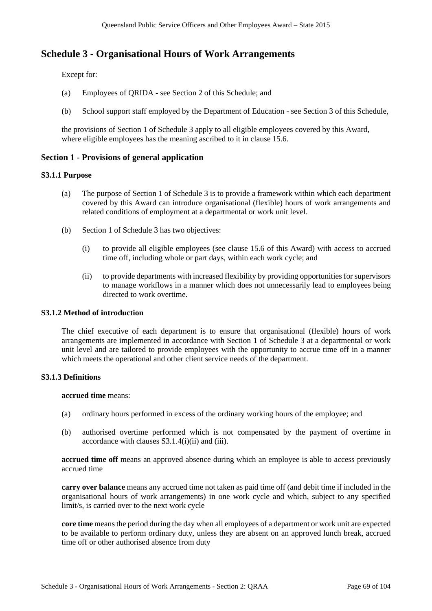# **Schedule 3 - Organisational Hours of Work Arrangements**

Except for:

- (a) Employees of QRIDA see Section 2 of this Schedule; and
- (b) School support staff employed by the Department of Education see Section 3 of this Schedule,

the provisions of Section 1 of Schedule 3 apply to all eligible employees covered by this Award, where eligible employees has the meaning ascribed to it in clause 15.6.

# **Section 1 - Provisions of general application**

# **S3.1.1 Purpose**

- (a) The purpose of Section 1 of Schedule 3 is to provide a framework within which each department covered by this Award can introduce organisational (flexible) hours of work arrangements and related conditions of employment at a departmental or work unit level.
- (b) Section 1 of Schedule 3 has two objectives:
	- (i) to provide all eligible employees (see clause 15.6 of this Award) with access to accrued time off, including whole or part days, within each work cycle; and
	- (ii) to provide departments with increased flexibility by providing opportunities for supervisors to manage workflows in a manner which does not unnecessarily lead to employees being directed to work overtime.

# **S3.1.2 Method of introduction**

The chief executive of each department is to ensure that organisational (flexible) hours of work arrangements are implemented in accordance with Section 1 of Schedule 3 at a departmental or work unit level and are tailored to provide employees with the opportunity to accrue time off in a manner which meets the operational and other client service needs of the department.

# **S3.1.3 Definitions**

**accrued time** means:

- (a) ordinary hours performed in excess of the ordinary working hours of the employee; and
- (b) authorised overtime performed which is not compensated by the payment of overtime in accordance with clauses S3.1.4(i)(ii) and (iii).

**accrued time off** means an approved absence during which an employee is able to access previously accrued time

**carry over balance** means any accrued time not taken as paid time off (and debit time if included in the organisational hours of work arrangements) in one work cycle and which, subject to any specified limit/s, is carried over to the next work cycle

**core time** means the period during the day when all employees of a department or work unit are expected to be available to perform ordinary duty, unless they are absent on an approved lunch break, accrued time off or other authorised absence from duty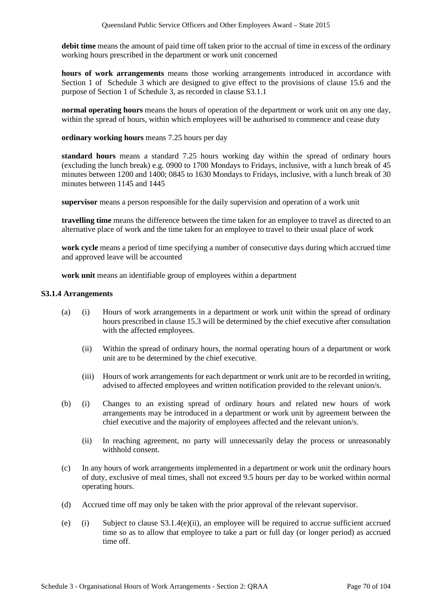**debit time** means the amount of paid time off taken prior to the accrual of time in excess of the ordinary working hours prescribed in the department or work unit concerned

**hours of work arrangements** means those working arrangements introduced in accordance with Section 1 of Schedule 3 which are designed to give effect to the provisions of clause 15.6 and the purpose of Section 1 of Schedule 3, as recorded in clause S3.1.1

**normal operating hours** means the hours of operation of the department or work unit on any one day, within the spread of hours, within which employees will be authorised to commence and cease duty

**ordinary working hours** means 7.25 hours per day

**standard hours** means a standard 7.25 hours working day within the spread of ordinary hours (excluding the lunch break) e.g. 0900 to 1700 Mondays to Fridays, inclusive, with a lunch break of 45 minutes between 1200 and 1400; 0845 to 1630 Mondays to Fridays, inclusive, with a lunch break of 30 minutes between 1145 and 1445

**supervisor** means a person responsible for the daily supervision and operation of a work unit

**travelling time** means the difference between the time taken for an employee to travel as directed to an alternative place of work and the time taken for an employee to travel to their usual place of work

**work cycle** means a period of time specifying a number of consecutive days during which accrued time and approved leave will be accounted

**work unit** means an identifiable group of employees within a department

### **S3.1.4 Arrangements**

- (a) (i) Hours of work arrangements in a department or work unit within the spread of ordinary hours prescribed in clause 15.3 will be determined by the chief executive after consultation with the affected employees.
	- (ii) Within the spread of ordinary hours, the normal operating hours of a department or work unit are to be determined by the chief executive.
	- (iii) Hours of work arrangements for each department or work unit are to be recorded in writing, advised to affected employees and written notification provided to the relevant union/s.
- (b) (i) Changes to an existing spread of ordinary hours and related new hours of work arrangements may be introduced in a department or work unit by agreement between the chief executive and the majority of employees affected and the relevant union/s.
	- (ii) In reaching agreement, no party will unnecessarily delay the process or unreasonably withhold consent.
- (c) In any hours of work arrangements implemented in a department or work unit the ordinary hours of duty, exclusive of meal times, shall not exceed 9.5 hours per day to be worked within normal operating hours.
- (d) Accrued time off may only be taken with the prior approval of the relevant supervisor.
- (e) (i) Subject to clause  $S3.1.4(e)$ (ii), an employee will be required to accrue sufficient accrued time so as to allow that employee to take a part or full day (or longer period) as accrued time off.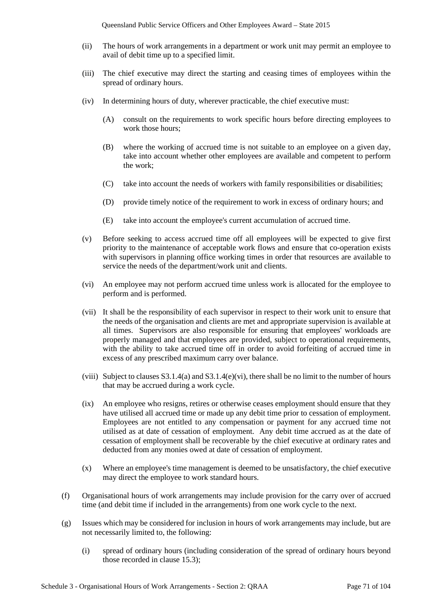- (ii) The hours of work arrangements in a department or work unit may permit an employee to avail of debit time up to a specified limit.
- (iii) The chief executive may direct the starting and ceasing times of employees within the spread of ordinary hours.
- (iv) In determining hours of duty, wherever practicable, the chief executive must:
	- (A) consult on the requirements to work specific hours before directing employees to work those hours;
	- (B) where the working of accrued time is not suitable to an employee on a given day, take into account whether other employees are available and competent to perform the work;
	- (C) take into account the needs of workers with family responsibilities or disabilities;
	- (D) provide timely notice of the requirement to work in excess of ordinary hours; and
	- (E) take into account the employee's current accumulation of accrued time.
- (v) Before seeking to access accrued time off all employees will be expected to give first priority to the maintenance of acceptable work flows and ensure that co-operation exists with supervisors in planning office working times in order that resources are available to service the needs of the department/work unit and clients.
- (vi) An employee may not perform accrued time unless work is allocated for the employee to perform and is performed.
- (vii) It shall be the responsibility of each supervisor in respect to their work unit to ensure that the needs of the organisation and clients are met and appropriate supervision is available at all times. Supervisors are also responsible for ensuring that employees' workloads are properly managed and that employees are provided, subject to operational requirements, with the ability to take accrued time off in order to avoid forfeiting of accrued time in excess of any prescribed maximum carry over balance.
- (viii) Subject to clauses  $S3.1.4(a)$  and  $S3.1.4(e)$ (vi), there shall be no limit to the number of hours that may be accrued during a work cycle.
- (ix) An employee who resigns, retires or otherwise ceases employment should ensure that they have utilised all accrued time or made up any debit time prior to cessation of employment. Employees are not entitled to any compensation or payment for any accrued time not utilised as at date of cessation of employment. Any debit time accrued as at the date of cessation of employment shall be recoverable by the chief executive at ordinary rates and deducted from any monies owed at date of cessation of employment.
- (x) Where an employee's time management is deemed to be unsatisfactory, the chief executive may direct the employee to work standard hours.
- (f) Organisational hours of work arrangements may include provision for the carry over of accrued time (and debit time if included in the arrangements) from one work cycle to the next.
- (g) Issues which may be considered for inclusion in hours of work arrangements may include, but are not necessarily limited to, the following:
	- (i) spread of ordinary hours (including consideration of the spread of ordinary hours beyond those recorded in clause 15.3);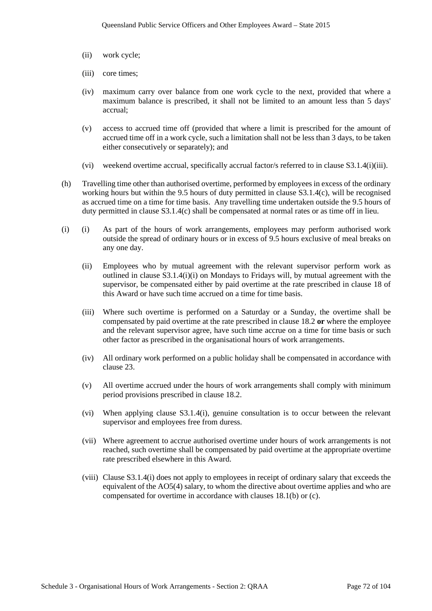- (ii) work cycle;
- (iii) core times;
- (iv) maximum carry over balance from one work cycle to the next, provided that where a maximum balance is prescribed, it shall not be limited to an amount less than 5 days' accrual;
- (v) access to accrued time off (provided that where a limit is prescribed for the amount of accrued time off in a work cycle, such a limitation shall not be less than 3 days, to be taken either consecutively or separately); and
- (vi) weekend overtime accrual, specifically accrual factor/s referred to in clause S3.1.4(i)(iii).
- (h) Travelling time other than authorised overtime, performed by employees in excess of the ordinary working hours but within the 9.5 hours of duty permitted in clause S3.1.4(c), will be recognised as accrued time on a time for time basis. Any travelling time undertaken outside the 9.5 hours of duty permitted in clause S3.1.4(c) shall be compensated at normal rates or as time off in lieu.
- (i) (i) As part of the hours of work arrangements, employees may perform authorised work outside the spread of ordinary hours or in excess of 9.5 hours exclusive of meal breaks on any one day.
	- (ii) Employees who by mutual agreement with the relevant supervisor perform work as outlined in clause S3.1.4(i)(i) on Mondays to Fridays will, by mutual agreement with the supervisor, be compensated either by paid overtime at the rate prescribed in clause 18 of this Award or have such time accrued on a time for time basis.
	- (iii) Where such overtime is performed on a Saturday or a Sunday, the overtime shall be compensated by paid overtime at the rate prescribed in clause 18.2 **or** where the employee and the relevant supervisor agree, have such time accrue on a time for time basis or such other factor as prescribed in the organisational hours of work arrangements.
	- (iv) All ordinary work performed on a public holiday shall be compensated in accordance with clause 23.
	- (v) All overtime accrued under the hours of work arrangements shall comply with minimum period provisions prescribed in clause 18.2.
	- (vi) When applying clause S3.1.4(i), genuine consultation is to occur between the relevant supervisor and employees free from duress.
	- (vii) Where agreement to accrue authorised overtime under hours of work arrangements is not reached, such overtime shall be compensated by paid overtime at the appropriate overtime rate prescribed elsewhere in this Award.
	- (viii) Clause S3.1.4(i) does not apply to employees in receipt of ordinary salary that exceeds the equivalent of the AO5(4) salary, to whom the directive about overtime applies and who are compensated for overtime in accordance with clauses 18.1(b) or (c).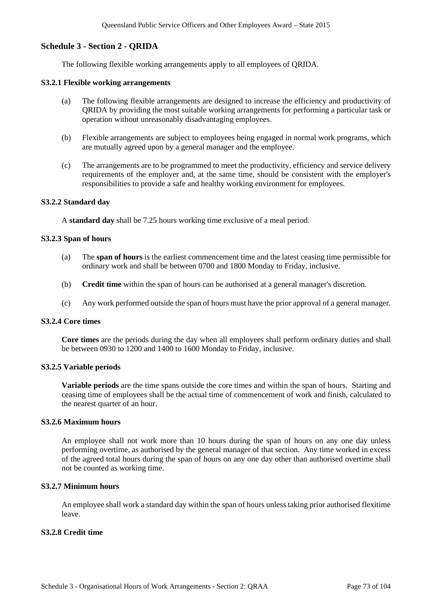## **Schedule 3 - Section 2 - QRIDA**

The following flexible working arrangements apply to all employees of QRIDA.

#### **S3.2.1 Flexible working arrangements**

- (a) The following flexible arrangements are designed to increase the efficiency and productivity of QRIDA by providing the most suitable working arrangements for performing a particular task or operation without unreasonably disadvantaging employees.
- (b) Flexible arrangements are subject to employees being engaged in normal work programs, which are mutually agreed upon by a general manager and the employee.
- (c) The arrangements are to be programmed to meet the productivity, efficiency and service delivery requirements of the employer and, at the same time, should be consistent with the employer's responsibilities to provide a safe and healthy working environment for employees.

#### **S3.2.2 Standard day**

A **standard day** shall be 7.25 hours working time exclusive of a meal period.

#### **S3.2.3 Span of hours**

- (a) The **span of hours** is the earliest commencement time and the latest ceasing time permissible for ordinary work and shall be between 0700 and 1800 Monday to Friday, inclusive.
- (b) **Credit time** within the span of hours can be authorised at a general manager's discretion.
- (c) Any work performed outside the span of hours must have the prior approval of a general manager.

### **S3.2.4 Core times**

**Core times** are the periods during the day when all employees shall perform ordinary duties and shall be between 0930 to 1200 and 1400 to 1600 Monday to Friday, inclusive.

#### **S3.2.5 Variable periods**

**Variable periods** are the time spans outside the core times and within the span of hours. Starting and ceasing time of employees shall be the actual time of commencement of work and finish, calculated to the nearest quarter of an hour.

### **S3.2.6 Maximum hours**

An employee shall not work more than 10 hours during the span of hours on any one day unless performing overtime, as authorised by the general manager of that section. Any time worked in excess of the agreed total hours during the span of hours on any one day other than authorised overtime shall not be counted as working time.

#### **S3.2.7 Minimum hours**

An employee shall work a standard day within the span of hours unless taking prior authorised flexitime leave.

## **S3.2.8 Credit time**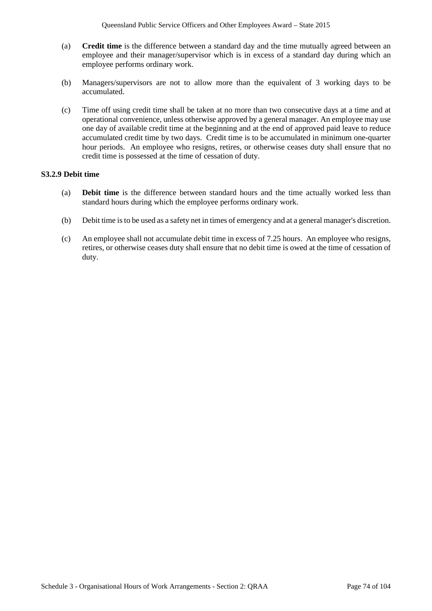- (a) **Credit time** is the difference between a standard day and the time mutually agreed between an employee and their manager/supervisor which is in excess of a standard day during which an employee performs ordinary work.
- (b) Managers/supervisors are not to allow more than the equivalent of 3 working days to be accumulated.
- (c) Time off using credit time shall be taken at no more than two consecutive days at a time and at operational convenience, unless otherwise approved by a general manager. An employee may use one day of available credit time at the beginning and at the end of approved paid leave to reduce accumulated credit time by two days. Credit time is to be accumulated in minimum one-quarter hour periods. An employee who resigns, retires, or otherwise ceases duty shall ensure that no credit time is possessed at the time of cessation of duty.

## **S3.2.9 Debit time**

- (a) **Debit time** is the difference between standard hours and the time actually worked less than standard hours during which the employee performs ordinary work.
- (b) Debit time is to be used as a safety net in times of emergency and at a general manager's discretion.
- (c) An employee shall not accumulate debit time in excess of 7.25 hours. An employee who resigns, retires, or otherwise ceases duty shall ensure that no debit time is owed at the time of cessation of duty.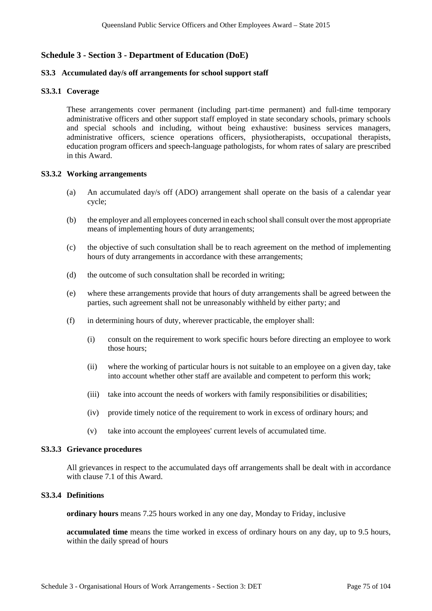# **Schedule 3 - Section 3 - Department of Education (DoE)**

### **S3.3 Accumulated day/s off arrangements for school support staff**

### **S3.3.1 Coverage**

These arrangements cover permanent (including part-time permanent) and full-time temporary administrative officers and other support staff employed in state secondary schools, primary schools and special schools and including, without being exhaustive: business services managers, administrative officers, science operations officers, physiotherapists, occupational therapists, education program officers and speech-language pathologists, for whom rates of salary are prescribed in this Award.

#### **S3.3.2 Working arrangements**

- (a) An accumulated day/s off (ADO) arrangement shall operate on the basis of a calendar year cycle;
- (b) the employer and all employees concerned in each school shall consult over the most appropriate means of implementing hours of duty arrangements;
- (c) the objective of such consultation shall be to reach agreement on the method of implementing hours of duty arrangements in accordance with these arrangements;
- (d) the outcome of such consultation shall be recorded in writing;
- (e) where these arrangements provide that hours of duty arrangements shall be agreed between the parties, such agreement shall not be unreasonably withheld by either party; and
- (f) in determining hours of duty, wherever practicable, the employer shall:
	- (i) consult on the requirement to work specific hours before directing an employee to work those hours;
	- (ii) where the working of particular hours is not suitable to an employee on a given day, take into account whether other staff are available and competent to perform this work;
	- (iii) take into account the needs of workers with family responsibilities or disabilities;
	- (iv) provide timely notice of the requirement to work in excess of ordinary hours; and
	- (v) take into account the employees' current levels of accumulated time.

#### **S3.3.3 Grievance procedures**

All grievances in respect to the accumulated days off arrangements shall be dealt with in accordance with clause 7.1 of this Award.

## **S3.3.4 Definitions**

**ordinary hours** means 7.25 hours worked in any one day, Monday to Friday, inclusive

**accumulated time** means the time worked in excess of ordinary hours on any day, up to 9.5 hours, within the daily spread of hours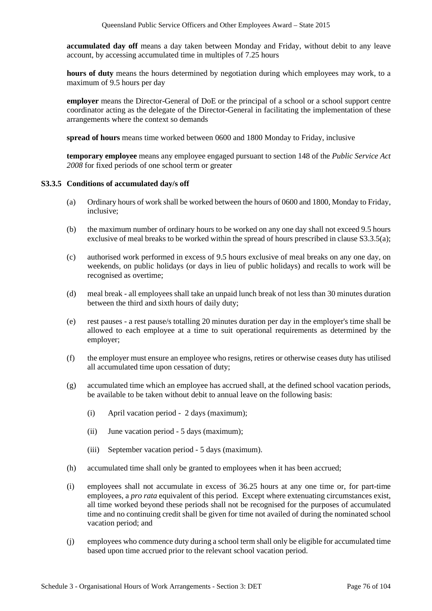**accumulated day off** means a day taken between Monday and Friday, without debit to any leave account, by accessing accumulated time in multiples of 7.25 hours

**hours of duty** means the hours determined by negotiation during which employees may work, to a maximum of 9.5 hours per day

**employer** means the Director-General of DoE or the principal of a school or a school support centre coordinator acting as the delegate of the Director-General in facilitating the implementation of these arrangements where the context so demands

**spread of hours** means time worked between 0600 and 1800 Monday to Friday, inclusive

**temporary employee** means any employee engaged pursuant to section 148 of the *Public Service Act 2008* for fixed periods of one school term or greater

#### **S3.3.5 Conditions of accumulated day/s off**

- (a) Ordinary hours of work shall be worked between the hours of 0600 and 1800, Monday to Friday, inclusive;
- (b) the maximum number of ordinary hours to be worked on any one day shall not exceed 9.5 hours exclusive of meal breaks to be worked within the spread of hours prescribed in clause S3.3.5(a);
- (c) authorised work performed in excess of 9.5 hours exclusive of meal breaks on any one day, on weekends, on public holidays (or days in lieu of public holidays) and recalls to work will be recognised as overtime;
- (d) meal break all employees shall take an unpaid lunch break of not less than 30 minutes duration between the third and sixth hours of daily duty;
- (e) rest pauses a rest pause/s totalling 20 minutes duration per day in the employer's time shall be allowed to each employee at a time to suit operational requirements as determined by the employer;
- (f) the employer must ensure an employee who resigns, retires or otherwise ceases duty has utilised all accumulated time upon cessation of duty;
- (g) accumulated time which an employee has accrued shall, at the defined school vacation periods, be available to be taken without debit to annual leave on the following basis:
	- (i) April vacation period 2 days (maximum);
	- (ii) June vacation period 5 days (maximum);
	- (iii) September vacation period 5 days (maximum).
- (h) accumulated time shall only be granted to employees when it has been accrued;
- (i) employees shall not accumulate in excess of 36.25 hours at any one time or, for part-time employees, a *pro rata* equivalent of this period. Except where extenuating circumstances exist, all time worked beyond these periods shall not be recognised for the purposes of accumulated time and no continuing credit shall be given for time not availed of during the nominated school vacation period; and
- (j) employees who commence duty during a school term shall only be eligible for accumulated time based upon time accrued prior to the relevant school vacation period.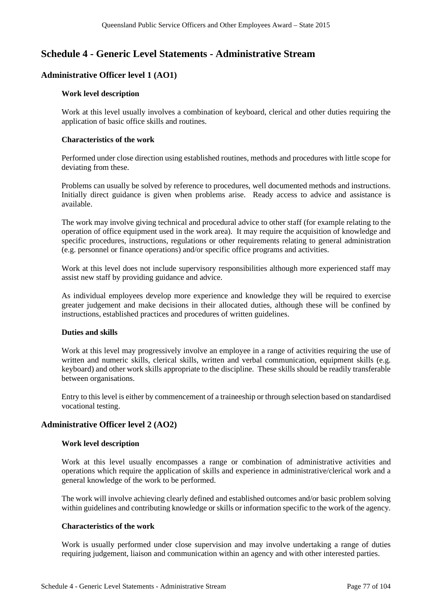# **Schedule 4 - Generic Level Statements - Administrative Stream**

# **Administrative Officer level 1 (AO1)**

### **Work level description**

Work at this level usually involves a combination of keyboard, clerical and other duties requiring the application of basic office skills and routines.

#### **Characteristics of the work**

Performed under close direction using established routines, methods and procedures with little scope for deviating from these.

Problems can usually be solved by reference to procedures, well documented methods and instructions. Initially direct guidance is given when problems arise. Ready access to advice and assistance is available.

The work may involve giving technical and procedural advice to other staff (for example relating to the operation of office equipment used in the work area). It may require the acquisition of knowledge and specific procedures, instructions, regulations or other requirements relating to general administration (e.g. personnel or finance operations) and/or specific office programs and activities.

Work at this level does not include supervisory responsibilities although more experienced staff may assist new staff by providing guidance and advice.

As individual employees develop more experience and knowledge they will be required to exercise greater judgement and make decisions in their allocated duties, although these will be confined by instructions, established practices and procedures of written guidelines.

## **Duties and skills**

Work at this level may progressively involve an employee in a range of activities requiring the use of written and numeric skills, clerical skills, written and verbal communication, equipment skills (e.g. keyboard) and other work skills appropriate to the discipline. These skills should be readily transferable between organisations.

Entry to this level is either by commencement of a traineeship or through selection based on standardised vocational testing.

## **Administrative Officer level 2 (AO2)**

## **Work level description**

Work at this level usually encompasses a range or combination of administrative activities and operations which require the application of skills and experience in administrative/clerical work and a general knowledge of the work to be performed.

The work will involve achieving clearly defined and established outcomes and/or basic problem solving within guidelines and contributing knowledge or skills or information specific to the work of the agency.

## **Characteristics of the work**

Work is usually performed under close supervision and may involve undertaking a range of duties requiring judgement, liaison and communication within an agency and with other interested parties.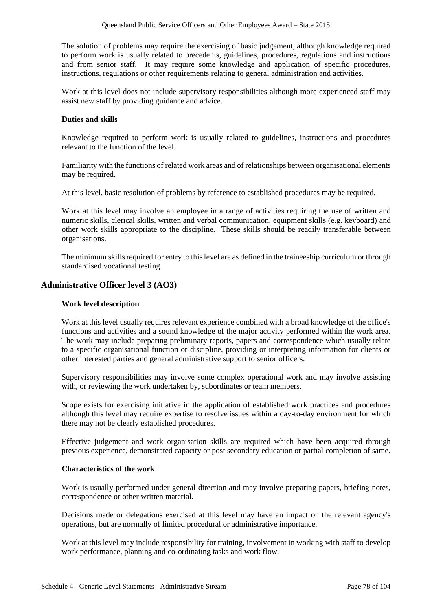The solution of problems may require the exercising of basic judgement, although knowledge required to perform work is usually related to precedents, guidelines, procedures, regulations and instructions and from senior staff. It may require some knowledge and application of specific procedures, instructions, regulations or other requirements relating to general administration and activities.

Work at this level does not include supervisory responsibilities although more experienced staff may assist new staff by providing guidance and advice.

#### **Duties and skills**

Knowledge required to perform work is usually related to guidelines, instructions and procedures relevant to the function of the level.

Familiarity with the functions of related work areas and of relationships between organisational elements may be required.

At this level, basic resolution of problems by reference to established procedures may be required.

Work at this level may involve an employee in a range of activities requiring the use of written and numeric skills, clerical skills, written and verbal communication, equipment skills (e.g. keyboard) and other work skills appropriate to the discipline. These skills should be readily transferable between organisations.

The minimum skills required for entry to this level are as defined in the traineeship curriculum or through standardised vocational testing.

## **Administrative Officer level 3 (AO3)**

#### **Work level description**

Work at this level usually requires relevant experience combined with a broad knowledge of the office's functions and activities and a sound knowledge of the major activity performed within the work area. The work may include preparing preliminary reports, papers and correspondence which usually relate to a specific organisational function or discipline, providing or interpreting information for clients or other interested parties and general administrative support to senior officers.

Supervisory responsibilities may involve some complex operational work and may involve assisting with, or reviewing the work undertaken by, subordinates or team members.

Scope exists for exercising initiative in the application of established work practices and procedures although this level may require expertise to resolve issues within a day-to-day environment for which there may not be clearly established procedures.

Effective judgement and work organisation skills are required which have been acquired through previous experience, demonstrated capacity or post secondary education or partial completion of same.

### **Characteristics of the work**

Work is usually performed under general direction and may involve preparing papers, briefing notes, correspondence or other written material.

Decisions made or delegations exercised at this level may have an impact on the relevant agency's operations, but are normally of limited procedural or administrative importance.

Work at this level may include responsibility for training, involvement in working with staff to develop work performance, planning and co-ordinating tasks and work flow.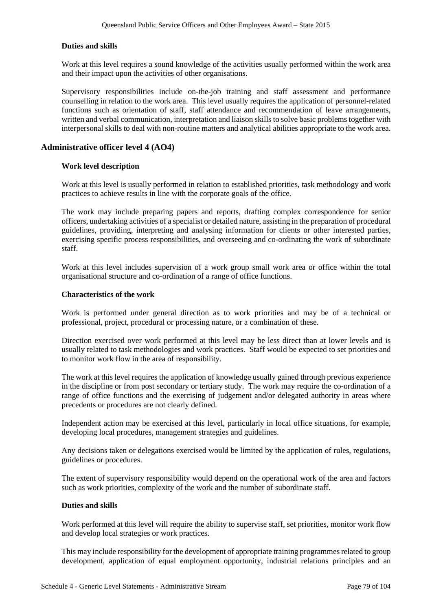## **Duties and skills**

Work at this level requires a sound knowledge of the activities usually performed within the work area and their impact upon the activities of other organisations.

Supervisory responsibilities include on-the-job training and staff assessment and performance counselling in relation to the work area. This level usually requires the application of personnel-related functions such as orientation of staff, staff attendance and recommendation of leave arrangements, written and verbal communication, interpretation and liaison skills to solve basic problems together with interpersonal skills to deal with non-routine matters and analytical abilities appropriate to the work area.

## **Administrative officer level 4 (AO4)**

## **Work level description**

Work at this level is usually performed in relation to established priorities, task methodology and work practices to achieve results in line with the corporate goals of the office.

The work may include preparing papers and reports, drafting complex correspondence for senior officers, undertaking activities of a specialist or detailed nature, assisting in the preparation of procedural guidelines, providing, interpreting and analysing information for clients or other interested parties, exercising specific process responsibilities, and overseeing and co-ordinating the work of subordinate staff.

Work at this level includes supervision of a work group small work area or office within the total organisational structure and co-ordination of a range of office functions.

#### **Characteristics of the work**

Work is performed under general direction as to work priorities and may be of a technical or professional, project, procedural or processing nature, or a combination of these.

Direction exercised over work performed at this level may be less direct than at lower levels and is usually related to task methodologies and work practices. Staff would be expected to set priorities and to monitor work flow in the area of responsibility.

The work at this level requires the application of knowledge usually gained through previous experience in the discipline or from post secondary or tertiary study. The work may require the co-ordination of a range of office functions and the exercising of judgement and/or delegated authority in areas where precedents or procedures are not clearly defined.

Independent action may be exercised at this level, particularly in local office situations, for example, developing local procedures, management strategies and guidelines.

Any decisions taken or delegations exercised would be limited by the application of rules, regulations, guidelines or procedures.

The extent of supervisory responsibility would depend on the operational work of the area and factors such as work priorities, complexity of the work and the number of subordinate staff.

### **Duties and skills**

Work performed at this level will require the ability to supervise staff, set priorities, monitor work flow and develop local strategies or work practices.

This may include responsibility for the development of appropriate training programmes related to group development, application of equal employment opportunity, industrial relations principles and an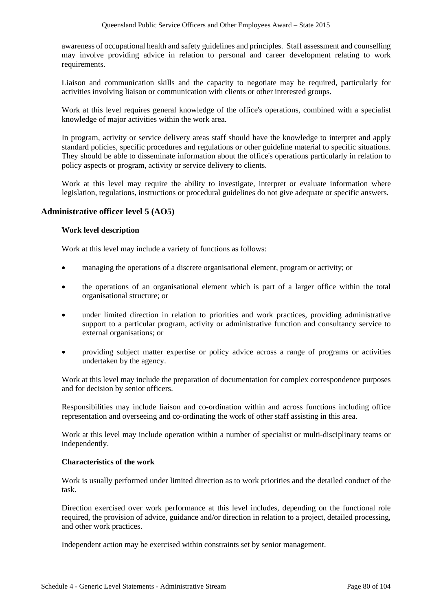awareness of occupational health and safety guidelines and principles. Staff assessment and counselling may involve providing advice in relation to personal and career development relating to work requirements.

Liaison and communication skills and the capacity to negotiate may be required, particularly for activities involving liaison or communication with clients or other interested groups.

Work at this level requires general knowledge of the office's operations, combined with a specialist knowledge of major activities within the work area.

In program, activity or service delivery areas staff should have the knowledge to interpret and apply standard policies, specific procedures and regulations or other guideline material to specific situations. They should be able to disseminate information about the office's operations particularly in relation to policy aspects or program, activity or service delivery to clients.

Work at this level may require the ability to investigate, interpret or evaluate information where legislation, regulations, instructions or procedural guidelines do not give adequate or specific answers.

## **Administrative officer level 5 (AO5)**

#### **Work level description**

Work at this level may include a variety of functions as follows:

- managing the operations of a discrete organisational element, program or activity; or
- the operations of an organisational element which is part of a larger office within the total organisational structure; or
- under limited direction in relation to priorities and work practices, providing administrative support to a particular program, activity or administrative function and consultancy service to external organisations; or
- providing subject matter expertise or policy advice across a range of programs or activities undertaken by the agency.

Work at this level may include the preparation of documentation for complex correspondence purposes and for decision by senior officers.

Responsibilities may include liaison and co-ordination within and across functions including office representation and overseeing and co-ordinating the work of other staff assisting in this area.

Work at this level may include operation within a number of specialist or multi-disciplinary teams or independently.

#### **Characteristics of the work**

Work is usually performed under limited direction as to work priorities and the detailed conduct of the task.

Direction exercised over work performance at this level includes, depending on the functional role required, the provision of advice, guidance and/or direction in relation to a project, detailed processing, and other work practices.

Independent action may be exercised within constraints set by senior management.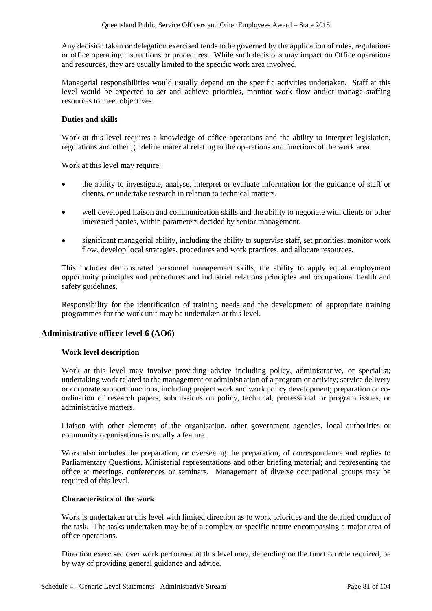Any decision taken or delegation exercised tends to be governed by the application of rules, regulations or office operating instructions or procedures. While such decisions may impact on Office operations and resources, they are usually limited to the specific work area involved.

Managerial responsibilities would usually depend on the specific activities undertaken. Staff at this level would be expected to set and achieve priorities, monitor work flow and/or manage staffing resources to meet objectives.

## **Duties and skills**

Work at this level requires a knowledge of office operations and the ability to interpret legislation, regulations and other guideline material relating to the operations and functions of the work area.

Work at this level may require:

- the ability to investigate, analyse, interpret or evaluate information for the guidance of staff or clients, or undertake research in relation to technical matters.
- well developed liaison and communication skills and the ability to negotiate with clients or other interested parties, within parameters decided by senior management.
- significant managerial ability, including the ability to supervise staff, set priorities, monitor work flow, develop local strategies, procedures and work practices, and allocate resources.

This includes demonstrated personnel management skills, the ability to apply equal employment opportunity principles and procedures and industrial relations principles and occupational health and safety guidelines.

Responsibility for the identification of training needs and the development of appropriate training programmes for the work unit may be undertaken at this level.

# **Administrative officer level 6 (AO6)**

## **Work level description**

Work at this level may involve providing advice including policy, administrative, or specialist; undertaking work related to the management or administration of a program or activity; service delivery or corporate support functions, including project work and work policy development; preparation or coordination of research papers, submissions on policy, technical, professional or program issues, or administrative matters.

Liaison with other elements of the organisation, other government agencies, local authorities or community organisations is usually a feature.

Work also includes the preparation, or overseeing the preparation, of correspondence and replies to Parliamentary Questions, Ministerial representations and other briefing material; and representing the office at meetings, conferences or seminars. Management of diverse occupational groups may be required of this level.

## **Characteristics of the work**

Work is undertaken at this level with limited direction as to work priorities and the detailed conduct of the task. The tasks undertaken may be of a complex or specific nature encompassing a major area of office operations.

Direction exercised over work performed at this level may, depending on the function role required, be by way of providing general guidance and advice.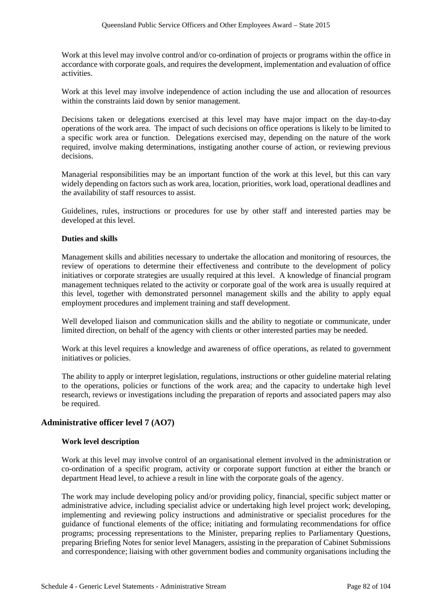Work at this level may involve control and/or co-ordination of projects or programs within the office in accordance with corporate goals, and requires the development, implementation and evaluation of office activities.

Work at this level may involve independence of action including the use and allocation of resources within the constraints laid down by senior management.

Decisions taken or delegations exercised at this level may have major impact on the day-to-day operations of the work area. The impact of such decisions on office operations is likely to be limited to a specific work area or function. Delegations exercised may, depending on the nature of the work required, involve making determinations, instigating another course of action, or reviewing previous decisions.

Managerial responsibilities may be an important function of the work at this level, but this can vary widely depending on factors such as work area, location, priorities, work load, operational deadlines and the availability of staff resources to assist.

Guidelines, rules, instructions or procedures for use by other staff and interested parties may be developed at this level.

## **Duties and skills**

Management skills and abilities necessary to undertake the allocation and monitoring of resources, the review of operations to determine their effectiveness and contribute to the development of policy initiatives or corporate strategies are usually required at this level. A knowledge of financial program management techniques related to the activity or corporate goal of the work area is usually required at this level, together with demonstrated personnel management skills and the ability to apply equal employment procedures and implement training and staff development.

Well developed liaison and communication skills and the ability to negotiate or communicate, under limited direction, on behalf of the agency with clients or other interested parties may be needed.

Work at this level requires a knowledge and awareness of office operations, as related to government initiatives or policies.

The ability to apply or interpret legislation, regulations, instructions or other guideline material relating to the operations, policies or functions of the work area; and the capacity to undertake high level research, reviews or investigations including the preparation of reports and associated papers may also be required.

# **Administrative officer level 7 (AO7)**

## **Work level description**

Work at this level may involve control of an organisational element involved in the administration or co-ordination of a specific program, activity or corporate support function at either the branch or department Head level, to achieve a result in line with the corporate goals of the agency.

The work may include developing policy and/or providing policy, financial, specific subject matter or administrative advice, including specialist advice or undertaking high level project work; developing, implementing and reviewing policy instructions and administrative or specialist procedures for the guidance of functional elements of the office; initiating and formulating recommendations for office programs; processing representations to the Minister, preparing replies to Parliamentary Questions, preparing Briefing Notes for senior level Managers, assisting in the preparation of Cabinet Submissions and correspondence; liaising with other government bodies and community organisations including the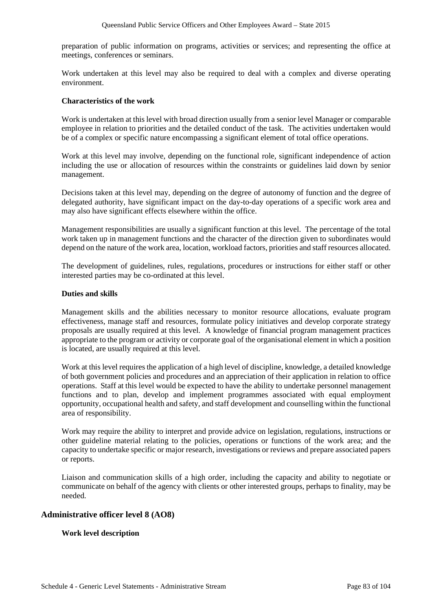preparation of public information on programs, activities or services; and representing the office at meetings, conferences or seminars.

Work undertaken at this level may also be required to deal with a complex and diverse operating environment.

## **Characteristics of the work**

Work is undertaken at this level with broad direction usually from a senior level Manager or comparable employee in relation to priorities and the detailed conduct of the task. The activities undertaken would be of a complex or specific nature encompassing a significant element of total office operations.

Work at this level may involve, depending on the functional role, significant independence of action including the use or allocation of resources within the constraints or guidelines laid down by senior management.

Decisions taken at this level may, depending on the degree of autonomy of function and the degree of delegated authority, have significant impact on the day-to-day operations of a specific work area and may also have significant effects elsewhere within the office.

Management responsibilities are usually a significant function at this level. The percentage of the total work taken up in management functions and the character of the direction given to subordinates would depend on the nature of the work area, location, workload factors, priorities and staff resources allocated.

The development of guidelines, rules, regulations, procedures or instructions for either staff or other interested parties may be co-ordinated at this level.

## **Duties and skills**

Management skills and the abilities necessary to monitor resource allocations, evaluate program effectiveness, manage staff and resources, formulate policy initiatives and develop corporate strategy proposals are usually required at this level. A knowledge of financial program management practices appropriate to the program or activity or corporate goal of the organisational element in which a position is located, are usually required at this level.

Work at this level requires the application of a high level of discipline, knowledge, a detailed knowledge of both government policies and procedures and an appreciation of their application in relation to office operations. Staff at this level would be expected to have the ability to undertake personnel management functions and to plan, develop and implement programmes associated with equal employment opportunity, occupational health and safety, and staff development and counselling within the functional area of responsibility.

Work may require the ability to interpret and provide advice on legislation, regulations, instructions or other guideline material relating to the policies, operations or functions of the work area; and the capacity to undertake specific or major research, investigations or reviews and prepare associated papers or reports.

Liaison and communication skills of a high order, including the capacity and ability to negotiate or communicate on behalf of the agency with clients or other interested groups, perhaps to finality, may be needed.

# **Administrative officer level 8 (AO8)**

## **Work level description**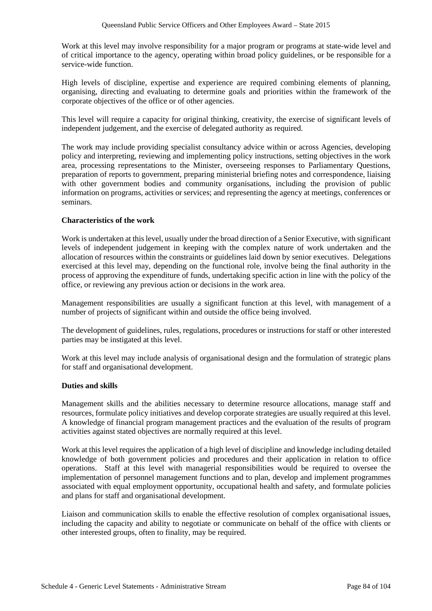Work at this level may involve responsibility for a major program or programs at state-wide level and of critical importance to the agency, operating within broad policy guidelines, or be responsible for a service-wide function.

High levels of discipline, expertise and experience are required combining elements of planning, organising, directing and evaluating to determine goals and priorities within the framework of the corporate objectives of the office or of other agencies.

This level will require a capacity for original thinking, creativity, the exercise of significant levels of independent judgement, and the exercise of delegated authority as required.

The work may include providing specialist consultancy advice within or across Agencies, developing policy and interpreting, reviewing and implementing policy instructions, setting objectives in the work area, processing representations to the Minister, overseeing responses to Parliamentary Questions, preparation of reports to government, preparing ministerial briefing notes and correspondence, liaising with other government bodies and community organisations, including the provision of public information on programs, activities or services; and representing the agency at meetings, conferences or seminars.

# **Characteristics of the work**

Work is undertaken at this level, usually under the broad direction of a Senior Executive, with significant levels of independent judgement in keeping with the complex nature of work undertaken and the allocation of resources within the constraints or guidelines laid down by senior executives. Delegations exercised at this level may, depending on the functional role, involve being the final authority in the process of approving the expenditure of funds, undertaking specific action in line with the policy of the office, or reviewing any previous action or decisions in the work area.

Management responsibilities are usually a significant function at this level, with management of a number of projects of significant within and outside the office being involved.

The development of guidelines, rules, regulations, procedures or instructions for staff or other interested parties may be instigated at this level.

Work at this level may include analysis of organisational design and the formulation of strategic plans for staff and organisational development.

## **Duties and skills**

Management skills and the abilities necessary to determine resource allocations, manage staff and resources, formulate policy initiatives and develop corporate strategies are usually required at this level. A knowledge of financial program management practices and the evaluation of the results of program activities against stated objectives are normally required at this level.

Work at this level requires the application of a high level of discipline and knowledge including detailed knowledge of both government policies and procedures and their application in relation to office operations. Staff at this level with managerial responsibilities would be required to oversee the implementation of personnel management functions and to plan, develop and implement programmes associated with equal employment opportunity, occupational health and safety, and formulate policies and plans for staff and organisational development.

Liaison and communication skills to enable the effective resolution of complex organisational issues, including the capacity and ability to negotiate or communicate on behalf of the office with clients or other interested groups, often to finality, may be required.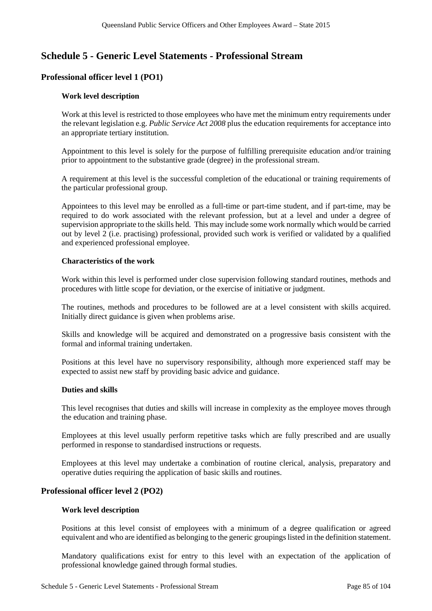# **Schedule 5 - Generic Level Statements - Professional Stream**

# **Professional officer level 1 (PO1)**

## **Work level description**

Work at this level is restricted to those employees who have met the minimum entry requirements under the relevant legislation e.g. *Public Service Act 2008* plus the education requirements for acceptance into an appropriate tertiary institution.

Appointment to this level is solely for the purpose of fulfilling prerequisite education and/or training prior to appointment to the substantive grade (degree) in the professional stream.

A requirement at this level is the successful completion of the educational or training requirements of the particular professional group.

Appointees to this level may be enrolled as a full-time or part-time student, and if part-time, may be required to do work associated with the relevant profession, but at a level and under a degree of supervision appropriate to the skills held. This may include some work normally which would be carried out by level 2 (i.e. practising) professional, provided such work is verified or validated by a qualified and experienced professional employee.

#### **Characteristics of the work**

Work within this level is performed under close supervision following standard routines, methods and procedures with little scope for deviation, or the exercise of initiative or judgment.

The routines, methods and procedures to be followed are at a level consistent with skills acquired. Initially direct guidance is given when problems arise.

Skills and knowledge will be acquired and demonstrated on a progressive basis consistent with the formal and informal training undertaken.

Positions at this level have no supervisory responsibility, although more experienced staff may be expected to assist new staff by providing basic advice and guidance.

#### **Duties and skills**

This level recognises that duties and skills will increase in complexity as the employee moves through the education and training phase.

Employees at this level usually perform repetitive tasks which are fully prescribed and are usually performed in response to standardised instructions or requests.

Employees at this level may undertake a combination of routine clerical, analysis, preparatory and operative duties requiring the application of basic skills and routines.

## **Professional officer level 2 (PO2)**

#### **Work level description**

Positions at this level consist of employees with a minimum of a degree qualification or agreed equivalent and who are identified as belonging to the generic groupingslisted in the definition statement.

Mandatory qualifications exist for entry to this level with an expectation of the application of professional knowledge gained through formal studies.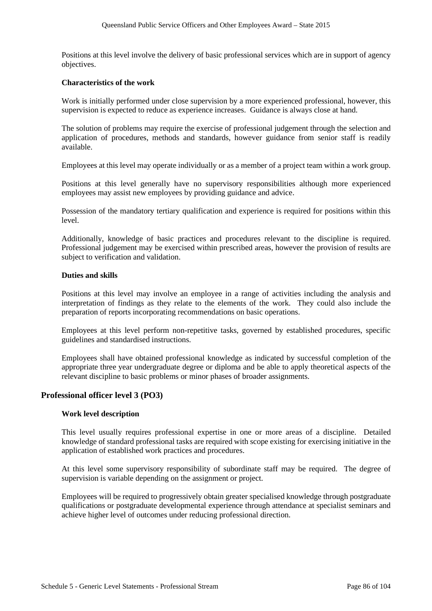Positions at this level involve the delivery of basic professional services which are in support of agency objectives.

#### **Characteristics of the work**

Work is initially performed under close supervision by a more experienced professional, however, this supervision is expected to reduce as experience increases. Guidance is always close at hand.

The solution of problems may require the exercise of professional judgement through the selection and application of procedures, methods and standards, however guidance from senior staff is readily available.

Employees at this level may operate individually or as a member of a project team within a work group.

Positions at this level generally have no supervisory responsibilities although more experienced employees may assist new employees by providing guidance and advice.

Possession of the mandatory tertiary qualification and experience is required for positions within this level.

Additionally, knowledge of basic practices and procedures relevant to the discipline is required. Professional judgement may be exercised within prescribed areas, however the provision of results are subject to verification and validation.

#### **Duties and skills**

Positions at this level may involve an employee in a range of activities including the analysis and interpretation of findings as they relate to the elements of the work. They could also include the preparation of reports incorporating recommendations on basic operations.

Employees at this level perform non-repetitive tasks, governed by established procedures, specific guidelines and standardised instructions.

Employees shall have obtained professional knowledge as indicated by successful completion of the appropriate three year undergraduate degree or diploma and be able to apply theoretical aspects of the relevant discipline to basic problems or minor phases of broader assignments.

## **Professional officer level 3 (PO3)**

## **Work level description**

This level usually requires professional expertise in one or more areas of a discipline. Detailed knowledge of standard professional tasks are required with scope existing for exercising initiative in the application of established work practices and procedures.

At this level some supervisory responsibility of subordinate staff may be required. The degree of supervision is variable depending on the assignment or project.

Employees will be required to progressively obtain greater specialised knowledge through postgraduate qualifications or postgraduate developmental experience through attendance at specialist seminars and achieve higher level of outcomes under reducing professional direction.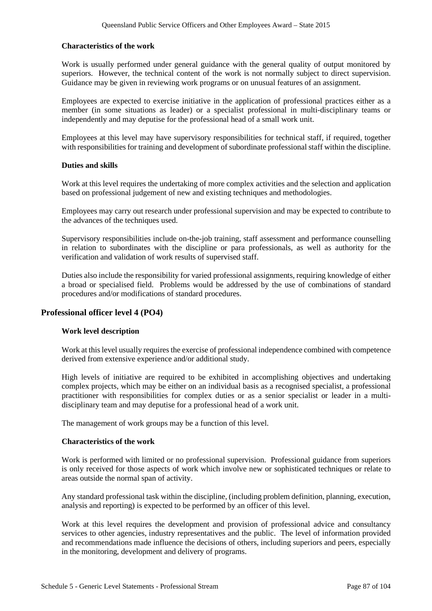## **Characteristics of the work**

Work is usually performed under general guidance with the general quality of output monitored by superiors. However, the technical content of the work is not normally subject to direct supervision. Guidance may be given in reviewing work programs or on unusual features of an assignment.

Employees are expected to exercise initiative in the application of professional practices either as a member (in some situations as leader) or a specialist professional in multi-disciplinary teams or independently and may deputise for the professional head of a small work unit.

Employees at this level may have supervisory responsibilities for technical staff, if required, together with responsibilities for training and development of subordinate professional staff within the discipline.

## **Duties and skills**

Work at this level requires the undertaking of more complex activities and the selection and application based on professional judgement of new and existing techniques and methodologies.

Employees may carry out research under professional supervision and may be expected to contribute to the advances of the techniques used.

Supervisory responsibilities include on-the-job training, staff assessment and performance counselling in relation to subordinates with the discipline or para professionals, as well as authority for the verification and validation of work results of supervised staff.

Duties also include the responsibility for varied professional assignments, requiring knowledge of either a broad or specialised field. Problems would be addressed by the use of combinations of standard procedures and/or modifications of standard procedures.

# **Professional officer level 4 (PO4)**

## **Work level description**

Work at this level usually requires the exercise of professional independence combined with competence derived from extensive experience and/or additional study.

High levels of initiative are required to be exhibited in accomplishing objectives and undertaking complex projects, which may be either on an individual basis as a recognised specialist, a professional practitioner with responsibilities for complex duties or as a senior specialist or leader in a multidisciplinary team and may deputise for a professional head of a work unit.

The management of work groups may be a function of this level.

## **Characteristics of the work**

Work is performed with limited or no professional supervision. Professional guidance from superiors is only received for those aspects of work which involve new or sophisticated techniques or relate to areas outside the normal span of activity.

Any standard professional task within the discipline, (including problem definition, planning, execution, analysis and reporting) is expected to be performed by an officer of this level.

Work at this level requires the development and provision of professional advice and consultancy services to other agencies, industry representatives and the public. The level of information provided and recommendations made influence the decisions of others, including superiors and peers, especially in the monitoring, development and delivery of programs.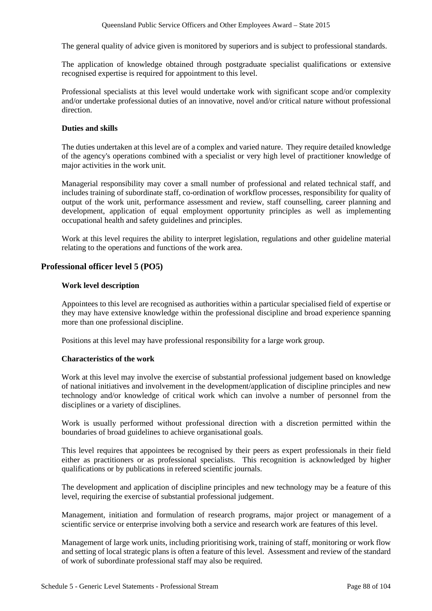The general quality of advice given is monitored by superiors and is subject to professional standards.

The application of knowledge obtained through postgraduate specialist qualifications or extensive recognised expertise is required for appointment to this level.

Professional specialists at this level would undertake work with significant scope and/or complexity and/or undertake professional duties of an innovative, novel and/or critical nature without professional direction.

## **Duties and skills**

The duties undertaken at this level are of a complex and varied nature. They require detailed knowledge of the agency's operations combined with a specialist or very high level of practitioner knowledge of major activities in the work unit.

Managerial responsibility may cover a small number of professional and related technical staff, and includes training of subordinate staff, co-ordination of workflow processes, responsibility for quality of output of the work unit, performance assessment and review, staff counselling, career planning and development, application of equal employment opportunity principles as well as implementing occupational health and safety guidelines and principles.

Work at this level requires the ability to interpret legislation, regulations and other guideline material relating to the operations and functions of the work area.

# **Professional officer level 5 (PO5)**

## **Work level description**

Appointees to this level are recognised as authorities within a particular specialised field of expertise or they may have extensive knowledge within the professional discipline and broad experience spanning more than one professional discipline.

Positions at this level may have professional responsibility for a large work group.

## **Characteristics of the work**

Work at this level may involve the exercise of substantial professional judgement based on knowledge of national initiatives and involvement in the development/application of discipline principles and new technology and/or knowledge of critical work which can involve a number of personnel from the disciplines or a variety of disciplines.

Work is usually performed without professional direction with a discretion permitted within the boundaries of broad guidelines to achieve organisational goals.

This level requires that appointees be recognised by their peers as expert professionals in their field either as practitioners or as professional specialists. This recognition is acknowledged by higher qualifications or by publications in refereed scientific journals.

The development and application of discipline principles and new technology may be a feature of this level, requiring the exercise of substantial professional judgement.

Management, initiation and formulation of research programs, major project or management of a scientific service or enterprise involving both a service and research work are features of this level.

Management of large work units, including prioritising work, training of staff, monitoring or work flow and setting of local strategic plans is often a feature of this level. Assessment and review of the standard of work of subordinate professional staff may also be required.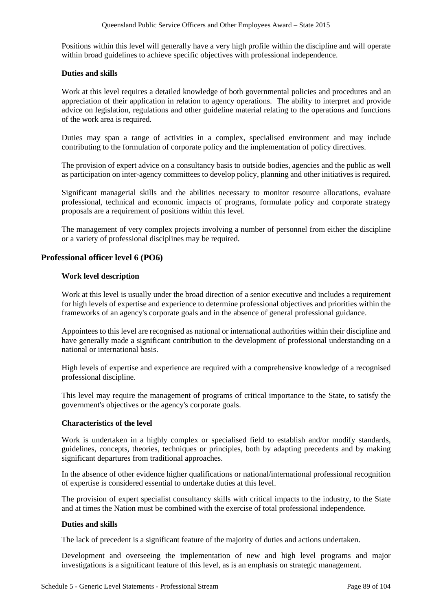Positions within this level will generally have a very high profile within the discipline and will operate within broad guidelines to achieve specific objectives with professional independence.

## **Duties and skills**

Work at this level requires a detailed knowledge of both governmental policies and procedures and an appreciation of their application in relation to agency operations. The ability to interpret and provide advice on legislation, regulations and other guideline material relating to the operations and functions of the work area is required.

Duties may span a range of activities in a complex, specialised environment and may include contributing to the formulation of corporate policy and the implementation of policy directives.

The provision of expert advice on a consultancy basis to outside bodies, agencies and the public as well as participation on inter-agency committees to develop policy, planning and other initiatives is required.

Significant managerial skills and the abilities necessary to monitor resource allocations, evaluate professional, technical and economic impacts of programs, formulate policy and corporate strategy proposals are a requirement of positions within this level.

The management of very complex projects involving a number of personnel from either the discipline or a variety of professional disciplines may be required.

# **Professional officer level 6 (PO6)**

## **Work level description**

Work at this level is usually under the broad direction of a senior executive and includes a requirement for high levels of expertise and experience to determine professional objectives and priorities within the frameworks of an agency's corporate goals and in the absence of general professional guidance.

Appointees to this level are recognised as national or international authorities within their discipline and have generally made a significant contribution to the development of professional understanding on a national or international basis.

High levels of expertise and experience are required with a comprehensive knowledge of a recognised professional discipline.

This level may require the management of programs of critical importance to the State, to satisfy the government's objectives or the agency's corporate goals.

## **Characteristics of the level**

Work is undertaken in a highly complex or specialised field to establish and/or modify standards, guidelines, concepts, theories, techniques or principles, both by adapting precedents and by making significant departures from traditional approaches.

In the absence of other evidence higher qualifications or national/international professional recognition of expertise is considered essential to undertake duties at this level.

The provision of expert specialist consultancy skills with critical impacts to the industry, to the State and at times the Nation must be combined with the exercise of total professional independence.

## **Duties and skills**

The lack of precedent is a significant feature of the majority of duties and actions undertaken.

Development and overseeing the implementation of new and high level programs and major investigations is a significant feature of this level, as is an emphasis on strategic management.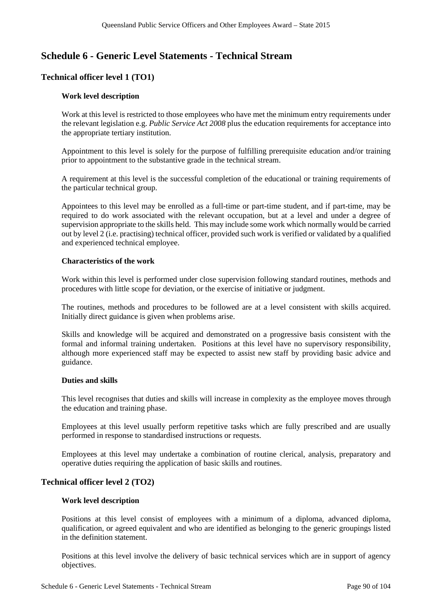# **Schedule 6 - Generic Level Statements - Technical Stream**

# **Technical officer level 1 (TO1)**

## **Work level description**

Work at this level is restricted to those employees who have met the minimum entry requirements under the relevant legislation e.g. *Public Service Act 2008* plus the education requirements for acceptance into the appropriate tertiary institution.

Appointment to this level is solely for the purpose of fulfilling prerequisite education and/or training prior to appointment to the substantive grade in the technical stream.

A requirement at this level is the successful completion of the educational or training requirements of the particular technical group.

Appointees to this level may be enrolled as a full-time or part-time student, and if part-time, may be required to do work associated with the relevant occupation, but at a level and under a degree of supervision appropriate to the skills held. This may include some work which normally would be carried out by level 2 (i.e. practising) technical officer, provided such work is verified or validated by a qualified and experienced technical employee.

## **Characteristics of the work**

Work within this level is performed under close supervision following standard routines, methods and procedures with little scope for deviation, or the exercise of initiative or judgment.

The routines, methods and procedures to be followed are at a level consistent with skills acquired. Initially direct guidance is given when problems arise.

Skills and knowledge will be acquired and demonstrated on a progressive basis consistent with the formal and informal training undertaken. Positions at this level have no supervisory responsibility, although more experienced staff may be expected to assist new staff by providing basic advice and guidance.

## **Duties and skills**

This level recognises that duties and skills will increase in complexity as the employee moves through the education and training phase.

Employees at this level usually perform repetitive tasks which are fully prescribed and are usually performed in response to standardised instructions or requests.

Employees at this level may undertake a combination of routine clerical, analysis, preparatory and operative duties requiring the application of basic skills and routines.

## **Technical officer level 2 (TO2)**

## **Work level description**

Positions at this level consist of employees with a minimum of a diploma, advanced diploma, qualification, or agreed equivalent and who are identified as belonging to the generic groupings listed in the definition statement.

Positions at this level involve the delivery of basic technical services which are in support of agency objectives.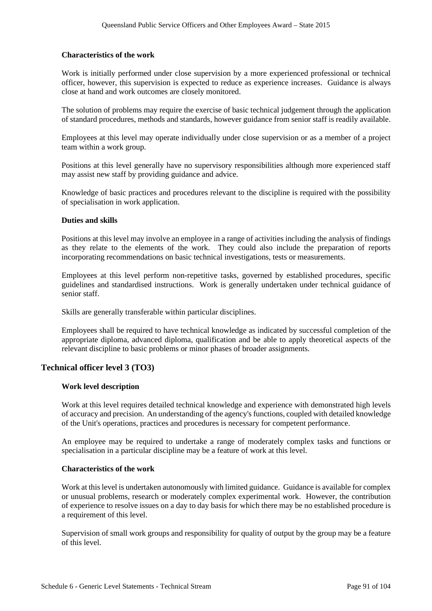#### **Characteristics of the work**

Work is initially performed under close supervision by a more experienced professional or technical officer, however, this supervision is expected to reduce as experience increases. Guidance is always close at hand and work outcomes are closely monitored.

The solution of problems may require the exercise of basic technical judgement through the application of standard procedures, methods and standards, however guidance from senior staff is readily available.

Employees at this level may operate individually under close supervision or as a member of a project team within a work group.

Positions at this level generally have no supervisory responsibilities although more experienced staff may assist new staff by providing guidance and advice.

Knowledge of basic practices and procedures relevant to the discipline is required with the possibility of specialisation in work application.

#### **Duties and skills**

Positions at this level may involve an employee in a range of activities including the analysis of findings as they relate to the elements of the work. They could also include the preparation of reports incorporating recommendations on basic technical investigations, tests or measurements.

Employees at this level perform non-repetitive tasks, governed by established procedures, specific guidelines and standardised instructions. Work is generally undertaken under technical guidance of senior staff.

Skills are generally transferable within particular disciplines.

Employees shall be required to have technical knowledge as indicated by successful completion of the appropriate diploma, advanced diploma, qualification and be able to apply theoretical aspects of the relevant discipline to basic problems or minor phases of broader assignments.

## **Technical officer level 3 (TO3)**

#### **Work level description**

Work at this level requires detailed technical knowledge and experience with demonstrated high levels of accuracy and precision. An understanding of the agency's functions, coupled with detailed knowledge of the Unit's operations, practices and procedures is necessary for competent performance.

An employee may be required to undertake a range of moderately complex tasks and functions or specialisation in a particular discipline may be a feature of work at this level.

#### **Characteristics of the work**

Work at thislevel is undertaken autonomously with limited guidance. Guidance is available for complex or unusual problems, research or moderately complex experimental work. However, the contribution of experience to resolve issues on a day to day basis for which there may be no established procedure is a requirement of this level.

Supervision of small work groups and responsibility for quality of output by the group may be a feature of this level.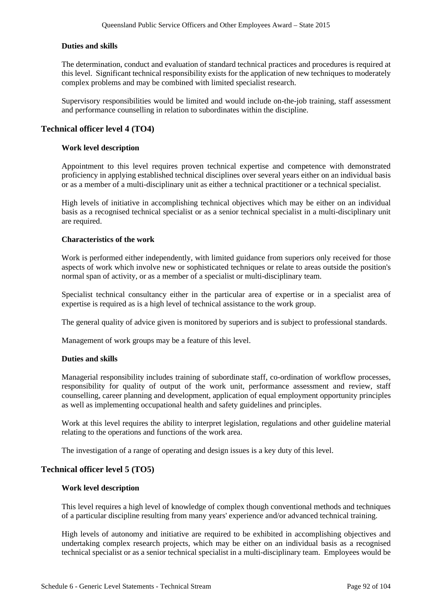## **Duties and skills**

The determination, conduct and evaluation of standard technical practices and procedures is required at this level. Significant technical responsibility exists for the application of new techniques to moderately complex problems and may be combined with limited specialist research.

Supervisory responsibilities would be limited and would include on-the-job training, staff assessment and performance counselling in relation to subordinates within the discipline.

## **Technical officer level 4 (TO4)**

## **Work level description**

Appointment to this level requires proven technical expertise and competence with demonstrated proficiency in applying established technical disciplines over several years either on an individual basis or as a member of a multi-disciplinary unit as either a technical practitioner or a technical specialist.

High levels of initiative in accomplishing technical objectives which may be either on an individual basis as a recognised technical specialist or as a senior technical specialist in a multi-disciplinary unit are required.

## **Characteristics of the work**

Work is performed either independently, with limited guidance from superiors only received for those aspects of work which involve new or sophisticated techniques or relate to areas outside the position's normal span of activity, or as a member of a specialist or multi-disciplinary team.

Specialist technical consultancy either in the particular area of expertise or in a specialist area of expertise is required as is a high level of technical assistance to the work group.

The general quality of advice given is monitored by superiors and is subject to professional standards.

Management of work groups may be a feature of this level.

## **Duties and skills**

Managerial responsibility includes training of subordinate staff, co-ordination of workflow processes, responsibility for quality of output of the work unit, performance assessment and review, staff counselling, career planning and development, application of equal employment opportunity principles as well as implementing occupational health and safety guidelines and principles.

Work at this level requires the ability to interpret legislation, regulations and other guideline material relating to the operations and functions of the work area.

The investigation of a range of operating and design issues is a key duty of this level.

## **Technical officer level 5 (TO5)**

## **Work level description**

This level requires a high level of knowledge of complex though conventional methods and techniques of a particular discipline resulting from many years' experience and/or advanced technical training.

High levels of autonomy and initiative are required to be exhibited in accomplishing objectives and undertaking complex research projects, which may be either on an individual basis as a recognised technical specialist or as a senior technical specialist in a multi-disciplinary team. Employees would be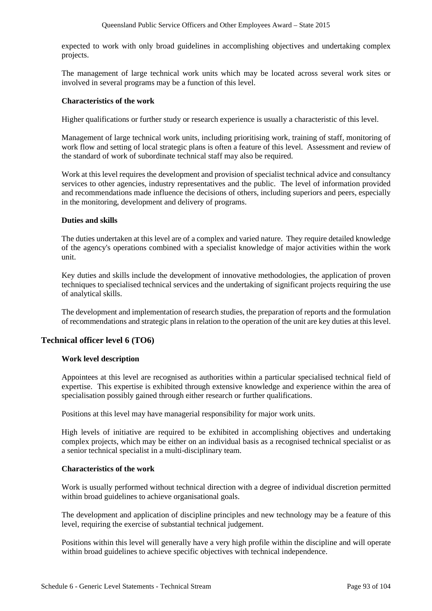expected to work with only broad guidelines in accomplishing objectives and undertaking complex projects.

The management of large technical work units which may be located across several work sites or involved in several programs may be a function of this level.

## **Characteristics of the work**

Higher qualifications or further study or research experience is usually a characteristic of this level.

Management of large technical work units, including prioritising work, training of staff, monitoring of work flow and setting of local strategic plans is often a feature of this level. Assessment and review of the standard of work of subordinate technical staff may also be required.

Work at this level requires the development and provision of specialist technical advice and consultancy services to other agencies, industry representatives and the public. The level of information provided and recommendations made influence the decisions of others, including superiors and peers, especially in the monitoring, development and delivery of programs.

## **Duties and skills**

The duties undertaken at this level are of a complex and varied nature. They require detailed knowledge of the agency's operations combined with a specialist knowledge of major activities within the work unit.

Key duties and skills include the development of innovative methodologies, the application of proven techniques to specialised technical services and the undertaking of significant projects requiring the use of analytical skills.

The development and implementation of research studies, the preparation of reports and the formulation of recommendations and strategic plans in relation to the operation of the unit are key duties at this level.

# **Technical officer level 6 (TO6)**

## **Work level description**

Appointees at this level are recognised as authorities within a particular specialised technical field of expertise. This expertise is exhibited through extensive knowledge and experience within the area of specialisation possibly gained through either research or further qualifications.

Positions at this level may have managerial responsibility for major work units.

High levels of initiative are required to be exhibited in accomplishing objectives and undertaking complex projects, which may be either on an individual basis as a recognised technical specialist or as a senior technical specialist in a multi-disciplinary team.

## **Characteristics of the work**

Work is usually performed without technical direction with a degree of individual discretion permitted within broad guidelines to achieve organisational goals.

The development and application of discipline principles and new technology may be a feature of this level, requiring the exercise of substantial technical judgement.

Positions within this level will generally have a very high profile within the discipline and will operate within broad guidelines to achieve specific objectives with technical independence.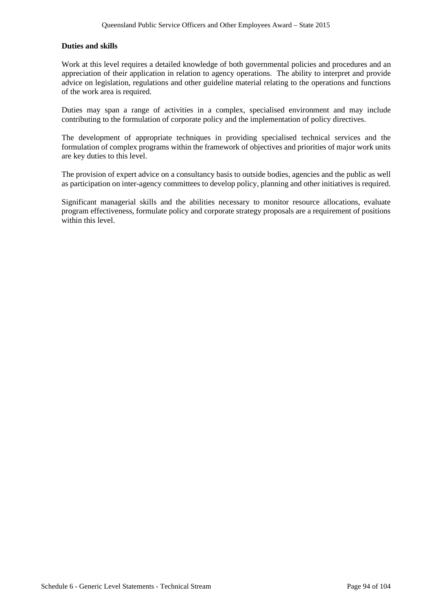## **Duties and skills**

Work at this level requires a detailed knowledge of both governmental policies and procedures and an appreciation of their application in relation to agency operations. The ability to interpret and provide advice on legislation, regulations and other guideline material relating to the operations and functions of the work area is required.

Duties may span a range of activities in a complex, specialised environment and may include contributing to the formulation of corporate policy and the implementation of policy directives.

The development of appropriate techniques in providing specialised technical services and the formulation of complex programs within the framework of objectives and priorities of major work units are key duties to this level.

The provision of expert advice on a consultancy basis to outside bodies, agencies and the public as well as participation on inter-agency committees to develop policy, planning and other initiatives is required.

Significant managerial skills and the abilities necessary to monitor resource allocations, evaluate program effectiveness, formulate policy and corporate strategy proposals are a requirement of positions within this level.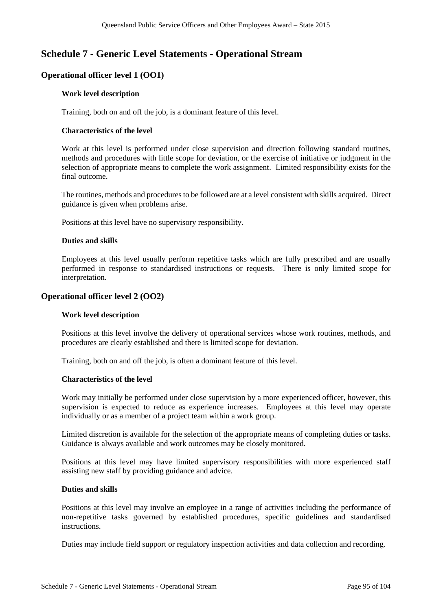# **Schedule 7 - Generic Level Statements - Operational Stream**

# **Operational officer level 1 (OO1)**

## **Work level description**

Training, both on and off the job, is a dominant feature of this level.

## **Characteristics of the level**

Work at this level is performed under close supervision and direction following standard routines, methods and procedures with little scope for deviation, or the exercise of initiative or judgment in the selection of appropriate means to complete the work assignment. Limited responsibility exists for the final outcome.

The routines, methods and procedures to be followed are at a level consistent with skills acquired. Direct guidance is given when problems arise.

Positions at this level have no supervisory responsibility.

## **Duties and skills**

Employees at this level usually perform repetitive tasks which are fully prescribed and are usually performed in response to standardised instructions or requests. There is only limited scope for interpretation.

# **Operational officer level 2 (OO2)**

## **Work level description**

Positions at this level involve the delivery of operational services whose work routines, methods, and procedures are clearly established and there is limited scope for deviation.

Training, both on and off the job, is often a dominant feature of this level.

## **Characteristics of the level**

Work may initially be performed under close supervision by a more experienced officer, however, this supervision is expected to reduce as experience increases. Employees at this level may operate individually or as a member of a project team within a work group.

Limited discretion is available for the selection of the appropriate means of completing duties or tasks. Guidance is always available and work outcomes may be closely monitored.

Positions at this level may have limited supervisory responsibilities with more experienced staff assisting new staff by providing guidance and advice.

## **Duties and skills**

Positions at this level may involve an employee in a range of activities including the performance of non-repetitive tasks governed by established procedures, specific guidelines and standardised instructions.

Duties may include field support or regulatory inspection activities and data collection and recording.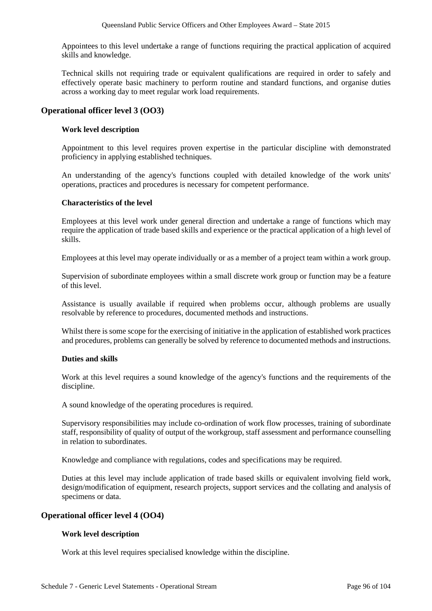Appointees to this level undertake a range of functions requiring the practical application of acquired skills and knowledge.

Technical skills not requiring trade or equivalent qualifications are required in order to safely and effectively operate basic machinery to perform routine and standard functions, and organise duties across a working day to meet regular work load requirements.

# **Operational officer level 3 (OO3)**

## **Work level description**

Appointment to this level requires proven expertise in the particular discipline with demonstrated proficiency in applying established techniques.

An understanding of the agency's functions coupled with detailed knowledge of the work units' operations, practices and procedures is necessary for competent performance.

## **Characteristics of the level**

Employees at this level work under general direction and undertake a range of functions which may require the application of trade based skills and experience or the practical application of a high level of skills.

Employees at this level may operate individually or as a member of a project team within a work group.

Supervision of subordinate employees within a small discrete work group or function may be a feature of this level.

Assistance is usually available if required when problems occur, although problems are usually resolvable by reference to procedures, documented methods and instructions.

Whilst there is some scope for the exercising of initiative in the application of established work practices and procedures, problems can generally be solved by reference to documented methods and instructions.

## **Duties and skills**

Work at this level requires a sound knowledge of the agency's functions and the requirements of the discipline.

A sound knowledge of the operating procedures is required.

Supervisory responsibilities may include co-ordination of work flow processes, training of subordinate staff, responsibility of quality of output of the workgroup, staff assessment and performance counselling in relation to subordinates.

Knowledge and compliance with regulations, codes and specifications may be required.

Duties at this level may include application of trade based skills or equivalent involving field work, design/modification of equipment, research projects, support services and the collating and analysis of specimens or data.

# **Operational officer level 4 (OO4)**

## **Work level description**

Work at this level requires specialised knowledge within the discipline.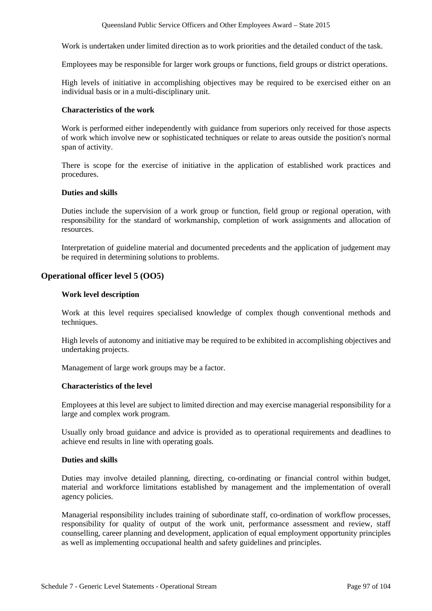Work is undertaken under limited direction as to work priorities and the detailed conduct of the task.

Employees may be responsible for larger work groups or functions, field groups or district operations.

High levels of initiative in accomplishing objectives may be required to be exercised either on an individual basis or in a multi-disciplinary unit.

#### **Characteristics of the work**

Work is performed either independently with guidance from superiors only received for those aspects of work which involve new or sophisticated techniques or relate to areas outside the position's normal span of activity.

There is scope for the exercise of initiative in the application of established work practices and procedures.

#### **Duties and skills**

Duties include the supervision of a work group or function, field group or regional operation, with responsibility for the standard of workmanship, completion of work assignments and allocation of resources.

Interpretation of guideline material and documented precedents and the application of judgement may be required in determining solutions to problems.

## **Operational officer level 5 (OO5)**

#### **Work level description**

Work at this level requires specialised knowledge of complex though conventional methods and techniques.

High levels of autonomy and initiative may be required to be exhibited in accomplishing objectives and undertaking projects.

Management of large work groups may be a factor.

#### **Characteristics of the level**

Employees at this level are subject to limited direction and may exercise managerial responsibility for a large and complex work program.

Usually only broad guidance and advice is provided as to operational requirements and deadlines to achieve end results in line with operating goals.

#### **Duties and skills**

Duties may involve detailed planning, directing, co-ordinating or financial control within budget, material and workforce limitations established by management and the implementation of overall agency policies.

Managerial responsibility includes training of subordinate staff, co-ordination of workflow processes, responsibility for quality of output of the work unit, performance assessment and review, staff counselling, career planning and development, application of equal employment opportunity principles as well as implementing occupational health and safety guidelines and principles.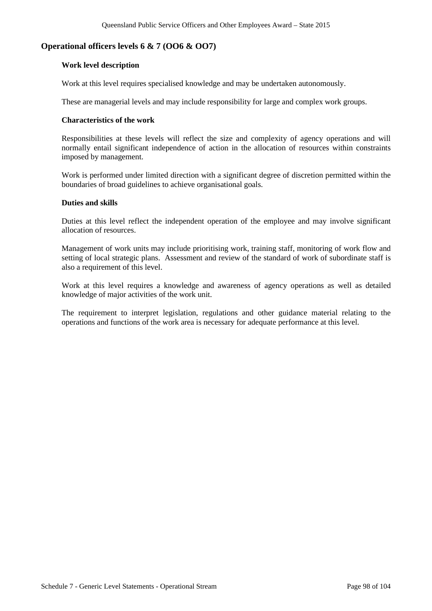## **Operational officers levels 6 & 7 (OO6 & OO7)**

#### **Work level description**

Work at this level requires specialised knowledge and may be undertaken autonomously.

These are managerial levels and may include responsibility for large and complex work groups.

#### **Characteristics of the work**

Responsibilities at these levels will reflect the size and complexity of agency operations and will normally entail significant independence of action in the allocation of resources within constraints imposed by management.

Work is performed under limited direction with a significant degree of discretion permitted within the boundaries of broad guidelines to achieve organisational goals.

## **Duties and skills**

Duties at this level reflect the independent operation of the employee and may involve significant allocation of resources.

Management of work units may include prioritising work, training staff, monitoring of work flow and setting of local strategic plans. Assessment and review of the standard of work of subordinate staff is also a requirement of this level.

Work at this level requires a knowledge and awareness of agency operations as well as detailed knowledge of major activities of the work unit.

The requirement to interpret legislation, regulations and other guidance material relating to the operations and functions of the work area is necessary for adequate performance at this level.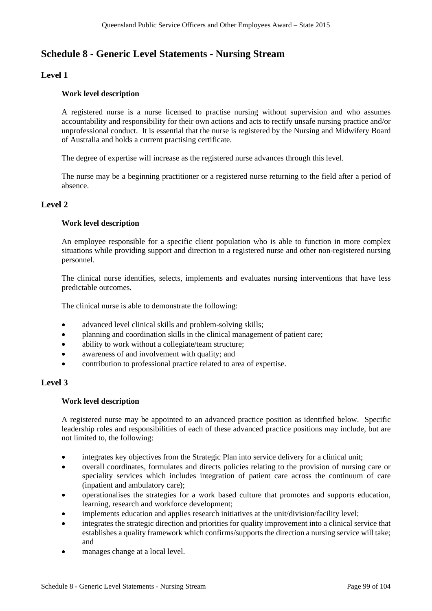# **Schedule 8 - Generic Level Statements - Nursing Stream**

# **Level 1**

## **Work level description**

A registered nurse is a nurse licensed to practise nursing without supervision and who assumes accountability and responsibility for their own actions and acts to rectify unsafe nursing practice and/or unprofessional conduct. It is essential that the nurse is registered by the Nursing and Midwifery Board of Australia and holds a current practising certificate.

The degree of expertise will increase as the registered nurse advances through this level.

The nurse may be a beginning practitioner or a registered nurse returning to the field after a period of absence.

# **Level 2**

## **Work level description**

An employee responsible for a specific client population who is able to function in more complex situations while providing support and direction to a registered nurse and other non-registered nursing personnel.

The clinical nurse identifies, selects, implements and evaluates nursing interventions that have less predictable outcomes.

The clinical nurse is able to demonstrate the following:

- advanced level clinical skills and problem-solving skills;
- planning and coordination skills in the clinical management of patient care;
- ability to work without a collegiate/team structure;
- awareness of and involvement with quality; and
- contribution to professional practice related to area of expertise.

## **Level 3**

## **Work level description**

A registered nurse may be appointed to an advanced practice position as identified below. Specific leadership roles and responsibilities of each of these advanced practice positions may include, but are not limited to, the following:

- integrates key objectives from the Strategic Plan into service delivery for a clinical unit;
- overall coordinates, formulates and directs policies relating to the provision of nursing care or speciality services which includes integration of patient care across the continuum of care (inpatient and ambulatory care);
- operationalises the strategies for a work based culture that promotes and supports education, learning, research and workforce development;
- implements education and applies research initiatives at the unit/division/facility level;
- integrates the strategic direction and priorities for quality improvement into a clinical service that establishes a quality framework which confirms/supports the direction a nursing service will take; and
- manages change at a local level.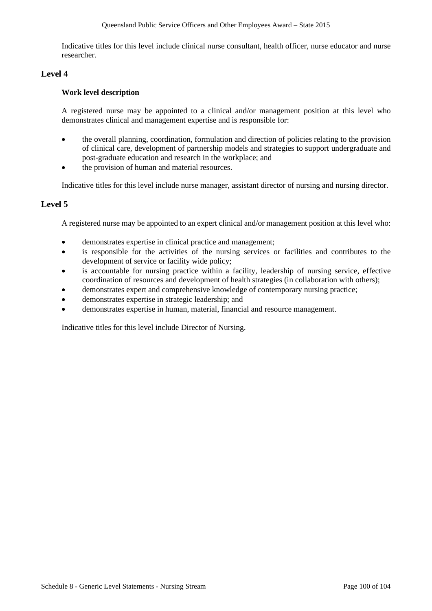Indicative titles for this level include clinical nurse consultant, health officer, nurse educator and nurse researcher.

# **Level 4**

## **Work level description**

A registered nurse may be appointed to a clinical and/or management position at this level who demonstrates clinical and management expertise and is responsible for:

- the overall planning, coordination, formulation and direction of policies relating to the provision of clinical care, development of partnership models and strategies to support undergraduate and post-graduate education and research in the workplace; and
- the provision of human and material resources.

Indicative titles for this level include nurse manager, assistant director of nursing and nursing director.

# **Level 5**

A registered nurse may be appointed to an expert clinical and/or management position at this level who:

- demonstrates expertise in clinical practice and management;
- is responsible for the activities of the nursing services or facilities and contributes to the development of service or facility wide policy;
- is accountable for nursing practice within a facility, leadership of nursing service, effective coordination of resources and development of health strategies (in collaboration with others);
- demonstrates expert and comprehensive knowledge of contemporary nursing practice;
- demonstrates expertise in strategic leadership; and
- demonstrates expertise in human, material, financial and resource management.

Indicative titles for this level include Director of Nursing.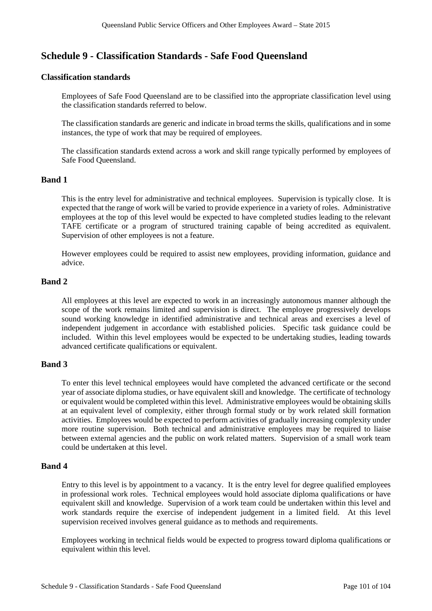# **Schedule 9 - Classification Standards - Safe Food Queensland**

## **Classification standards**

Employees of Safe Food Queensland are to be classified into the appropriate classification level using the classification standards referred to below.

The classification standards are generic and indicate in broad terms the skills, qualifications and in some instances, the type of work that may be required of employees.

The classification standards extend across a work and skill range typically performed by employees of Safe Food Queensland.

## **Band 1**

This is the entry level for administrative and technical employees. Supervision is typically close. It is expected that the range of work will be varied to provide experience in a variety of roles. Administrative employees at the top of this level would be expected to have completed studies leading to the relevant TAFE certificate or a program of structured training capable of being accredited as equivalent. Supervision of other employees is not a feature.

However employees could be required to assist new employees, providing information, guidance and advice.

## **Band 2**

All employees at this level are expected to work in an increasingly autonomous manner although the scope of the work remains limited and supervision is direct. The employee progressively develops sound working knowledge in identified administrative and technical areas and exercises a level of independent judgement in accordance with established policies. Specific task guidance could be included. Within this level employees would be expected to be undertaking studies, leading towards advanced certificate qualifications or equivalent.

# **Band 3**

To enter this level technical employees would have completed the advanced certificate or the second year of associate diploma studies, or have equivalent skill and knowledge. The certificate of technology or equivalent would be completed within this level. Administrative employees would be obtaining skills at an equivalent level of complexity, either through formal study or by work related skill formation activities. Employees would be expected to perform activities of gradually increasing complexity under more routine supervision. Both technical and administrative employees may be required to liaise between external agencies and the public on work related matters. Supervision of a small work team could be undertaken at this level.

## **Band 4**

Entry to this level is by appointment to a vacancy. It is the entry level for degree qualified employees in professional work roles. Technical employees would hold associate diploma qualifications or have equivalent skill and knowledge. Supervision of a work team could be undertaken within this level and work standards require the exercise of independent judgement in a limited field. At this level supervision received involves general guidance as to methods and requirements.

Employees working in technical fields would be expected to progress toward diploma qualifications or equivalent within this level.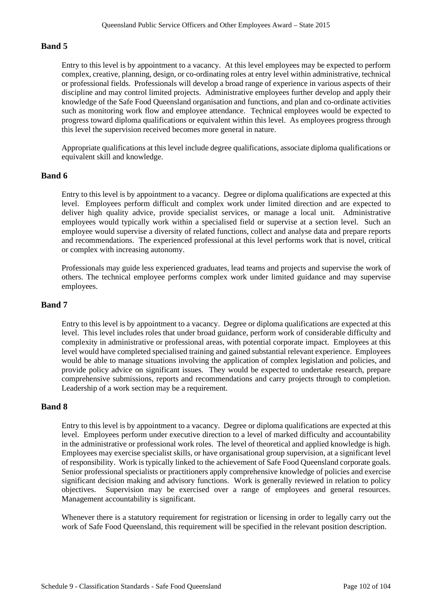# **Band 5**

Entry to this level is by appointment to a vacancy. At this level employees may be expected to perform complex, creative, planning, design, or co-ordinating roles at entry level within administrative, technical or professional fields. Professionals will develop a broad range of experience in various aspects of their discipline and may control limited projects. Administrative employees further develop and apply their knowledge of the Safe Food Queensland organisation and functions, and plan and co-ordinate activities such as monitoring work flow and employee attendance. Technical employees would be expected to progress toward diploma qualifications or equivalent within this level. As employees progress through this level the supervision received becomes more general in nature.

Appropriate qualifications at this level include degree qualifications, associate diploma qualifications or equivalent skill and knowledge.

## **Band 6**

Entry to this level is by appointment to a vacancy. Degree or diploma qualifications are expected at this level. Employees perform difficult and complex work under limited direction and are expected to deliver high quality advice, provide specialist services, or manage a local unit. Administrative employees would typically work within a specialised field or supervise at a section level. Such an employee would supervise a diversity of related functions, collect and analyse data and prepare reports and recommendations. The experienced professional at this level performs work that is novel, critical or complex with increasing autonomy.

Professionals may guide less experienced graduates, lead teams and projects and supervise the work of others. The technical employee performs complex work under limited guidance and may supervise employees.

## **Band 7**

Entry to this level is by appointment to a vacancy. Degree or diploma qualifications are expected at this level. This level includes roles that under broad guidance, perform work of considerable difficulty and complexity in administrative or professional areas, with potential corporate impact. Employees at this level would have completed specialised training and gained substantial relevant experience. Employees would be able to manage situations involving the application of complex legislation and policies, and provide policy advice on significant issues. They would be expected to undertake research, prepare comprehensive submissions, reports and recommendations and carry projects through to completion. Leadership of a work section may be a requirement.

## **Band 8**

Entry to this level is by appointment to a vacancy. Degree or diploma qualifications are expected at this level. Employees perform under executive direction to a level of marked difficulty and accountability in the administrative or professional work roles. The level of theoretical and applied knowledge is high. Employees may exercise specialist skills, or have organisational group supervision, at a significant level of responsibility. Work is typically linked to the achievement of Safe Food Queensland corporate goals. Senior professional specialists or practitioners apply comprehensive knowledge of policies and exercise significant decision making and advisory functions. Work is generally reviewed in relation to policy objectives. Supervision may be exercised over a range of employees and general resources. Management accountability is significant.

Whenever there is a statutory requirement for registration or licensing in order to legally carry out the work of Safe Food Queensland, this requirement will be specified in the relevant position description.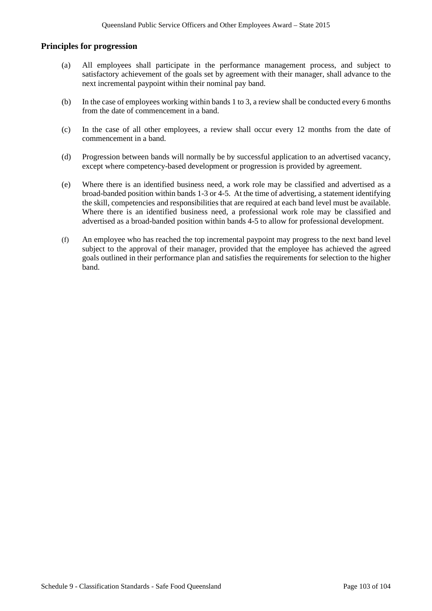## **Principles for progression**

- (a) All employees shall participate in the performance management process, and subject to satisfactory achievement of the goals set by agreement with their manager, shall advance to the next incremental paypoint within their nominal pay band.
- (b) In the case of employees working within bands 1 to 3, a review shall be conducted every 6 months from the date of commencement in a band.
- (c) In the case of all other employees, a review shall occur every 12 months from the date of commencement in a band.
- (d) Progression between bands will normally be by successful application to an advertised vacancy, except where competency-based development or progression is provided by agreement.
- (e) Where there is an identified business need, a work role may be classified and advertised as a broad-banded position within bands 1-3 or 4-5. At the time of advertising, a statement identifying the skill, competencies and responsibilities that are required at each band level must be available. Where there is an identified business need, a professional work role may be classified and advertised as a broad-banded position within bands 4-5 to allow for professional development.
- (f) An employee who has reached the top incremental paypoint may progress to the next band level subject to the approval of their manager, provided that the employee has achieved the agreed goals outlined in their performance plan and satisfies the requirements for selection to the higher band.